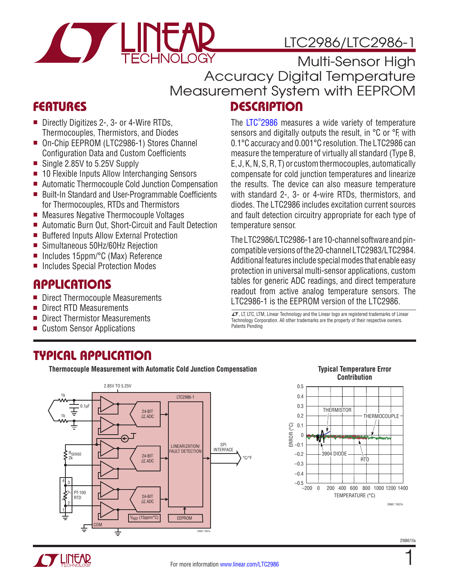<span id="page-0-0"></span>

# LTC2986/LTC2986-1

FEATURES DESCRIPTION Multi-Sensor High Accuracy Digital Temperature Measurement System with EEPROM

- Directly Digitizes 2-, 3- or 4-Wire RTDs, Thermocouples, Thermistors, and Diodes
- On-Chip EEPROM (LTC2986-1) Stores Channel Configuration Data and Custom Coefficients
- Single 2.85V to 5.25V Supply
- 10 Flexible Inputs Allow Interchanging Sensors
- Automatic Thermocouple Cold Junction Compensation
- Built-In Standard and User-Programmable Coefficients for Thermocouples, RTDs and Thermistors
- Measures Negative Thermocouple Voltages
- Automatic Burn Out, Short-Circuit and Fault Detection
- Buffered Inputs Allow External Protection
- Simultaneous 50Hz/60Hz Rejection
- Includes 15ppm/°C (Max) Reference
- Includes Special Protection Modes

# **APPLICATIONS**

- Direct Thermocouple Measurements
- **Direct RTD Measurements**
- Direct Thermistor Measurements
- **Custom Sensor Applications**

# TYPICAL APPLICATION

The LTC® [2986](http://www.linear.com/LTC2986) measures a wide variety of temperature sensors and digitally outputs the result, in °C or °F, with 0.1°C accuracy and 0.001°C resolution. The LTC2986 can measure the temperature of virtually all standard (Type B, E, J, K, N, S, R, T) or custom thermocouples, automatically compensate for cold junction temperatures and linearize the results. The device can also measure temperature with standard 2-, 3- or 4-wire RTDs, thermistors, and diodes. The LTC2986 includes excitation current sources and fault detection circuitry appropriate for each type of temperature sensor.

The LTC2986/LTC2986-1 are 10-channel software and pincompatible versions of the 20-channel LTC2983/LTC2984. Additional features include special modes that enable easy protection in universal multi-sensor applications, custom tables for generic ADC readings, and direct temperature readout from active analog temperature sensors. The LTC2986-1 is the EEPROM version of the LTC2986.

 $I$ , LT, LTC, LTM, Linear Technology and the Linear logo are registered trademarks of Linear Technology Corporation. All other trademarks are the property of their respective owners. Patents Pending



# **Contribution**



1

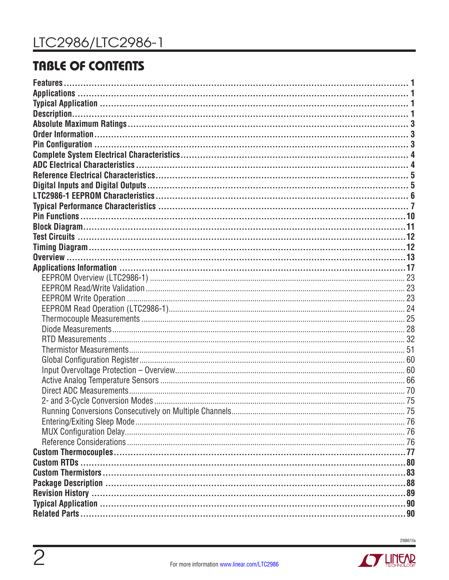# **TABLE OF CONTENTS**



**STARTING AND THE AIR PARTIES**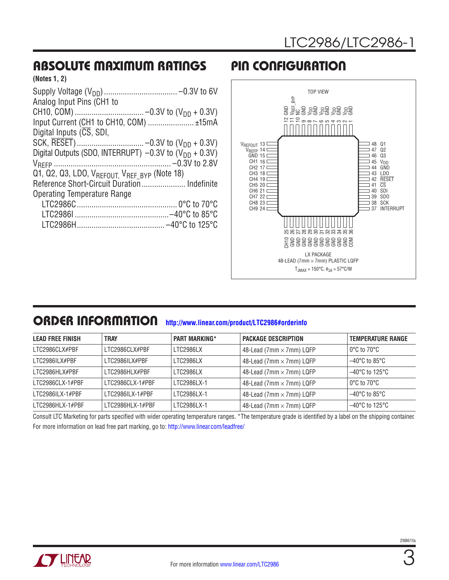## <span id="page-2-0"></span>ABSOLUTE MAXIMUM RATINGS PIN CONFIGURATION

| (Notes 1, 2) |  |  |
|--------------|--|--|
|--------------|--|--|

| Analog Input Pins (CH1 to                                     |
|---------------------------------------------------------------|
|                                                               |
| Input Current (CH1 to CH10, COM)  ±15mA                       |
| Digital Inputs $(\overline{CS}, SDI)$ ,                       |
|                                                               |
| Digital Outputs (SDO, INTERRUPT) $-0.3V$ to $(V_{DD} + 0.3V)$ |
|                                                               |
| Q1, Q2, Q3, LDO, VREFOUT, VREF BYP (Note 18)                  |
| Reference Short-Circuit Duration Indefinite                   |
| <b>Operating Temperature Range</b>                            |
|                                                               |
|                                                               |
|                                                               |



### ORDER INFORMATION **<http://www.linear.com/product/LTC2986#orderinfo>**

| <b>LEAD FREE FINISH</b> | <b>TRAY</b>      | <b>PART MARKING*</b> | <b>PACKAGE DESCRIPTION</b>      | <b>TEMPERATURE RANGE</b>            |
|-------------------------|------------------|----------------------|---------------------------------|-------------------------------------|
| LTC2986CLX#PBF          | LTC2986CLX#PBF   | LTC2986LX            | 48-Lead (7mm $\times$ 7mm) LQFP | $0^{\circ}$ C to 70 $^{\circ}$ C    |
| LTC2986ILX#PBF          | LTC2986ILX#PBF   | LTC2986LX            | 48-Lead (7mm $\times$ 7mm) LQFP | $-40^{\circ}$ C to 85 $^{\circ}$ C  |
| LTC2986HLX#PBF          | I TC2986HI X#PRF | LTC2986LX            | 48-Lead (7mm $\times$ 7mm) LQFP | $-40^{\circ}$ C to 125 $^{\circ}$ C |
| LTC2986CLX-1#PBF        | LTC2986CLX-1#PBF | <b>I TC2986LX-1</b>  | 48-Lead (7mm $\times$ 7mm) LQFP | $0^{\circ}$ C to 70 $^{\circ}$ C    |
| $LTC2986ILX-1#PBF$      | LTC2986ILX-1#PBF | LTC2986LX-1          | 48-Lead (7mm $\times$ 7mm) LQFP | $-40^{\circ}$ C to 85 $^{\circ}$ C  |
| LTC2986HLX-1#PBF        | LTC2986HLX-1#PBF | LTC2986LX-1          | 48-Lead (7mm $\times$ 7mm) LQFP | $-40^{\circ}$ C to 125 $^{\circ}$ C |

Consult LTC Marketing for parts specified with wider operating temperature ranges. \*The temperature grade is identified by a label on the shipping container. For more information on lead free part marking, go to:<http://www.linear.com/leadfree/>

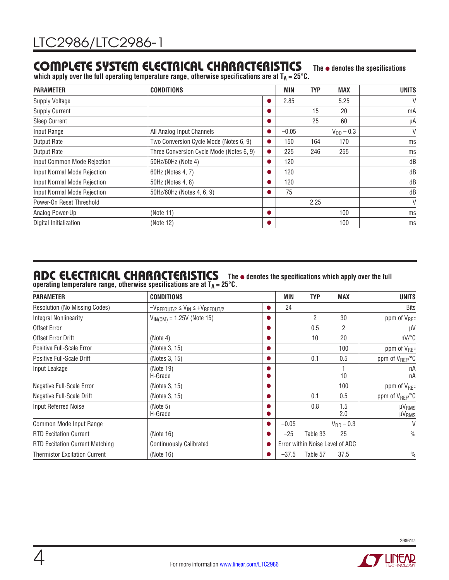### <span id="page-3-0"></span>COMPLETE SYSTEM ELECTRICAL CHARACTERISTICS **The** l **denotes the specifications**

which apply over the full operating temperature range, otherwise specifications are at T<sub>A</sub> = 25°C.

| <b>PARAMETER</b>            | <b>CONDITIONS</b>                        |   | MIN     | <b>TYP</b> | <b>MAX</b>     | <b>UNITS</b> |
|-----------------------------|------------------------------------------|---|---------|------------|----------------|--------------|
| <b>Supply Voltage</b>       |                                          |   | 2.85    |            | 5.25           | V            |
| <b>Supply Current</b>       |                                          |   |         | 15         | 20             | mA           |
| <b>Sleep Current</b>        |                                          |   |         | 25         | 60             | μA           |
| Input Range                 | All Analog Input Channels                |   | $-0.05$ |            | $V_{DD} - 0.3$ | V            |
| <b>Output Rate</b>          | Two Conversion Cycle Mode (Notes 6, 9)   |   | 150     | 164        | 170            | ms           |
| <b>Output Rate</b>          | Three Conversion Cycle Mode (Notes 6, 9) | D | 225     | 246        | 255            | ms           |
| Input Common Mode Rejection | 50Hz/60Hz (Note 4)                       |   | 120     |            |                | dB           |
| Input Normal Mode Rejection | 60Hz (Notes 4, 7)                        |   | 120     |            |                | dB           |
| Input Normal Mode Rejection | 50Hz (Notes 4, 8)                        |   | 120     |            |                | dB           |
| Input Normal Mode Rejection | 50Hz/60Hz (Notes 4, 6, 9)                |   | 75      |            |                | dB           |
| Power-On Reset Threshold    |                                          |   |         | 2.25       |                | V            |
| Analog Power-Up             | (Note 11)                                |   |         |            | 100            | ms           |
| Digital Initialization      | (Note 12)                                |   |         |            | 100            | ms           |

### ADC ELECTRICAL CHARACTERISTICS The  $\bullet$  denotes the specifications which apply over the full

operating temperature range, otherwise specifications are at  $T_A = 25^{\circ}$ C.

| <b>CONDITIONS</b><br><b>PARAMETER</b>  |                                                |   |         | <b>TYP</b> | <b>MAX</b>                      | <b>UNITS</b>                      |
|----------------------------------------|------------------------------------------------|---|---------|------------|---------------------------------|-----------------------------------|
| Resolution (No Missing Codes)          | $-V_{REFOUT/2} \leq V_{IN} \leq +V_{REFOUT/2}$ |   | 24      |            |                                 | <b>Bits</b>                       |
| <b>Integral Nonlinearity</b>           | $V_{IN(CM)} = 1.25V$ (Note 15)                 |   |         | 2          | 30                              | ppm of V <sub>REF</sub>           |
| Offset Error                           |                                                | D |         | 0.5        | $\overline{2}$                  | μV                                |
| Offset Error Drift                     | (Note 4)                                       |   |         | 10         | 20                              | nV/°C                             |
| Positive Full-Scale Error              | (Notes 3, 15)                                  |   |         |            | 100                             | ppm of V <sub>REF</sub>           |
| Positive Full-Scale Drift              | (Notes 3, 15)                                  | o |         | 0.1        | 0.5                             | ppm of V <sub>REF</sub> /°C       |
| Input Leakage                          | (Note 19)<br>H-Grade                           | Ð |         |            | 10                              | nA<br>nA                          |
| Negative Full-Scale Error              | (Notes 3, 15)                                  | o |         |            | 100                             | ppm of V <sub>REF</sub>           |
| Negative Full-Scale Drift              | (Notes 3, 15)                                  |   |         | 0.1        | 0.5                             | ppm of V <sub>REF</sub> /°C       |
| <b>Input Referred Noise</b>            | (Note 5)<br>H-Grade                            |   |         | 0.8        | 1.5<br>2.0                      | <b>µVRMS</b><br>µV <sub>RMS</sub> |
| Common Mode Input Range                |                                                |   | $-0.05$ |            | $V_{DD} - 0.3$                  | V                                 |
| <b>RTD Excitation Current</b>          | (Note 16)                                      |   | $-25$   | Table 33   | 25                              | $\frac{0}{0}$                     |
| <b>RTD Excitation Current Matching</b> | <b>Continuously Calibrated</b>                 |   |         |            | Error within Noise Level of ADC |                                   |
| <b>Thermistor Excitation Current</b>   | (Note 16)                                      |   | $-37.5$ | Table 57   | 37.5                            | $\frac{0}{0}$                     |

**TY LINEAR** 

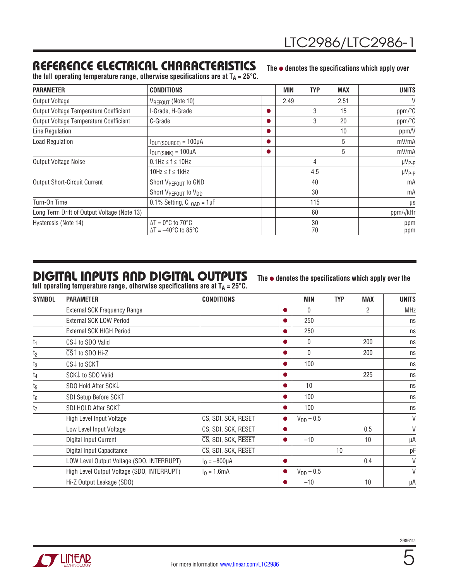# <span id="page-4-0"></span>REFERENCE ELECTRICAL CHARACTERISTICS

The  $\bullet$  denotes the specifications which apply over the full operating temperature range, otherwise specifications are at  $T_A = 25^{\circ}C$ .

| <b>PARAMETER</b>                            | <b>CONDITIONS</b>                                                               |    | <b>MIN</b> | <b>TYP</b> | <b>MAX</b>    | <b>UNITS</b>  |
|---------------------------------------------|---------------------------------------------------------------------------------|----|------------|------------|---------------|---------------|
| Output Voltage                              | $V_{REFOUT}$ (Note 10)                                                          |    | 2.49       |            | 2.51          | V             |
| Output Voltage Temperature Coefficient      | I-Grade, H-Grade                                                                |    |            | 3          | 15            | ppm/°C        |
| Output Voltage Temperature Coefficient      | C-Grade                                                                         | n. |            | 3          | 20            | ppm/°C        |
| Line Regulation                             |                                                                                 | D  |            |            | 10            | ppm/V         |
| <b>Load Regulation</b>                      | $I_{OUT(SOURCE)} = 100 \mu A$                                                   | n. |            |            | 5             | mV/mA         |
|                                             | $I_{OUT(SINK)} = 100\mu A$                                                      | o  |            |            | 5             | mV/mA         |
| Output Voltage Noise                        | $0.1$ Hz $\leq$ f $\leq$ 10Hz                                                   |    | 4          |            |               | $\mu V_{P-P}$ |
|                                             | $10Hz \le f \le 1kHz$                                                           |    | 4.5        |            | $\mu V_{P-P}$ |               |
| <b>Output Short-Circuit Current</b>         | Short V <sub>REFOUT</sub> to GND                                                |    | 40         |            |               | mA            |
|                                             | Short V <sub>REFOUT</sub> to V <sub>DD</sub>                                    |    | 30         |            |               | mA            |
| Turn-On Time                                | 0.1% Setting, $C_{\text{LOAD}} = 1 \mu F$                                       |    |            | 115        |               | μs            |
| Long Term Drift of Output Voltage (Note 13) |                                                                                 |    |            | 60         |               | ppm/√kHr      |
| Hysteresis (Note 14)                        | $\Delta T = 0^{\circ}C$ to 70 $^{\circ}C$<br>$\Delta T = -40^{\circ}$ C to 85°C |    |            | 30<br>70   |               | ppm<br>ppm    |

# DIGITAL INPUTS AND DIGITAL OUTPUTS

full operating temperature range, otherwise specifications are at  $\mathsf{T}_\mathsf{A}\!=\!25^\circ\mathsf{C}.$ 

The  $\bullet$  denotes the specifications which apply over the

| <b>SYMBOL</b>  | <b>CONDITIONS</b><br><b>PARAMETER</b>                       |                     | <b>MIN</b> | <b>TYP</b>     | <b>MAX</b> | <b>UNITS</b> |        |
|----------------|-------------------------------------------------------------|---------------------|------------|----------------|------------|--------------|--------|
|                | <b>External SCK Frequency Range</b>                         |                     |            | $\mathbf{0}$   |            | 2            | MHz    |
|                | External SCK LOW Period                                     |                     |            | 250            |            |              | ns     |
|                | External SCK HIGH Period                                    |                     |            | 250            |            |              | ns     |
| t <sub>1</sub> | $\overline{\text{CS}}\downarrow$ to SDO Valid               |                     |            | 0              |            | 200          | ns     |
| t2             | $\overline{\text{CS}}\textcolor{red}{\uparrow}$ to SDO Hi-Z |                     |            | $\theta$       |            | 200          | ns     |
| $t_3$          | $\overline{\text{CS}}\downarrow$ to SCK $\uparrow$          |                     |            | 100            |            |              | ns     |
| t <sub>4</sub> | SCK↓ to SDO Valid                                           |                     |            |                |            | 225          | ns     |
| $t_5$          | SDO Hold After SCKJ                                         |                     |            | 10             |            |              | ns     |
| $t_6$          | SDI Setup Before SCK <sup>T</sup>                           |                     |            | 100            |            |              | ns     |
| t <sub>7</sub> | SDI HOLD After SCK <sup>1</sup>                             |                     |            | 100            |            |              | ns     |
|                | High Level Input Voltage                                    | CS, SDI, SCK, RESET |            | $V_{DD} - 0.5$ |            |              | V      |
|                | Low Level Input Voltage                                     | CS, SDI, SCK, RESET |            |                |            | 0.5          | $\vee$ |
|                | Digital Input Current                                       | CS, SDI, SCK, RESET |            | $-10$          |            | 10           | μA     |
|                | Digital Input Capacitance                                   | CS, SDI, SCK, RESET |            |                | 10         |              | pF     |
|                | LOW Level Output Voltage (SDO, INTERRUPT)                   | $I_0 = -800 \mu A$  | $\bullet$  |                |            | 0.4          | V      |
|                | High Level Output Voltage (SDO, INTERRUPT)                  | $I_0 = 1.6mA$       |            | $V_{DD} - 0.5$ |            |              | V      |
|                | Hi-Z Output Leakage (SDO)                                   |                     |            | $-10$          |            | 10           | μA     |

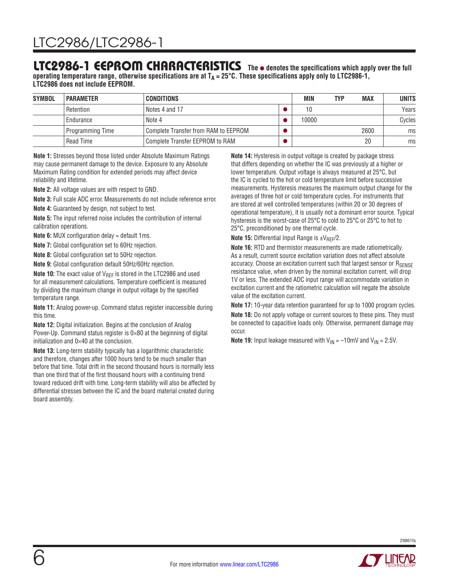### <span id="page-5-0"></span>LTC2986-1 EEPROM CHARACTERISTICS The  $\bullet$  denotes the specifications which apply over the full

**operating temperature range, otherwise specifications are at TA = 25°C. These specifications apply only to LTC2986-1, LTC2986 does not include EEPROM.**

| <b>SYMBOL</b> | <b>PARAMETER</b> | <b>CONDITIONS</b>                    | MIN   | <b>TYP</b> | <b>MAX</b> | <b>UNITS</b> |
|---------------|------------------|--------------------------------------|-------|------------|------------|--------------|
|               | Retention        | Notes 4 and 17                       | 10    |            |            | Years        |
|               | Endurance        | Note 4                               | 10000 |            |            | Cycles       |
|               | Programming Time | Complete Transfer from RAM to EEPROM |       |            | 2600       | ms           |
|               | Read Time        | Complete Transfer EEPROM to RAM      |       |            | 20         | ms           |

**Note 1:** Stresses beyond those listed under Absolute Maximum Ratings may cause permanent damage to the device. Exposure to any Absolute Maximum Rating condition for extended periods may affect device reliability and lifetime.

**Note 2:** All voltage values are with respect to GND.

**Note 3:** Full scale ADC error. Measurements do not include reference error.

**Note 4:** Guaranteed by design, not subject to test.

**Note 5:** The input referred noise includes the contribution of internal calibration operations.

**Note 6:** MUX configuration delay = default 1ms.

**Note 7:** Global configuration set to 60Hz rejection.

**Note 8:** Global configuration set to 50Hz rejection.

**Note 9:** Global configuration default 50Hz/60Hz rejection.

**Note 10:** The exact value of V<sub>REF</sub> is stored in the LTC2986 and used for all measurement calculations. Temperature coefficient is measured by dividing the maximum change in output voltage by the specified temperature range.

**Note 11:** Analog power-up. Command status register inaccessible during this time.

**Note 12:** Digital initialization. Begins at the conclusion of Analog Power-Up. Command status register is  $0 \times 80$  at the beginning of digital initialization and 0×40 at the conclusion.

**Note 13:** Long-term stability typically has a logarithmic characteristic and therefore, changes after 1000 hours tend to be much smaller than before that time. Total drift in the second thousand hours is normally less than one third that of the first thousand hours with a continuing trend toward reduced drift with time. Long-term stability will also be affected by differential stresses between the IC and the board material created during board assembly.

**Note 14:** Hysteresis in output voltage is created by package stress that differs depending on whether the IC was previously at a higher or lower temperature. Output voltage is always measured at 25°C, but the IC is cycled to the hot or cold temperature limit before successive measurements. Hysteresis measures the maximum output change for the averages of three hot or cold temperature cycles. For instruments that are stored at well controlled temperatures (within 20 or 30 degrees of operational temperature), it is usually not a dominant error source. Typical hysteresis is the worst-case of 25°C to cold to 25°C or 25°C to hot to 25°C, preconditioned by one thermal cycle.

**Note 15:** Differential Input Range is  $\pm V_{REF}/2$ .

**Note 16:** RTD and thermistor measurements are made ratiometrically. As a result, current source excitation variation does not affect absolute accuracy. Choose an excitation current such that largest sensor or RSENSE resistance value, when driven by the nominal excitation current, will drop 1V or less. The extended ADC input range will accommodate variation in excitation current and the ratiometric calculation will negate the absolute value of the excitation current.

**Note 17:** 10-year data retention guaranteed for up to 1000 program cycles.

**Note 18:** Do not apply voltage or current sources to these pins. They must be connected to capacitive loads only. Otherwise, permanent damage may occur.

**Note 19:** Input leakage measured with  $V_{IN} = -10$ mV and  $V_{IN} = 2.5V$ .

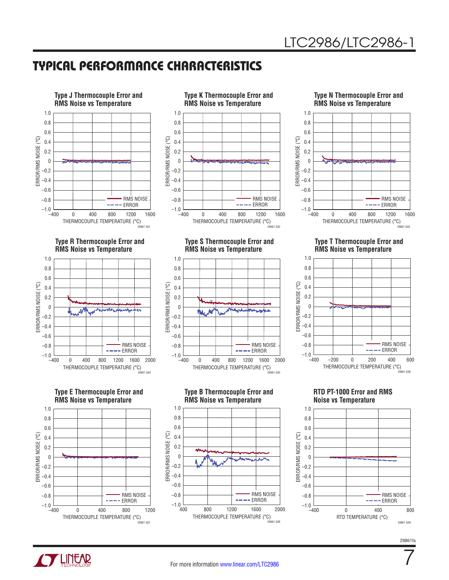# <span id="page-6-0"></span>TYPICAL PERFORMANCE CHARACTERISTICS



**RMS Noise vs Temperature**









**Type S Thermocouple Error and RMS Noise vs Temperature**



**Type B Thermocouple Error and RMS Noise vs Temperature**







**Type T Thermocouple Error and RMS Noise vs Temperature**



**RTD PT-1000 Error and RMS Noise vs Temperature**



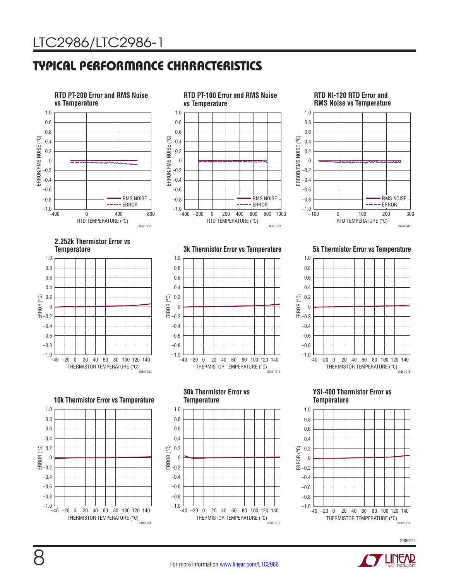# TYPICAL PERFORMANCE CHARACTERISTICS



THERMISTOR TEMPERATURE (°C) 29861 G18

29861fa

THERMISTOR TEMPERATURE (°C)<br>29861 G17

THERMISTOR TEMPERATURE (°C)<br>29861 G16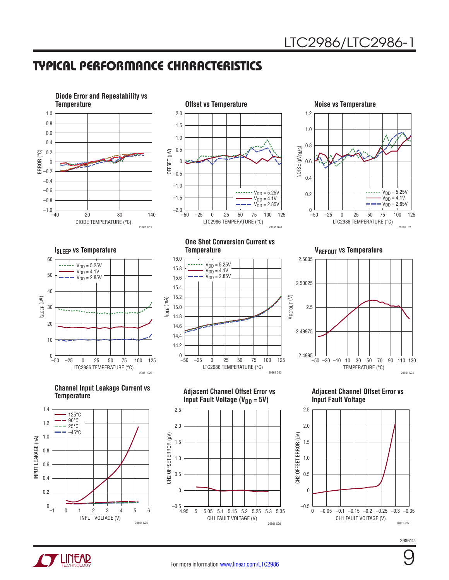# TYPICAL PERFORMANCE CHARACTERISTICS







**ISLEEP VS Temperature** ISLEEP (µA) 60 50 40 30 20 10  $_{-50}^{0}$  $V<sub>DD</sub> = 5.25V$  $V<sub>DD</sub> = 4.1V$  $V_{DD} = 2.85V$ 

**Channel Input Leakage Current vs Temperature**

LTC2986 TEMPERATURE (°C)

–50 –25 250 50 75 100 125



**One Shot Conversion Current vs** 



**Adjacent Channel Offset Error vs Input Fault Voltage (V<sub>DD</sub> = 5V)** 

CH2 OFFSET ERROR (µV)

CH2 OFFSET ERROR (µV)

2.5

29861 G22

2.0

1.5

 $-0.5$  – 4.95

0

0.5

1.0

**Temperature VREFOUT VS Temperature** 



**Adjacent Channel Offset Error vs Input Fault Voltage**



29861fa



CH1 FAULT VOLTAGE (V)

4.95 5.055 5.1 5.2 5.25 5.15 5.3 5.35

29861 G26

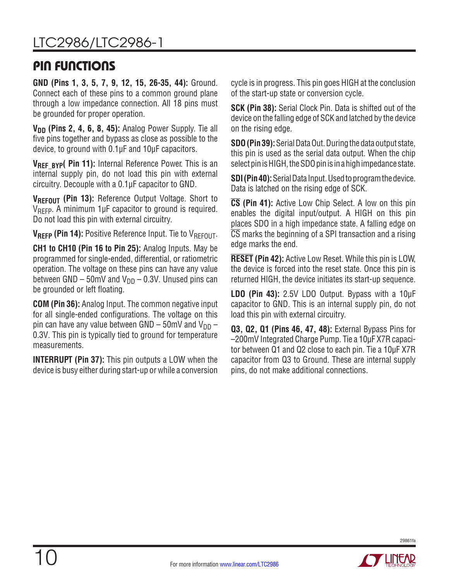# <span id="page-9-0"></span>PIN FUNCTIONS

**GND (Pins 1, 3, 5, 7, 9, 12, 15, 26-35, 44):** Ground. Connect each of these pins to a common ground plane through a low impedance connection. All 18 pins must be grounded for proper operation.

**V<sub>DD</sub>** (Pins 2, 4, 6, 8, 45): Analog Power Supply. Tie all five pins together and bypass as close as possible to the device, to ground with 0.1µF and 10μF capacitors.

VRFF BYP( Pin 11): Internal Reference Power. This is an internal supply pin, do not load this pin with external circuitry. Decouple with a 0.1µF capacitor to GND.

**VREFOUT (Pin 13):** Reference Output Voltage. Short to  $V_{RFFP}$ . A minimum 1µF capacitor to ground is required. Do not load this pin with external circuitry.

**VREFP (Pin 14):** Positive Reference Input. Tie to VREFOUT.

**CH1 to CH10 (Pin 16 to Pin 25):** Analog Inputs. May be programmed for single-ended, differential, or ratiometric operation. The voltage on these pins can have any value between GND – 50mV and  $V_{DD}$  – 0.3V. Unused pins can be grounded or left floating.

**COM (Pin 36):** Analog Input. The common negative input for all single-ended configurations. The voltage on this pin can have any value between GND – 50mV and  $V_{DD}$  – 0.3V. This pin is typically tied to ground for temperature measurements.

**INTERRUPT (Pin 37):** This pin outputs a LOW when the device is busy either during start-up or while a conversion cycle is in progress. This pin goes HIGH at the conclusion of the start-up state or conversion cycle.

**SCK (Pin 38):** Serial Clock Pin. Data is shifted out of the device on the falling edge of SCK and latched by the device on the rising edge.

**SDO (Pin 39):** Serial Data Out. During the data output state, this pin is used as the serial data output. When the chip select pin is HIGH, the SDO pin is in a high impedance state.

**SDI (Pin 40):** Serial Data Input. Used to program the device. Data is latched on the rising edge of SCK.

**CS (Pin 41):** Active Low Chip Select. A low on this pin enables the digital input/output. A HIGH on this pin places SDO in a high impedance state. A falling edge on  $\overline{CS}$  marks the beginning of a SPI transaction and a rising edge marks the end.

**RESET (Pin 42):** Active Low Reset. While this pin is LOW, the device is forced into the reset state. Once this pin is returned HIGH, the device initiates its start-up sequence.

**LDO (Pin 43):** 2.5V LDO Output. Bypass with a 10µF capacitor to GND. This is an internal supply pin, do not load this pin with external circuitry.

**Q3, Q2, Q1 (Pins 46, 47, 48):** External Bypass Pins for –200mV Integrated Charge Pump. Tie a 10µF X7R capacitor between Q1 and Q2 close to each pin. Tie a 10µF X7R capacitor from Q3 to Ground. These are internal supply pins, do not make additional connections.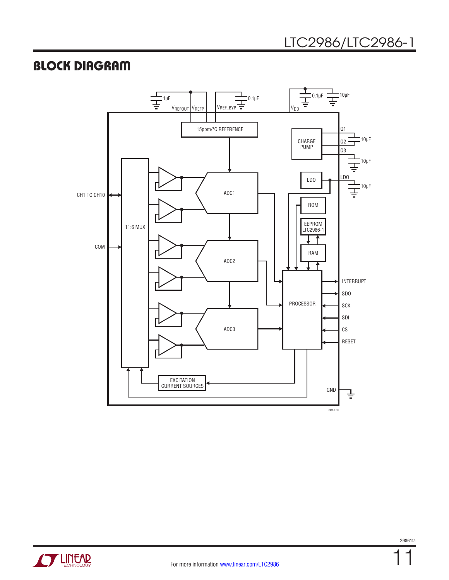# <span id="page-10-0"></span>BLOCK DIAGRAM



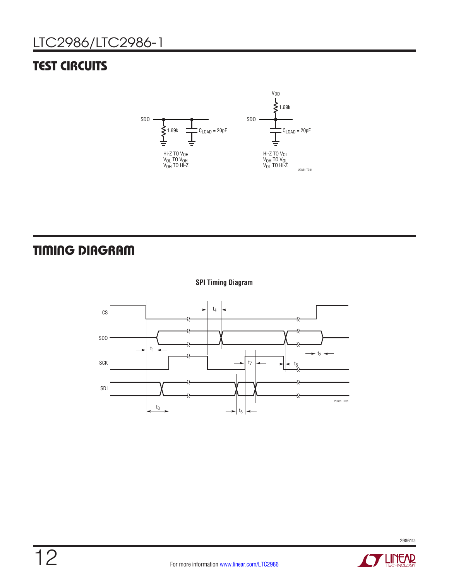# <span id="page-11-0"></span>**TEST CIRCUITS**



# TIMING DIAGRAM









**STARTED BY A LITTLE ARE**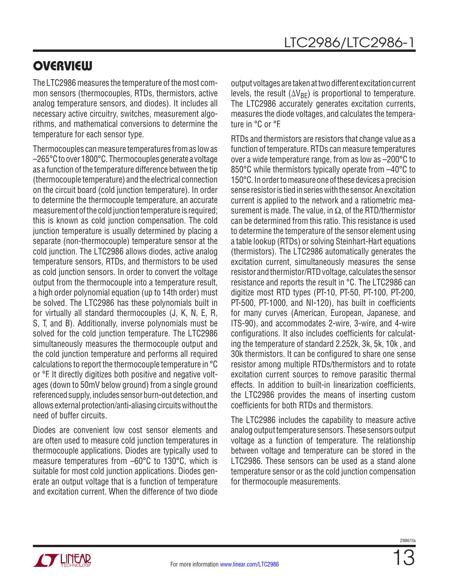<span id="page-12-0"></span>The LTC2986 measures the temperature of the most common sensors (thermocouples, RTDs, thermistors, active analog temperature sensors, and diodes). It includes all necessary active circuitry, switches, measurement algorithms, and mathematical conversions to determine the temperature for each sensor type.

Thermocouples can measure temperatures from as low as –265°C to over 1800°C. Thermocouples generate a voltage as a function of the temperature difference between the tip (thermocouple temperature) and the electrical connection on the circuit board (cold junction temperature). In order to determine the thermocouple temperature, an accurate measurement of the cold junction temperature is required; this is known as cold junction compensation. The cold junction temperature is usually determined by placing a separate (non-thermocouple) temperature sensor at the cold junction. The LTC2986 allows diodes, active analog temperature sensors, RTDs, and thermistors to be used as cold junction sensors. In order to convert the voltage output from the thermocouple into a temperature result, a high order polynomial equation (up to 14th order) must be solved. The LTC2986 has these polynomials built in for virtually all standard thermocouples (J, K, N, E, R, S, T, and B). Additionally, inverse polynomials must be solved for the cold junction temperature. The LTC2986 simultaneously measures the thermocouple output and the cold junction temperature and performs all required calculations to report the thermocouple temperature in °C or °F. It directly digitizes both positive and negative voltages (down to 50mV below ground) from a single ground referenced supply, includes sensor burn-out detection, and allows external protection/anti-aliasing circuits without the need of buffer circuits.

Diodes are convenient low cost sensor elements and are often used to measure cold junction temperatures in thermocouple applications. Diodes are typically used to measure temperatures from –60°C to 130°C, which is suitable for most cold junction applications. Diodes generate an output voltage that is a function of temperature and excitation current. When the difference of two diode output voltages are taken at two different excitation current levels, the result ( $\Delta V_{BF}$ ) is proportional to temperature. The LTC2986 accurately generates excitation currents, measures the diode voltages, and calculates the temperature in °C or °F.

RTDs and thermistors are resistors that change value as a function of temperature. RTDs can measure temperatures over a wide temperature range, from as low as –200°C to 850°C while thermistors typically operate from –40°C to 150°C. In order to measure one of these devices a precision sense resistor is tied in series with the sensor. An excitation current is applied to the network and a ratiometric measurement is made. The value, in  $\Omega$ , of the RTD/thermistor can be determined from this ratio. This resistance is used to determine the temperature of the sensor element using a table lookup (RTDs) or solving Steinhart-Hart equations (thermistors). The LTC2986 automatically generates the excitation current, simultaneously measures the sense resistor and thermistor/RTD voltage, calculates the sensor resistance and reports the result in °C. The LTC2986 can digitize most RTD types (PT-10, PT-50, PT-100, PT-200, PT-500, PT-1000, and NI-120), has built in coefficients for many curves (American, European, Japanese, and ITS-90), and accommodates 2-wire, 3-wire, and 4-wire configurations. It also includes coefficients for calculating the temperature of standard 2.252k, 3k, 5k, 10k , and 30k thermistors. It can be configured to share one sense resistor among multiple RTDs/thermistors and to rotate excitation current sources to remove parasitic thermal effects. In addition to built-in linearization coefficients, the LTC2986 provides the means of inserting custom coefficients for both RTDs and thermistors.

The LTC2986 includes the capability to measure active analog output temperature sensors. These sensors output voltage as a function of temperature. The relationship between voltage and temperature can be stored in the LTC2986. These sensors can be used as a stand alone temperature sensor or as the cold junction compensation for thermocouple measurements.

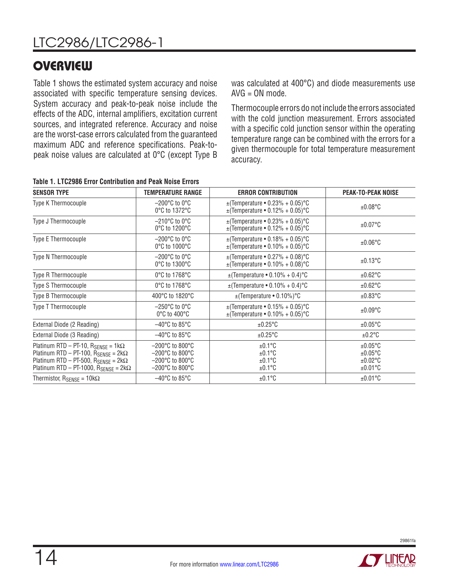Table 1 shows the estimated system accuracy and noise associated with specific temperature sensing devices. System accuracy and peak-to-peak noise include the effects of the ADC, internal amplifiers, excitation current sources, and integrated reference. Accuracy and noise are the worst-case errors calculated from the guaranteed maximum ADC and reference specifications. Peak-topeak noise values are calculated at 0°C (except Type B was calculated at 400°C) and diode measurements use AVG = ON mode.

Thermocouple errors do not include the errors associated with the cold junction measurement. Errors associated with a specific cold junction sensor within the operating temperature range can be combined with the errors for a given thermocouple for total temperature measurement accuracy.

| <b>SENSOR TYPE</b>                                                                                                                                                                                                    | TEMPERATURE RANGE                                                                                                                                            | <b>ERROR CONTRIBUTION</b>                                                    | <b>PEAK-TO-PEAK NOISE</b>                                  |
|-----------------------------------------------------------------------------------------------------------------------------------------------------------------------------------------------------------------------|--------------------------------------------------------------------------------------------------------------------------------------------------------------|------------------------------------------------------------------------------|------------------------------------------------------------|
| Type K Thermocouple                                                                                                                                                                                                   | $-200^{\circ}$ C to 0 $^{\circ}$ C<br>0°C to 1372°C                                                                                                          | $\pm$ (Temperature • 0.23% + 0.05)°C<br>$\pm$ (Temperature • 0.12% + 0.05)°C | ±0.08°C                                                    |
| Type J Thermocouple                                                                                                                                                                                                   | $-210^{\circ}$ C to 0 $^{\circ}$ C<br>0°C to 1200°C                                                                                                          | $\pm$ (Temperature • 0.23% + 0.05)°C<br>$\pm$ (Temperature • 0.12% + 0.05)°C | $±0.07$ °C                                                 |
| Type E Thermocouple                                                                                                                                                                                                   | $-200^{\circ}$ C to 0 $^{\circ}$ C<br>0°C to 1000°C                                                                                                          | $\pm$ (Temperature • 0.18% + 0.05)°C<br>$\pm$ (Temperature • 0.10% + 0.05)°C | $\pm 0.06^{\circ}$ C                                       |
| Type N Thermocouple                                                                                                                                                                                                   | $-200^{\circ}$ C to 0 $^{\circ}$ C<br>0°C to 1300°C                                                                                                          | $\pm$ (Temperature • 0.27% + 0.08)°C<br>$\pm$ (Temperature • 0.10% + 0.08)°C | $±0.13$ °C                                                 |
| Type R Thermocouple                                                                                                                                                                                                   | 0°C to 1768°C                                                                                                                                                | $\pm$ (Temperature • 0.10% + 0.4) °C                                         | $±0.62$ °C                                                 |
| Type S Thermocouple                                                                                                                                                                                                   | 0°C to 1768°C                                                                                                                                                | $\pm$ (Temperature • 0.10% + 0.4) °C                                         | $±0.62$ °C                                                 |
| Type B Thermocouple                                                                                                                                                                                                   | 400°C to 1820°C                                                                                                                                              | $\pm$ (Temperature • 0.10%) °C                                               | $±0.83$ °C                                                 |
| Type T Thermocouple                                                                                                                                                                                                   | $-250^{\circ}$ C to 0 $^{\circ}$ C<br>$0^{\circ}$ C to 400 $^{\circ}$ C                                                                                      | $\pm$ (Temperature • 0.15% + 0.05)°C<br>$\pm$ (Temperature • 0.10% + 0.05)°C | $±0.09^{\circ}$ C                                          |
| External Diode (2 Reading)                                                                                                                                                                                            | $-40^{\circ}$ C to 85 $^{\circ}$ C                                                                                                                           | $\pm 0.25$ °C                                                                | $±0.05$ °C                                                 |
| External Diode (3 Reading)                                                                                                                                                                                            | $-40^{\circ}$ C to 85 $^{\circ}$ C                                                                                                                           | $±0.25^{\circ}C$                                                             | $±0.2$ °C                                                  |
| Platinum RTD - PT-10, $R_{\text{SENSE}} = 1k\Omega$<br>Platinum RTD - PT-100, $R_{\text{SENSE}} = 2k\Omega$<br>Platinum RTD - PT-500, $R_{\text{SENSE}} = 2k\Omega$<br>Platinum RTD - PT-1000, $R_{SENSE} = 2k\Omega$ | $-200^{\circ}$ C to 800 $^{\circ}$ C<br>$-200^{\circ}$ C to 800 $^{\circ}$ C<br>$-200^{\circ}$ C to 800 $^{\circ}$ C<br>$-200^{\circ}$ C to 800 $^{\circ}$ C | $±0.1^{\circ}$ C<br>$±0.1^{\circ}C$<br>$±0.1^{\circ}$ C<br>$±0.1^{\circ}C$   | $±0.05$ °C<br>$±0.05$ °C<br>$±0.02$ °C<br>$±0.01^{\circ}C$ |
| Thermistor, $R_{\text{SENSE}} = 10 \text{k}\Omega$                                                                                                                                                                    | $-40^{\circ}$ C to 85 $^{\circ}$ C                                                                                                                           | $±0.1^{\circ}C$                                                              | $±0.01^{\circ}C$                                           |

|  |  |  |  | Table 1. LTC2986 Error Contribution and Peak Noise Errors |  |  |  |  |
|--|--|--|--|-----------------------------------------------------------|--|--|--|--|
|--|--|--|--|-----------------------------------------------------------|--|--|--|--|

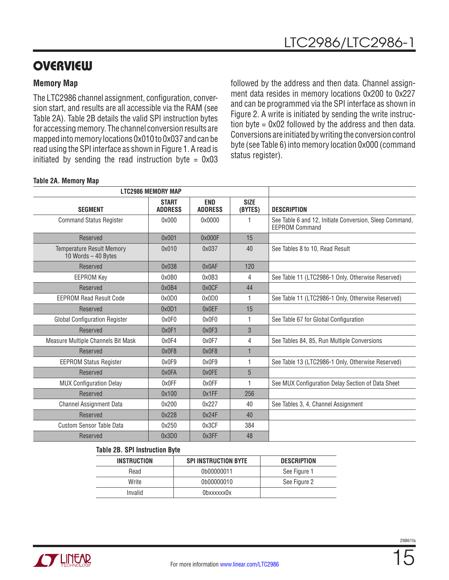### **Memory Map**

The LTC2986 channel assignment, configuration, conversion start, and results are all accessible via the RAM (see Table 2A). Table 2B details the valid SPI instruction bytes for accessing memory. The channel conversion results are mapped into memory locations 0x010 to 0x037 and can be read using the SPI interface as shown in Figure 1. A read is initiated by sending the read instruction byte =  $0x03$ 

followed by the address and then data. Channel assignment data resides in memory locations 0x200 to 0x227 and can be programmed via the SPI interface as shown in Figure 2. A write is initiated by sending the write instruction byte = 0x02 followed by the address and then data. Conversions are initiated by writing the conversion control byte (see Table 6) into memory location 0x000 (command status register).

#### **Table 2A. Memory Map**

| <b>LTC2986 MEMORY MAP</b>                               |                                |                              |                        |                                                                                  |
|---------------------------------------------------------|--------------------------------|------------------------------|------------------------|----------------------------------------------------------------------------------|
| <b>SEGMENT</b>                                          | <b>START</b><br><b>ADDRESS</b> | <b>END</b><br><b>ADDRESS</b> | <b>SIZE</b><br>(BYTES) | <b>DESCRIPTION</b>                                                               |
| <b>Command Status Register</b>                          | 0x000                          | 0x0000                       |                        | See Table 6 and 12, Initiate Conversion, Sleep Command,<br><b>EEPROM Command</b> |
| Reserved                                                | 0x001                          | 0x000F                       | 15                     |                                                                                  |
| <b>Temperature Result Memory</b><br>10 Words - 40 Bytes | 0x010                          | 0x037                        | 40                     | See Tables 8 to 10, Read Result                                                  |
| Reserved                                                | 0x038                          | 0x0AF                        | 120                    |                                                                                  |
| <b>EEPROM Key</b>                                       | 0x0B0                          | 0x0B3                        | 4                      | See Table 11 (LTC2986-1 Only, Otherwise Reserved)                                |
| Reserved                                                | 0x0B4                          | 0x0CF                        | 44                     |                                                                                  |
| FFPROM Read Result Code                                 | 0x0D0                          | 0x0D0                        | 1                      | See Table 11 (LTC2986-1 Only, Otherwise Reserved)                                |
| Reserved                                                | 0x0D1                          | 0x0EF                        | 15                     |                                                                                  |
| <b>Global Configuration Register</b>                    | 0x0F0                          | 0x0F0                        | 1                      | See Table 67 for Global Configuration                                            |
| Reserved                                                | 0x0F1                          | 0x0F3                        | 3                      |                                                                                  |
| Measure Multiple Channels Bit Mask                      | 0x0F4                          | 0x0F7                        | 4                      | See Tables 84, 85, Run Multiple Conversions                                      |
| Reserved                                                | 0x0F8                          | 0x0F8                        | $\mathbf{1}$           |                                                                                  |
| <b>EEPROM Status Register</b>                           | 0x0F9                          | 0x0F9                        | 1                      | See Table 13 (LTC2986-1 Only, Otherwise Reserved)                                |
| Reserved                                                | 0x0FA                          | 0x0FE                        | 5                      |                                                                                  |
| <b>MUX Configuration Delay</b>                          | 0x0FF                          | 0x0FF                        | 1                      | See MUX Configuration Delay Section of Data Sheet                                |
| Reserved                                                | 0x100                          | 0x1FF                        | 256                    |                                                                                  |
| <b>Channel Assignment Data</b>                          | 0x200                          | 0x227                        | 40                     | See Tables 3, 4, Channel Assignment                                              |
| Reserved                                                | 0x228                          | 0x24F                        | 40                     |                                                                                  |
| <b>Custom Sensor Table Data</b>                         | 0x250                          | 0x3CF                        | 384                    |                                                                                  |
| Reserved                                                | 0x3D0                          | 0x3FF                        | 48                     |                                                                                  |
|                                                         |                                |                              |                        |                                                                                  |

#### **Table 2B. SPI Instruction Byte**

| <b>INSTRUCTION</b> | <b>SPI INSTRUCTION BYTE</b> | <b>DESCRIPTION</b> |
|--------------------|-----------------------------|--------------------|
| Read               | 0b00000011                  | See Figure 1       |
| Write              | 0b00000010                  | See Figure 2       |
| Invalid            | 0bxxxxxx0x                  |                    |

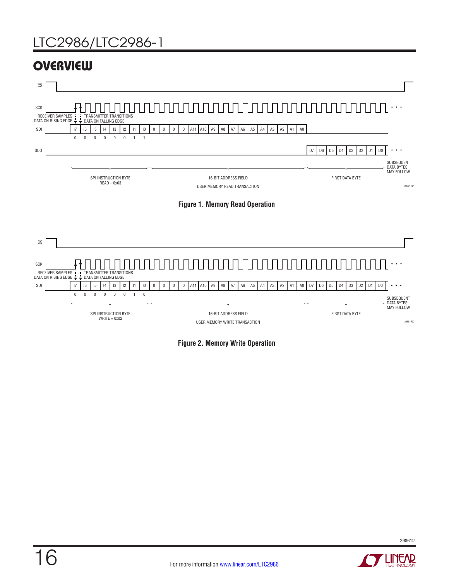





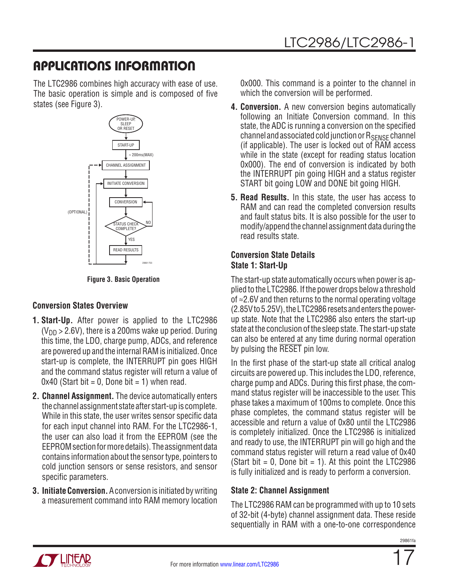<span id="page-16-0"></span>The LTC2986 combines high accuracy with ease of use. The basic operation is simple and is composed of five states (see Figure 3).



**Figure 3. Basic Operation**

### **Conversion States Overview**

- **1. Start-Up.** After power is applied to the LTC2986  $(V_{DD} > 2.6V)$ , there is a 200ms wake up period. During this time, the LDO, charge pump, ADCs, and reference are powered up and the internal RAM is initialized. Once start-up is complete, the INTERRUPT pin goes HIGH and the command status register will return a value of  $0x40$  (Start bit = 0, Done bit = 1) when read.
- **2. Channel Assignment.** The device automatically enters the channel assignment state after start-up is complete. While in this state, the user writes sensor specific data for each input channel into RAM. For the LTC2986-1, the user can also load it from the EEPROM (see the EEPROM section for more details). The assignment data contains information about the sensor type, pointers to cold junction sensors or sense resistors, and sensor specific parameters.
- **3. Initiate Conversion.** A conversion is initiated by writing a measurement command into RAM memory location

0x000. This command is a pointer to the channel in which the conversion will be performed.

- **4. Conversion.** A new conversion begins automatically following an Initiate Conversion command. In this state, the ADC is running a conversion on the specified channel and associated cold junction or  $R_{\text{SENSE}}$  channel (if applicable). The user is locked out of RAM access while in the state (except for reading status location 0x000). The end of conversion is indicated by both the INTERRUPT pin going HIGH and a status register START bit going LOW and DONE bit going HIGH.
- **5. Read Results.** In this state, the user has access to RAM and can read the completed conversion results and fault status bits. It is also possible for the user to modify/append the channel assignment data during the read results state.

### **Conversion State Details State 1: Start-Up**

The start-up state automatically occurs when power is applied to the LTC2986. If the power drops below a threshold of ≈2.6V and then returns to the normal operating voltage (2.85V to 5.25V), the LTC2986 resets and enters the powerup state. Note that the LTC2986 also enters the start-up state at the conclusion of the sleep state. The start-up state can also be entered at any time during normal operation by pulsing the RESET pin low.

In the first phase of the start-up state all critical analog circuits are powered up. This includes the LDO, reference, charge pump and ADCs. During this first phase, the command status register will be inaccessible to the user. This phase takes a maximum of 100ms to complete. Once this phase completes, the command status register will be accessible and return a value of 0x80 until the LTC2986 is completely initialized. Once the LTC2986 is initialized and ready to use, the INTERRUPT pin will go high and the command status register will return a read value of 0x40 (Start bit  $= 0$ , Done bit  $= 1$ ). At this point the LTC2986 is fully initialized and is ready to perform a conversion.

### **State 2: Channel Assignment**

The LTC2986 RAM can be programmed with up to 10 sets of 32-bit (4-byte) channel assignment data. These reside sequentially in RAM with a one-to-one correspondence

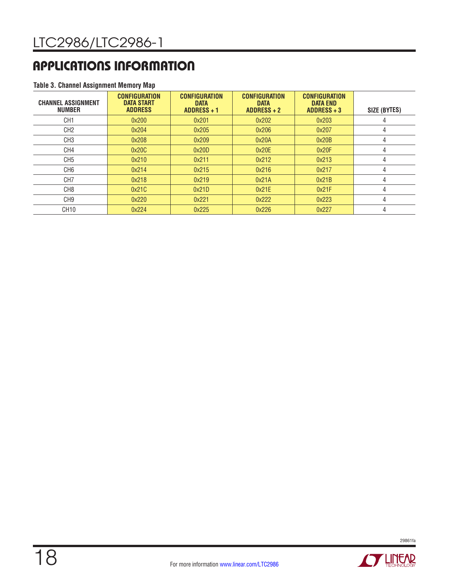#### **Table 3. Channel Assignment Memory Map**

| <b>CHANNEL ASSIGNMENT</b><br><b>NUMBER</b> | <b>CONFIGURATION</b><br><b>DATA START</b><br><b>ADDRESS</b> | <b>CONFIGURATION</b><br><b>DATA</b><br><b>ADDRESS + 1</b> | <b>CONFIGURATION</b><br><b>DATA</b><br>$ADDRESS + 2$ | <b>CONFIGURATION</b><br><b>DATA END</b><br>$ADDRESS + 3$ | SIZE (BYTES) |
|--------------------------------------------|-------------------------------------------------------------|-----------------------------------------------------------|------------------------------------------------------|----------------------------------------------------------|--------------|
| CH <sub>1</sub>                            | 0x200                                                       | 0x201                                                     | 0x202                                                | 0x203                                                    |              |
| CH <sub>2</sub>                            | 0x204                                                       | 0x205                                                     | 0x206                                                | 0x207                                                    | 4            |
| CH <sub>3</sub>                            | 0x208                                                       | 0x209                                                     | 0x20A                                                | 0x20B                                                    | 4            |
| CH4                                        | 0x20C                                                       | 0x20D                                                     | 0x20E                                                | 0x20F                                                    |              |
| CH <sub>5</sub>                            | 0x210                                                       | 0x211                                                     | 0x212                                                | 0x213                                                    |              |
| CH <sub>6</sub>                            | 0x214                                                       | 0x215                                                     | 0x216                                                | 0x217                                                    |              |
| CH <sub>7</sub>                            | 0x218                                                       | 0x219                                                     | 0x21A                                                | 0x21B                                                    |              |
| CH <sub>8</sub>                            | 0x21C                                                       | 0x21D                                                     | 0x21E                                                | 0x21F                                                    | 4            |
| CH <sub>9</sub>                            | 0x220                                                       | 0x221                                                     | 0x222                                                | 0x223                                                    | 4            |
| CH <sub>10</sub>                           | 0x224                                                       | 0x225                                                     | 0x226                                                | 0x227                                                    | 4            |



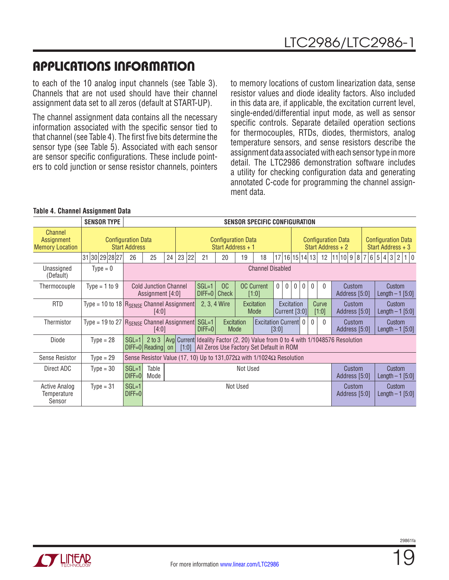to each of the 10 analog input channels (see Table 3). Channels that are not used should have their channel assignment data set to all zeros (default at START-UP).

The channel assignment data contains all the necessary information associated with the specific sensor tied to that channel (see Table 4). The first five bits determine the sensor type (see Table 5). Associated with each sensor are sensor specific configurations. These include pointers to cold junction or sense resistor channels, pointers

to memory locations of custom linearization data, sense resistor values and diode ideality factors. Also included in this data are, if applicable, the excitation current level, single-ended/differential input mode, as well as sensor specific controls. Separate detailed operation sections for thermocouples, RTDs, diodes, thermistors, analog temperature sensors, and sense resistors describe the assignment data associated with each sensor type in more detail. The LTC2986 demonstration software includes a utility for checking configuration data and generating annotated C-code for programming the channel assignment data.

|                                                 | <b>SENSOR TYPE</b>                                               |                                                   | SENSOR SPECIFIC CONFIGURATION                                                                                                                                                                        |    |          |              |                                                                                                                                        |                                                   |                         |          |  |                         |                             |                |                                                |           |                                                     |  |                                                |        |                       |  |
|-------------------------------------------------|------------------------------------------------------------------|---------------------------------------------------|------------------------------------------------------------------------------------------------------------------------------------------------------------------------------------------------------|----|----------|--------------|----------------------------------------------------------------------------------------------------------------------------------------|---------------------------------------------------|-------------------------|----------|--|-------------------------|-----------------------------|----------------|------------------------------------------------|-----------|-----------------------------------------------------|--|------------------------------------------------|--------|-----------------------|--|
| Channel<br>Assignment<br><b>Memory Location</b> |                                                                  | <b>Configuration Data</b><br><b>Start Address</b> |                                                                                                                                                                                                      |    |          |              | <b>Configuration Data</b><br>Start Address + 1                                                                                         |                                                   |                         |          |  |                         |                             |                | <b>Configuration Data</b><br>Start Address + 2 |           |                                                     |  | <b>Configuration Data</b><br>Start Address + 3 |        |                       |  |
|                                                 | 30 29 28 27<br>31                                                | 26                                                | 25                                                                                                                                                                                                   | 24 | 23<br>22 | 21           | 20                                                                                                                                     | 19                                                | 18                      |          |  |                         | 17 16 15 14 13              |                | 12                                             | 11 10 9 8 |                                                     |  | 6 5 4 3                                        |        | $\overline{2}$<br>1 0 |  |
| Unassigned<br>(Default)                         | $Type = 0$                                                       |                                                   |                                                                                                                                                                                                      |    |          |              |                                                                                                                                        |                                                   | <b>Channel Disabled</b> |          |  |                         |                             |                |                                                |           |                                                     |  |                                                |        |                       |  |
| Thermocouple                                    | Type = $1$ to 9                                                  |                                                   | $SGL=1$<br><b>OC Current</b><br>OC<br>$\mathbf{0}$<br>$\mathbf 0$<br>$\mathbf{0}$<br><b>Cold Junction Channel</b><br>$\mathbf{0}$<br>$\mathbf{0}$<br>$D$ IFF=0<br>Check<br>Assignment [4:0]<br>[1:0] |    |          |              |                                                                                                                                        |                                                   |                         | $\Omega$ |  | Custom<br>Address [5:0] | Custom<br>Length $-1$ [5:0] |                |                                                |           |                                                     |  |                                                |        |                       |  |
| <b>RTD</b>                                      | Type = 10 to 18 $R_{\text{SENSE}}$ Channel Assignment            |                                                   | [4:0]                                                                                                                                                                                                |    |          | 2, 3, 4 Wire |                                                                                                                                        | Excitation<br>Excitation<br>Mode<br>Current [3:0] |                         |          |  |                         |                             | Curve<br>[1:0] |                                                | Custom    | <b>Custom</b><br>Address [5:0]<br>Length $-1$ [5:0] |  |                                                |        |                       |  |
| Thermistor                                      | Type = 19 to $27 \mid R_{\text{SENSE}}$ Channel Assignment SGL=1 |                                                   | [4:0]                                                                                                                                                                                                |    |          | $DIFF=0$     |                                                                                                                                        | Excitation<br>Mode                                | Excitation Current 0    | [3:0]    |  |                         |                             | $\mathbf{0}$   | $\Omega$                                       |           | Custom<br>Address [5:0]                             |  |                                                | Custom | Length $-1$ [5:0]     |  |
| Diode                                           | $Type = 28$                                                      | $SGL=1$                                           | DIFF=0 Reading on                                                                                                                                                                                    |    | [1:0]    |              | 2 to 3   Avg  Current  Ideality Factor (2, 20) Value from 0 to 4 with 1/1048576 Resolution<br>All Zeros Use Factory Set Default in ROM |                                                   |                         |          |  |                         |                             |                |                                                |           |                                                     |  |                                                |        |                       |  |
| Sense Resistor                                  | $Type = 29$                                                      |                                                   | Sense Resistor Value (17, 10) Up to 131,072 $\Omega$ with 1/1024 $\Omega$ Resolution                                                                                                                 |    |          |              |                                                                                                                                        |                                                   |                         |          |  |                         |                             |                |                                                |           |                                                     |  |                                                |        |                       |  |
| Direct ADC                                      | $Type = 30$                                                      | $SGL=1$<br>$D$ $F = 0$                            | Table<br>Not Used<br>Custom<br>Custom<br>Mode<br>Address [5:0]<br>Length $-1$ [5:0]                                                                                                                  |    |          |              |                                                                                                                                        |                                                   |                         |          |  |                         |                             |                |                                                |           |                                                     |  |                                                |        |                       |  |
| <b>Active Analog</b><br>Temperature<br>Sensor   | $Type = 31$                                                      | $SGL=1$<br>$DIFF=0$                               | <b>Not Used</b><br>Custom<br>Custom<br>Address [5:0]<br>Length $-1$ [5:0]                                                                                                                            |    |          |              |                                                                                                                                        |                                                   |                         |          |  |                         |                             |                |                                                |           |                                                     |  |                                                |        |                       |  |

#### **Table 4. Channel Assignment Data**



19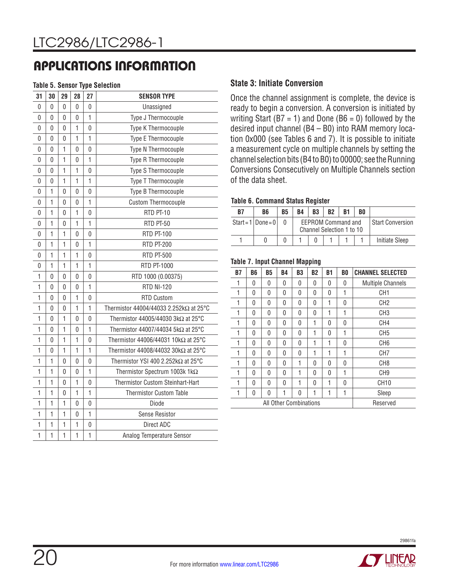#### **Table 5. Sensor Type Selection**

| 31           | 30           | 29             | 28 | 27           | <b>SENSOR TYPE</b>                          |  |  |  |  |  |  |  |
|--------------|--------------|----------------|----|--------------|---------------------------------------------|--|--|--|--|--|--|--|
| 0            | 0            | 0              | 0  | 0            | Unassigned                                  |  |  |  |  |  |  |  |
| 0            | 0            | 0              | 0  | 1            | Type J Thermocouple                         |  |  |  |  |  |  |  |
| 0            | 0            | 0              | 1  | 0            | Type K Thermocouple                         |  |  |  |  |  |  |  |
| 0            | 0            | 0              | 1  | 1            | Type E Thermocouple                         |  |  |  |  |  |  |  |
| 0            | 0            | 1              | 0  | 0            | Type N Thermocouple                         |  |  |  |  |  |  |  |
| 0            | 0            | $\mathbf{1}$   | 0  | 1            | Type R Thermocouple                         |  |  |  |  |  |  |  |
| 0            | 0            | 1              | 1  | 0            | Type S Thermocouple                         |  |  |  |  |  |  |  |
| 0            | 0            | 1              | 1  | 1            | Type T Thermocouple                         |  |  |  |  |  |  |  |
| 0            | 1            | 0              | 0  | 0            | Type B Thermocouple                         |  |  |  |  |  |  |  |
| 0            | 1            | 0              | 0  | 1            | <b>Custom Thermocouple</b>                  |  |  |  |  |  |  |  |
| 0            | 1            | 0              | 1  | 0            | RTD PT-10                                   |  |  |  |  |  |  |  |
| 0            | 1            | 0              | 1  | 1            | RTD PT-50                                   |  |  |  |  |  |  |  |
| 0            | $\mathbf{1}$ | 1              | 0  | 0            | <b>RTD PT-100</b>                           |  |  |  |  |  |  |  |
| 0            | 1            | $\overline{1}$ | 0  | $\mathbf{1}$ | <b>RTD PT-200</b>                           |  |  |  |  |  |  |  |
| 0            | 1            | 1              | 1  | 0            | <b>RTD PT-500</b>                           |  |  |  |  |  |  |  |
| 0            | 1            | 1              | 1  | 1            | RTD PT-1000                                 |  |  |  |  |  |  |  |
| 1            | $\mathbf 0$  | $\mathbf 0$    | 0  | 0            | RTD 1000 (0.00375)                          |  |  |  |  |  |  |  |
| 1            | 0            | 0              | 0  | $\mathbf{1}$ | <b>RTD NI-120</b>                           |  |  |  |  |  |  |  |
| $\mathbf{1}$ | 0            | 0              | 1  | 0            | <b>RTD Custom</b>                           |  |  |  |  |  |  |  |
| 1            | 0            | 0              | 1  | 1            | Thermistor 44004/44033 2.252kΩ at 25°C      |  |  |  |  |  |  |  |
| 1            | $\mathbf 0$  | $\mathbf{1}$   | 0  | 0            | Thermistor 44005/44030 3kΩ at 25°C          |  |  |  |  |  |  |  |
| 1            | 0            | $\overline{1}$ | 0  | 1            | Thermistor 44007/44034 5kΩ at 25°C          |  |  |  |  |  |  |  |
| 1            | 0            | 1              | 1  | 0            | Thermistor 44006/44031 10k $\Omega$ at 25°C |  |  |  |  |  |  |  |
| 1            | 0            | 1              | 1  | 1            | Thermistor 44008/44032 30k $\Omega$ at 25°C |  |  |  |  |  |  |  |
| 1            | $\mathbf{1}$ | 0              | 0  | 0            | Thermistor YSI 400 2.252k $\Omega$ at 25°C  |  |  |  |  |  |  |  |
| 1            | 1            | 0              | 0  | $\mathbf{1}$ | Thermistor Spectrum 1003k 1kΩ               |  |  |  |  |  |  |  |
| 1            | 1            | 0              | 1  | 0            | Thermistor Custom Steinhart-Hart            |  |  |  |  |  |  |  |
| 1            | $\mathbf{1}$ | 0              | 1  | 1            | <b>Thermistor Custom Table</b>              |  |  |  |  |  |  |  |
| 1            | 1            | 1              | 0  | 0            | Diode                                       |  |  |  |  |  |  |  |
| 1            | 1            | 1              | 0  | $\mathbf{1}$ | Sense Resistor                              |  |  |  |  |  |  |  |
| 1            | 1            | 1              | 1  | 0            | Direct ADC                                  |  |  |  |  |  |  |  |
| $\mathbf{1}$ | 1            | 1              | 1  | 1            | Analog Temperature Sensor                   |  |  |  |  |  |  |  |

#### **State 3: Initiate Conversion**

Once the channel assignment is complete, the device is ready to begin a conversion. A conversion is initiated by writing Start ( $B7 = 1$ ) and Done ( $B6 = 0$ ) followed by the desired input channel (B4 – B0) into RAM memory location 0x000 (see Tables 6 and 7). It is possible to initiate a measurement cycle on multiple channels by setting the channel selection bits (B4 to B0) to 00000; see the Running Conversions Consecutively on Multiple Channels section of the data sheet.

#### **Table 6. Command Status Register**

| <b>B7</b> | B6                       | <b>B5</b> | <b>B4</b> | <b>B3</b>                                              | <b>B2</b> | <b>R1</b> | B0                 |                       |
|-----------|--------------------------|-----------|-----------|--------------------------------------------------------|-----------|-----------|--------------------|-----------------------|
|           | Start= $1  $ Done= $0  $ |           |           | <b>EEPROM Command and</b><br>Channel Selection 1 to 10 |           |           | l Start Conversion |                       |
|           |                          |           |           |                                                        |           |           |                    | <b>Initiate Sleep</b> |

#### **Table 7. Input Channel Mapping**

| <b>B7</b> | B <sub>6</sub> | <b>B5</b>              | <b>B4</b> | B3       | <b>B2</b> | B1       | B <sub>0</sub>   | <b>CHANNEL SELECTED</b>  |
|-----------|----------------|------------------------|-----------|----------|-----------|----------|------------------|--------------------------|
| 1         | 0              | 0                      | 0         | 0        | 0         | 0        | 0                | <b>Multiple Channels</b> |
| 1         | 0              | 0                      | 0         | 0        | 0         | 0        | 1                | CH <sub>1</sub>          |
| 1         | 0              | 0                      | 0         | 0        | 0         | 1        | 0                | CH <sub>2</sub>          |
| 1         | 0              | 0                      | 0         | 0        | 0         | 1        | CH <sub>3</sub>  |                          |
| 1         | 0              | 0                      | 0         | 0        | 1         | 0        | CH4              |                          |
| 1         | 0              | 0                      | 0         | 0        | 1         | 0        | 1                | CH <sub>5</sub>          |
| 1         | 0              | $\Omega$               | 0         | $\Omega$ | 1         | 1        | 0                | CH <sub>6</sub>          |
| 1         | 0              | 0                      | 0         | 0        | 1         | 1        | 1                | CH <sub>7</sub>          |
| 1         | 0              | $\Omega$               | $\Omega$  | 1        | $\Omega$  | $\Omega$ | $\Omega$         | CH <sub>8</sub>          |
| 1         | 0              | 0                      | 0         | 1        | $\Omega$  | $\Omega$ | 1                | CH <sub>9</sub>          |
| 1         | 0              | 0                      | 0         | 1        | 0         | 1        | CH <sub>10</sub> |                          |
| 1         | 0              | 0                      | 1         | 1        | Sleep     |          |                  |                          |
|           |                | All Other Combinations | Reserved  |          |           |          |                  |                          |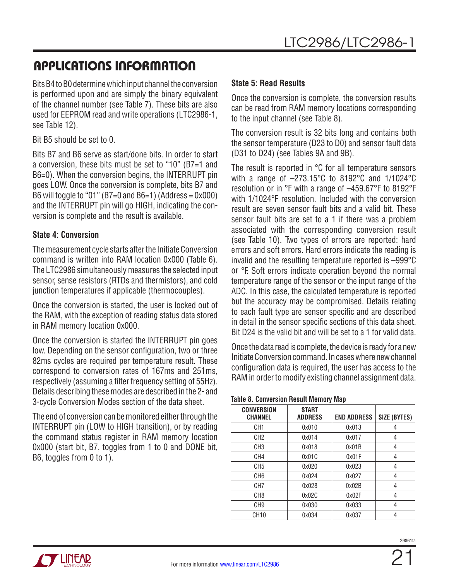Bits B4 to B0 determine which input channel the conversion is performed upon and are simply the binary equivalent of the channel number (see Table 7). These bits are also used for EEPROM read and write operations (LTC2986-1, see Table 12).

Bit B5 should be set to 0.

Bits B7 and B6 serve as start/done bits. In order to start a conversion, these bits must be set to "10" (B7=1 and B6=0). When the conversion begins, the INTERRUPT pin goes LOW. Once the conversion is complete, bits B7 and B6 will toggle to "01" (B7=0 and B6=1) (Address =  $0x000$ ) and the INTERRUPT pin will go HIGH, indicating the conversion is complete and the result is available.

### **State 4: Conversion**

The measurement cycle starts after the Initiate Conversion command is written into RAM location 0x000 (Table 6). The LTC2986 simultaneously measures the selected input sensor, sense resistors (RTDs and thermistors), and cold junction temperatures if applicable (thermocouples).

Once the conversion is started, the user is locked out of the RAM, with the exception of reading status data stored in RAM memory location 0x000.

Once the conversion is started the INTERRUPT pin goes low. Depending on the sensor configuration, two or three 82ms cycles are required per temperature result. These correspond to conversion rates of 167ms and 251ms, respectively (assuming a filter frequency setting of 55Hz). Details describing these modes are described in the 2- and 3-cycle Conversion Modes section of the data sheet.

The end of conversion can be monitored either through the INTERRUPT pin (LOW to HIGH transition), or by reading the command status register in RAM memory location 0x000 (start bit, B7, toggles from 1 to 0 and DONE bit, B6, toggles from 0 to 1).

### **State 5: Read Results**

Once the conversion is complete, the conversion results can be read from RAM memory locations corresponding to the input channel (see Table 8).

The conversion result is 32 bits long and contains both the sensor temperature (D23 to D0) and sensor fault data (D31 to D24) (see Tables 9A and 9B).

The result is reported in °C for all temperature sensors with a range of –273.15°C to 8192°C and 1/1024°C resolution or in °F with a range of –459.67°F to 8192°F with 1/1024°F resolution. Included with the conversion result are seven sensor fault bits and a valid bit. These sensor fault bits are set to a 1 if there was a problem associated with the corresponding conversion result (see Table 10). Two types of errors are reported: hard errors and soft errors. Hard errors indicate the reading is invalid and the resulting temperature reported is –999°C or °F. Soft errors indicate operation beyond the normal temperature range of the sensor or the input range of the ADC. In this case, the calculated temperature is reported but the accuracy may be compromised. Details relating to each fault type are sensor specific and are described in detail in the sensor specific sections of this data sheet. Bit D24 is the valid bit and will be set to a 1 for valid data.

Once the data read is complete, the device is ready for a new Initiate Conversion command. In cases where new channel configuration data is required, the user has access to the RAM in order to modify existing channel assignment data.

#### **Table 8. Conversion Result Memory Map**

| <b>CONVERSION</b><br><b>CHANNEL</b> | <b>START</b><br><b>ADDRESS</b> | <b>END ADDRESS</b> | SIZE (BYTES) |
|-------------------------------------|--------------------------------|--------------------|--------------|
| CH1                                 | 0x010                          | 0x013              |              |
| CH <sub>2</sub>                     | 0x014                          | 0x017              | 4            |
| CH <sub>3</sub>                     | 0x018                          | 0x01B              | 4            |
| CH4                                 | 0x01C                          | 0x01F              | 4            |
| CH <sub>5</sub>                     | 0x020                          | 0x023              | 4            |
| CH <sub>6</sub>                     | 0x024                          | 0x027              | 4            |
| CH7                                 | 0x028                          | 0x02B              | 4            |
| CH <sub>8</sub>                     | 0x02C                          | 0x02F              | 4            |
| CH <sub>9</sub>                     | 0x030                          | 0x033              | 4            |
| CH <sub>10</sub>                    | 0x034                          | 0x037              |              |

21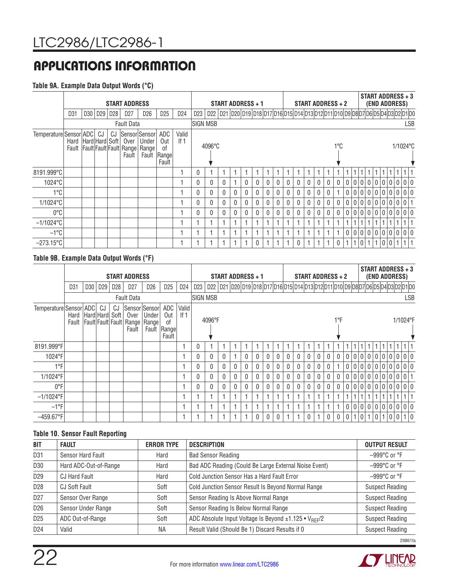#### **Table 9A. Example Data Output Words (°C)**

|                        |                           | <b>START ADDRESS</b> |    |             |                   |                                                                               |                                     |                 | START ADDRESS + 1 |                                                                                   |              |   |   |              | START ADDRESS + 2 |   |              |              |   |   | <b>START ADDRESS + 3</b><br>(END ADDRESS) |     |                |       |  |   |              |                   |  |            |
|------------------------|---------------------------|----------------------|----|-------------|-------------------|-------------------------------------------------------------------------------|-------------------------------------|-----------------|-------------------|-----------------------------------------------------------------------------------|--------------|---|---|--------------|-------------------|---|--------------|--------------|---|---|-------------------------------------------|-----|----------------|-------|--|---|--------------|-------------------|--|------------|
|                        | D <sub>31</sub>           |                      |    | D30 D29 D28 | D <sub>27</sub>   | D <sub>26</sub>                                                               | D <sub>25</sub>                     | D <sub>24</sub> | D23               | D22 D21 D20 D19 D18 D17 D16 D15 D14 D13 D12 D11 D10 D9 D8 D7 D6 D5 D4 D3 D2 D1 D0 |              |   |   |              |                   |   |              |              |   |   |                                           |     |                |       |  |   |              |                   |  |            |
|                        |                           |                      |    |             | <b>Fault Data</b> |                                                                               |                                     |                 | <b>SIGN MSB</b>   |                                                                                   |              |   |   |              |                   |   |              |              |   |   |                                           |     |                |       |  |   |              |                   |  | <b>LSB</b> |
| Temperature Sensor ADC | Hard   Hard   Hard   Soft |                      | CJ | CJ          | Over<br>Fault     | Sensor Sensor<br><b>Under</b><br>Fault Fault Fault Fault Range Range<br>Fault | ADC<br>Out<br>0f<br>Rangel<br>Fault | Valid<br>If $1$ |                   | $4096^{\circ}$ C                                                                  |              |   |   |              |                   |   |              |              |   |   |                                           | 1°C |                |       |  |   |              | 1/1024°C          |  |            |
| 8191.999°C             |                           |                      |    |             |                   |                                                                               |                                     |                 | $\Omega$          |                                                                                   |              |   |   |              |                   |   |              |              |   |   | 1                                         |     |                |       |  |   |              | 1                 |  |            |
| 1024°C                 |                           |                      |    |             |                   |                                                                               |                                     |                 | $\mathbf{0}$      | 0                                                                                 | 0            |   |   | $\mathbf{0}$ | $\mathbf{0}$      | 0 | $\mathbf{0}$ | 0            | 0 | 0 |                                           |     | 0              |       |  |   |              | 00000000000       |  |            |
| 1°C                    |                           |                      |    |             |                   |                                                                               |                                     |                 | $\mathbf{0}$      | $\mathbf{0}$                                                                      | 0            | 0 | 0 | $\mathbf 0$  | $\mathbf{0}$      | 0 | 0            | $\mathbf{0}$ | 0 | 0 | $\theta$                                  |     | 0              |       |  |   |              | 0 0 0 0 0 0 0 0 0 |  |            |
| 1/1024°C               |                           |                      |    |             |                   |                                                                               |                                     |                 | $\Omega$          | $\Omega$                                                                          | 0            | 0 |   | $\mathbf{0}$ | $\mathbf{0}$      | 0 | 0            | $\mathbf{0}$ | 0 | 0 | $\mathbf{0}$                              |     | $\mathbf{0}$   |       |  |   |              | $0000000000001$   |  |            |
| $0^{\circ}$ C          |                           |                      |    |             |                   |                                                                               |                                     |                 | $\mathbf{0}$      | 0                                                                                 | $\mathbf{0}$ | 0 |   | 0            | $\mathbf{0}$      | 0 | 0            | 0            | 0 | 0 | $\mathbf{0}$                              |     | $\overline{0}$ |       |  |   |              | 00000000000       |  |            |
| $-1/1024$ °C           |                           |                      |    |             |                   |                                                                               |                                     |                 |                   |                                                                                   |              |   |   |              |                   |   |              |              |   |   | $\overline{1}$                            |     |                |       |  |   |              | 1                 |  |            |
| $-1$ °C                |                           |                      |    |             |                   |                                                                               |                                     |                 |                   |                                                                                   |              |   |   |              |                   |   |              |              |   |   |                                           |     | 0              |       |  |   |              | 00000000000       |  |            |
| $-273.15^{\circ}$ C    |                           |                      |    |             |                   |                                                                               |                                     |                 |                   |                                                                                   |              |   |   | 0            |                   |   |              | $\mathbf{0}$ |   |   |                                           | 0   |                | l 0 l |  | 0 | $\mathbf{0}$ | 1 <sup>1</sup>    |  |            |

#### **Table 9B. Example Data Output Words (°F)**

|                        |                     | <b>START ADDRESS</b> |                 |                 |                                                                 |                                 |                           |                 | START ADDRESS + 1<br>D22 D21 D20 D19 D18 D17 D16 D15 D14 D13 D12 D11 D10 D9 D8 D7 D6 D5 D4 D3 D2 D1 D0 |        |              |              |              | START ADDRESS + 2 |              |  |   |  |  |              | START ADDRESS + 3<br>(END ADDRESS) |              |              |       |   |   |         |  |     |             |
|------------------------|---------------------|----------------------|-----------------|-----------------|-----------------------------------------------------------------|---------------------------------|---------------------------|-----------------|--------------------------------------------------------------------------------------------------------|--------|--------------|--------------|--------------|-------------------|--------------|--|---|--|--|--------------|------------------------------------|--------------|--------------|-------|---|---|---------|--|-----|-------------|
|                        | D31                 | D <sub>30</sub>      | D <sub>29</sub> | D <sub>28</sub> | D <sub>27</sub>                                                 | D <sub>26</sub>                 | D <sub>25</sub>           | D <sub>24</sub> | D <sub>23</sub>                                                                                        |        |              |              |              |                   |              |  |   |  |  |              |                                    |              |              |       |   |   |         |  |     |             |
|                        |                     |                      |                 |                 | <b>Fault Data</b>                                               |                                 |                           |                 | <b>SIGN MSB</b>                                                                                        |        |              |              |              |                   |              |  |   |  |  |              |                                    |              |              |       |   |   |         |  |     | <b>LSB</b>  |
| Temperature Sensor ADC | Hard Hard Hard Soft |                      | CJ              | CJ              | Sensor Sensor<br>Over<br>Fault Fault Fault Fault Range<br>Fault | Under<br>Range<br>Fault   Range | ADC<br>Out<br>0f<br>Fault | Valid<br>If $1$ |                                                                                                        | 4096°F |              |              |              |                   |              |  |   |  |  |              |                                    | 1°F          |              |       |   |   |         |  |     | 1/1024°F    |
| 8191.999°F             |                     |                      |                 |                 |                                                                 |                                 |                           |                 | $\theta$                                                                                               |        |              |              |              |                   |              |  |   |  |  |              |                                    |              |              |       |   |   |         |  |     |             |
| 1024°F                 |                     |                      |                 |                 |                                                                 |                                 |                           |                 | $\mathbf{0}$                                                                                           |        | $\mathbf{0}$ |              | 0            |                   | 0            |  | 0 |  |  | 0            | 0                                  |              | 0            |       |   |   |         |  |     | 00000000000 |
| 1°F                    |                     |                      |                 |                 |                                                                 |                                 |                           |                 | $\mathbf{0}$                                                                                           | 0      | $\mathbf{0}$ | $\mathbf{0}$ | $\mathbf{0}$ | $\mathbf{0}$      | 0            |  |   |  |  | $\mathbf{0}$ | 0                                  |              | $\mathbf{0}$ |       |   |   |         |  |     | 0000000000  |
| 1/1024°F               |                     |                      |                 |                 |                                                                 |                                 |                           |                 | 0                                                                                                      |        | $\mathbf{0}$ | 0            | $\Omega$     |                   | 0            |  |   |  |  |              | 0                                  |              | 0            | 0     |   |   | 00000   |  |     | 0 0 0 1     |
| 0°F                    |                     |                      |                 |                 |                                                                 |                                 |                           |                 | $\mathbf{0}$                                                                                           | 0      | $\mathbf{0}$ | $\mathbf{0}$ | $\Omega$     | $\Omega$          | $\mathbf{0}$ |  | 0 |  |  | $\Omega$     | $\mathbf{0}$                       | 0            | $\mathbf{0}$ | l 0 l |   |   | 0 0 0 0 |  |     | 0000        |
| $-1/1024$ °F           |                     |                      |                 |                 |                                                                 |                                 |                           |                 |                                                                                                        |        |              |              |              |                   |              |  |   |  |  |              |                                    |              |              |       |   |   |         |  | 1   |             |
| $-1$ °F                |                     |                      |                 |                 |                                                                 |                                 |                           |                 |                                                                                                        |        |              |              |              |                   |              |  |   |  |  |              |                                    |              | 0            |       |   |   |         |  |     | 00000000000 |
| $-459.67$ °F           |                     |                      |                 |                 |                                                                 |                                 |                           |                 |                                                                                                        |        |              |              |              | $\Omega$          | $\mathbf{0}$ |  |   |  |  | 1            | $\mathbf{0}$                       | $\mathbf{0}$ | 0            | 1.    | 0 | 1 | 0 1     |  | 0 0 | 1 0         |

#### **Table 10. Sensor Fault Reporting**

| <b>BIT</b>      | <b>FAULT</b>          | <b>ERROR TYPE</b> | <b>DESCRIPTION</b>                                                | <b>OUTPUT RESULT</b>             |
|-----------------|-----------------------|-------------------|-------------------------------------------------------------------|----------------------------------|
| D <sub>31</sub> | Sensor Hard Fault     | Hard              | <b>Bad Sensor Reading</b>                                         | $-999$ °C or °F                  |
| D30             | Hard ADC-Out-of-Range | Hard              | Bad ADC Reading (Could Be Large External Noise Event)             | $-999^{\circ}$ C or $^{\circ}$ F |
| D <sub>29</sub> | <b>CJ Hard Fault</b>  | Hard              | Cold Junction Sensor Has a Hard Fault Error                       | $-999^{\circ}$ C or $^{\circ}$ F |
| D <sub>28</sub> | CJ Soft Fault         | Soft              | Cold Junction Sensor Result Is Beyond Normal Range                | <b>Suspect Reading</b>           |
| D <sub>27</sub> | Sensor Over Range     | Soft              | Sensor Reading Is Above Normal Range                              | <b>Suspect Reading</b>           |
| D <sub>26</sub> | Sensor Under Range    | Soft              | Sensor Reading Is Below Normal Range                              | <b>Suspect Reading</b>           |
| D <sub>25</sub> | ADC Out-of-Range      | Soft              | ADC Absolute Input Voltage Is Beyond ±1.125 • V <sub>RFF</sub> /2 | <b>Suspect Reading</b>           |
| D <sub>24</sub> | Valid                 | <b>NA</b>         | Result Valid (Should Be 1) Discard Results if 0                   | <b>Suspect Reading</b>           |
|                 |                       |                   |                                                                   | 29861fa                          |

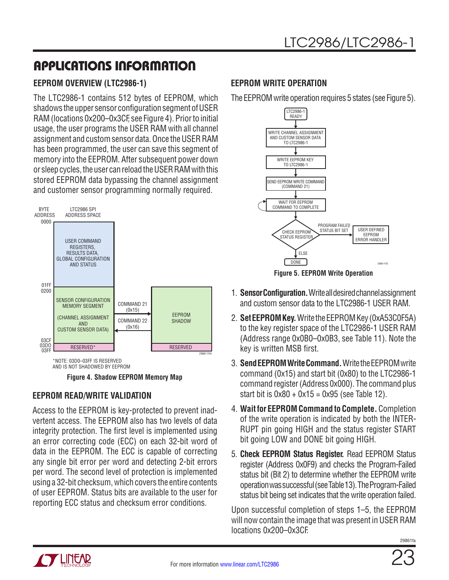### <span id="page-22-0"></span>**EEPROM OVERVIEW (LTC2986-1)**

The LTC2986-1 contains 512 bytes of EEPROM, which shadows the upper sensor configuration segment of USER RAM (locations 0x200–0x3CF, see Figure 4). Prior to initial usage, the user programs the USER RAM with all channel assignment and custom sensor data. Once the USER RAM has been programmed, the user can save this segment of memory into the EEPROM. After subsequent power down or sleep cycles, the user can reload the USER RAM with this stored EEPROM data bypassing the channel assignment and customer sensor programming normally required.



AND IS NOT SHADOWED BY EEPROM

**Figure 4. Shadow EEPROM Memory Map**

### **EEPROM READ/WRITE VALIDATION**

Access to the EEPROM is key-protected to prevent inadvertent access. The EEPROM also has two levels of data integrity protection. The first level is implemented using an error correcting code (ECC) on each 32-bit word of data in the EEPROM. The ECC is capable of correcting any single bit error per word and detecting 2-bit errors per word. The second level of protection is implemented using a 32-bit checksum, which covers the entire contents of user EEPROM. Status bits are available to the user for reporting ECC status and checksum error conditions.

### **EEPROM WRITE OPERATION**

The EEPROM write operation requires 5 states (see Figure 5).



**Figure 5. EEPROM Write Operation**

- 1. **Sensor Configuration.** Write all desired channel assignment and custom sensor data to the LTC2986-1 USER RAM.
- 2. **Set EEPROM Key.** Write the EEPROM Key (0xA53C0F5A) to the key register space of the LTC2986-1 USER RAM (Address range 0x0B0–0x0B3, see Table 11). Note the key is written MSB first.
- 3. **Send EEPROM Write Command.** Write the EEPROM write command (0x15) and start bit (0x80) to the LTC2986-1 command register (Address 0x000). The command plus start bit is  $0x80 + 0x15 = 0x95$  (see Table 12).
- 4. **Wait for EEPROM Command to Complete.** Completion of the write operation is indicated by both the INTER-RUPT pin going HIGH and the status register START bit going LOW and DONE bit going HIGH.
- 5. **Check EEPROM Status Register.** Read EEPROM Status register (Address 0x0F9) and checks the Program-Failed status bit (Bit 2) to determine whether the EEPROM write operation was successful (see Table 13). The Program-Failed status bit being set indicates that the write operation failed.

Upon successful completion of steps 1–5, the EEPROM will now contain the image that was present in USER RAM locations 0x200–0x3CF.



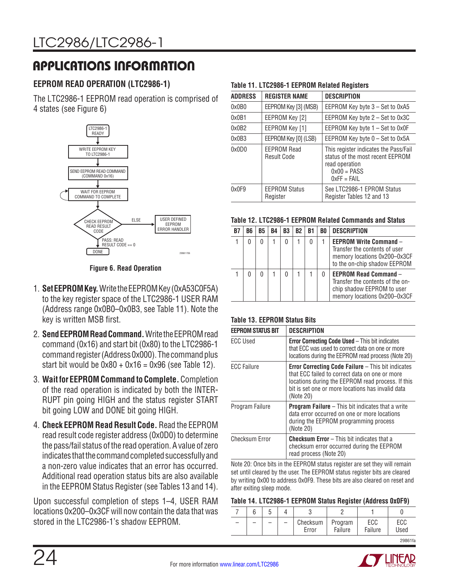### <span id="page-23-0"></span>**EEPROM READ OPERATION (LTC2986-1)**

The LTC2986-1 EEPROM read operation is comprised of 4 states (see Figure 6)



#### **Figure 6. Read Operation**

- 1. **Set EEPROM Key.** Write the EEPROM Key (0xA53C0F5A) to the key register space of the LTC2986-1 USER RAM (Address range 0x0B0–0x0B3, see Table 11). Note the key is written MSB first.
- 2. **Send EEPROM Read Command.** Write the EEPROM read command (0x16) and start bit (0x80) to the LTC2986-1 command register (Address 0x000). The command plus start bit would be  $0x80 + 0x16 = 0x96$  (see Table 12).
- 3. **Wait for EEPROM Command to Complete.** Completion of the read operation is indicated by both the INTER-RUPT pin going HIGH and the status register START bit going LOW and DONE bit going HIGH.
- 4. **Check EEPROM Read Result Code.** Read the EEPROM read result code register address (0x0D0) to determine the pass/fail status of the read operation. A value of zero indicates that the command completed successfully and a non-zero value indicates that an error has occurred. Additional read operation status bits are also available in the EEPROM Status Register (see Tables 13 and 14).

Upon successful completion of steps 1–4, USER RAM locations 0x200–0x3CF will now contain the data that was stored in the LTC2986-1's shadow EEPROM.

#### **Table 11. LTC2986-1 EEPROM Related Registers**

| <b>ADDRESS</b> | <b>REGISTER NAME</b>                     | <b>DESCRIPTION</b>                                                                                                            |
|----------------|------------------------------------------|-------------------------------------------------------------------------------------------------------------------------------|
| 0x0B0          | EEPROM Key [3] (MSB)                     | EEPROM Key byte $3 - Set$ to 0xA5                                                                                             |
| 0x0B1          | EEPROM Key [2]                           | EEPROM Key byte 2 - Set to 0x3C                                                                                               |
| 0x0B2          | EEPROM Key [1]                           | EEPROM Key byte $1 - Set$ to 0x0F                                                                                             |
| 0x0B3          | EEPROM Key [0] (LSB)                     | EEPROM Key byte 0 - Set to 0x5A                                                                                               |
| 0x0D0          | <b>EEPROM Read</b><br><b>Result Code</b> | This register indicates the Pass/Fail<br>status of the most recent EEPROM<br>read operation<br>$0x00 = PASS$<br>$0xFF = FAIL$ |
| 0x0F9          | <b>EEPROM Status</b><br>Register         | See LTC2986-1 EPROM Status<br>Register Tables 12 and 13                                                                       |

#### **Table 12. LTC2986-1 EEPROM Related Commands and Status**

| R7 | B6 | <b>B5</b> | <b>B4</b> | B <sub>3</sub> | <b>B2</b> | B1 | BO. | <b>DESCRIPTION</b>                                                                                                             |
|----|----|-----------|-----------|----------------|-----------|----|-----|--------------------------------------------------------------------------------------------------------------------------------|
|    |    |           |           |                |           |    |     | <b>EEPROM Write Command -</b><br>Transfer the contents of user<br>memory locations 0x200-0x3CF<br>to the on-chip shadow EEPROM |
|    |    |           |           |                |           |    |     | <b>EEPROM Read Command -</b><br>Transfer the contents of the on-<br>chip shadow EEPROM to user<br>memory locations 0x200-0x3CF |

#### **Table 13. EEPROM Status Bits**

| <b>EEPROM STATUS BIT</b> | <b>DESCRIPTION</b>                                                                                                                                                                                                                 |  |  |  |  |  |  |  |
|--------------------------|------------------------------------------------------------------------------------------------------------------------------------------------------------------------------------------------------------------------------------|--|--|--|--|--|--|--|
| <b>ECC Used</b>          | <b>Error Correcting Code Used - This bit indicates</b><br>that ECC was used to correct data on one or more<br>locations during the EEPROM read process (Note 20)                                                                   |  |  |  |  |  |  |  |
| <b>ECC Failure</b>       | <b>Error Correcting Code Failure</b> – This bit indicates<br>that ECC failed to correct data on one or more<br>locations during the EEPROM read process. If this<br>bit is set one or more locations has invalid data<br>(Note 20) |  |  |  |  |  |  |  |
| Program Failure          | <b>Program Failure</b> $-$ This bit indicates that a write<br>data error occurred on one or more locations<br>during the EEPROM programming process<br>(Note 20)                                                                   |  |  |  |  |  |  |  |
| <b>Checksum Error</b>    | <b>Checksum Error</b> – This bit indicates that a<br>checksum error occurred during the EEPROM<br>read process (Note 20)                                                                                                           |  |  |  |  |  |  |  |

Note 20: Once bits in the EEPROM status register are set they will remain set until cleared by the user. The EEPROM status register bits are cleared by writing 0x00 to address 0x0F9. These bits are also cleared on reset and after exiting sleep mode.

#### **Table 14. LTC2986-1 EEPROM Status Register (Address 0x0F9)**

|  |  | Checksum<br>Error | Program<br>Failure | ECC<br>Failure | ECC<br>Used |
|--|--|-------------------|--------------------|----------------|-------------|

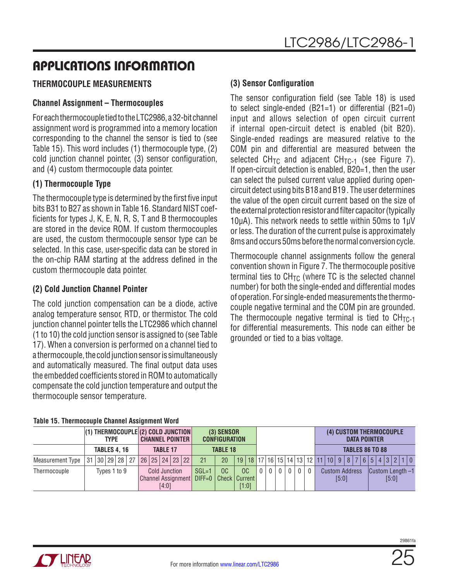### <span id="page-24-0"></span>**THERMOCOUPLE MEASUREMENTS**

### **Channel Assignment – Thermocouples**

For each thermocouple tied to the LTC2986, a 32-bit channel assignment word is programmed into a memory location corresponding to the channel the sensor is tied to (see Table 15). This word includes (1) thermocouple type, (2) cold junction channel pointer, (3) sensor configuration, and (4) custom thermocouple data pointer.

### **(1) Thermocouple Type**

The thermocouple type is determined by the first five input bits B31 to B27 as shown in Table 16. Standard NIST coefficients for types J, K, E, N, R, S, T and B thermocouples are stored in the device ROM. If custom thermocouples are used, the custom thermocouple sensor type can be selected. In this case, user-specific data can be stored in the on-chip RAM starting at the address defined in the custom thermocouple data pointer.

### **(2) Cold Junction Channel Pointer**

The cold junction compensation can be a diode, active analog temperature sensor, RTD, or thermistor. The cold junction channel pointer tells the LTC2986 which channel (1 to 10) the cold junction sensor is assigned to (see Table 17). When a conversion is performed on a channel tied to a thermocouple, the cold junction sensor is simultaneously and automatically measured. The final output data uses the embedded coefficients stored in ROM to automatically compensate the cold junction temperature and output the thermocouple sensor temperature.

### **(3) Sensor Configuration**

The sensor configuration field (see Table 18) is used to select single-ended (B21=1) or differential (B21=0) input and allows selection of open circuit current if internal open-circuit detect is enabled (bit B20). Single-ended readings are measured relative to the COM pin and differential are measured between the selected  $CH_{TC}$  and adjacent  $CH_{TC-1}$  (see Figure 7). If open-circuit detection is enabled, B20=1, then the user can select the pulsed current value applied during opencircuit detect using bits B18 and B19 . The user determines the value of the open circuit current based on the size of the external protection resistor and filter capacitor (typically 10µA). This network needs to settle within 50ms to 1µV or less. The duration of the current pulse is approximately 8ms and occurs 50ms before the normal conversion cycle.

Thermocouple channel assignments follow the general convention shown in Figure 7. The thermocouple positive terminal ties to  $CH_{TC}$  (where TC is the selected channel number) for both the single-ended and differential modes of operation. For single-ended measurements the thermocouple negative terminal and the COM pin are grounded. The thermocouple negative terminal is tied to  $CH_{TC-1}$ for differential measurements. This node can either be grounded or tied to a bias voltage.

|                  | <b>TYPE</b>        |  |  |              |                 |  | $(1)$ THERMOCOUPLE $(2)$ COLD JUNCTION<br><b>CHANNEL POINTER  </b> |       |                        |  | $(3)$ SENSOR<br><b>CONFIGURATION</b> |     |                                                                |  |  |  |  |                        |              | (4) CUSTOM THERMOCOUPLE<br><b>DATA POINTER</b> |                |                                                                                         |  |                       |       |  |  |  |  |       |                        |  |
|------------------|--------------------|--|--|--------------|-----------------|--|--------------------------------------------------------------------|-------|------------------------|--|--------------------------------------|-----|----------------------------------------------------------------|--|--|--|--|------------------------|--------------|------------------------------------------------|----------------|-----------------------------------------------------------------------------------------|--|-----------------------|-------|--|--|--|--|-------|------------------------|--|
|                  | <b>TABLES 4.16</b> |  |  |              | <b>TABLE 17</b> |  |                                                                    |       | <b>TABLE 18</b>        |  |                                      |     |                                                                |  |  |  |  | <b>TABLES 86 TO 88</b> |              |                                                |                |                                                                                         |  |                       |       |  |  |  |  |       |                        |  |
| Measurement Type |                    |  |  |              | 31 30 29 28 27  |  |                                                                    |       | 26   25   24   23   22 |  | 21                                   | 20  |                                                                |  |  |  |  |                        |              |                                                |                | 19   18   17   16   15   14   13   12   11   10   9   8   7   6   5   4   3   2   1   0 |  |                       |       |  |  |  |  |       |                        |  |
| Thermocouple     |                    |  |  | Types 1 to 9 |                 |  |                                                                    | [4:0] | Cold Junction          |  | $SGL=1$                              | OC. | OC<br>Channel Assignment   DIFF=0   Check   Current  <br>[1:0] |  |  |  |  |                        | $\mathbf{0}$ | $\mathbf{0}$                                   | 0 <sup>1</sup> | $\mathbf{0}$                                                                            |  | <b>Custom Address</b> | [5:0] |  |  |  |  | [5:0] | $ $ Custom Length $-1$ |  |

#### **Table 15. Thermocouple Channel Assignment Word**

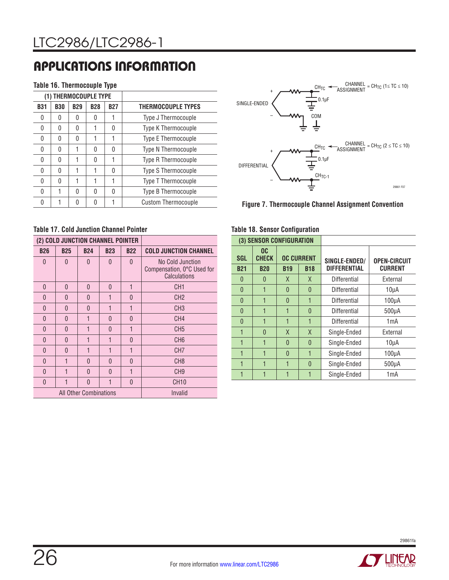#### **Table 16. Thermocouple Type**

|              |              |            | THERMOCOUPLE TYPE |            |                            |
|--------------|--------------|------------|-------------------|------------|----------------------------|
| <b>B31</b>   | <b>B30</b>   | <b>B29</b> | <b>B28</b>        | <b>B27</b> | <b>THERMOCOUPLE TYPES</b>  |
| 0            | U            | 0          | 0                 |            | Type J Thermocouple        |
| $\mathbf{0}$ | O            | 0          |                   | 0          | Type K Thermocouple        |
| Ŋ            | <sup>0</sup> | 0          |                   | 1          | Type E Thermocouple        |
| Ŋ            | O            |            | U                 | O          | Type N Thermocouple        |
| O            | O            | 1          | N                 | 1          | Type R Thermocouple        |
| Ŋ            | O            | 1          |                   | 0          | Type S Thermocouple        |
| Ŋ            | U            |            |                   | 1          | Type T Thermocouple        |
| O            |              | 0          | U                 | O          | Type B Thermocouple        |
|              | 1            | 0          | N                 | 1          | <b>Custom Thermocouple</b> |



**Figure 7. Thermocouple Channel Assignment Convention**

### **Table 17. Cold Junction Channel Pointer**

|              | (2) COLD JUNCTION CHANNEL POINTER |                        |            |            |                                                                |
|--------------|-----------------------------------|------------------------|------------|------------|----------------------------------------------------------------|
| <b>B26</b>   | <b>B25</b>                        | <b>B24</b>             | <b>B23</b> | <b>B22</b> | <b>COLD JUNCTION CHANNEL</b>                                   |
| 0            | $\Omega$                          | $\mathbf{0}$           | $\Omega$   | $\Omega$   | No Cold Junction<br>Compensation, 0°C Used for<br>Calculations |
| $\mathbf{0}$ | $\mathbf{0}$                      | $\mathbf{0}$           | $\Omega$   | 1          | CH <sub>1</sub>                                                |
| $\theta$     | $\Omega$                          | $\mathbf{0}$           | 1          | $\Omega$   | CH <sub>2</sub>                                                |
| $\Omega$     | $\Omega$                          | $\mathbf{0}$           | 1          | 1          | CH <sub>3</sub>                                                |
| 0            | $\Omega$                          | 1                      | $\Omega$   | $\Omega$   | CH <sub>4</sub>                                                |
| $\Omega$     | $\Omega$                          | 1                      | $\Omega$   | 1          | CH <sub>5</sub>                                                |
| 0            | $\Omega$                          | 1                      | 1          | $\Omega$   | CH <sub>6</sub>                                                |
| 0            | U                                 | 1                      | 1          | 1          | CH <sub>7</sub>                                                |
| 0            | 1                                 | $\mathbf{0}$           | $\Omega$   | $\Omega$   | CH <sub>8</sub>                                                |
| 0            | 1                                 | $\Omega$               | O          | 1          | CH <sub>9</sub>                                                |
| $\Omega$     | 1                                 | $\Omega$               | 1          | $\Omega$   | <b>CH10</b>                                                    |
|              |                                   | All Other Combinations | Invalid    |            |                                                                |

#### **Table 18. Sensor Configuration**

|            | (3) SENSOR CONFIGURATION |                   |            |                     |                     |  |
|------------|--------------------------|-------------------|------------|---------------------|---------------------|--|
| <b>SGL</b> | OC<br><b>CHECK</b>       | <b>OC CURRENT</b> |            | SINGLE-ENDED/       | <b>OPEN-CIRCUIT</b> |  |
| <b>B21</b> | <b>B20</b>               | <b>B19</b>        | <b>B18</b> | <b>DIFFERENTIAL</b> | <b>CURRENT</b>      |  |
| $\Omega$   | 0                        | X                 | X          | Differential        | External            |  |
| $\Omega$   | 1                        | $\Omega$          | $\Omega$   | Differential        | 10 <sub>µ</sub> A   |  |
| $\Omega$   | 1                        | $\mathbf{0}$      | 1          | Differential        | 100 <sub>µ</sub> A  |  |
| $\Omega$   | 1                        | 1                 | $\Omega$   | Differential        | $500\mu A$          |  |
| $\Omega$   | 1                        | 1                 |            | Differential        | 1mA                 |  |
|            | $\Omega$                 | X                 | X          | Single-Ended        | External            |  |
| 1          | 1                        | $\Omega$          | $\Omega$   | Single-Ended        | 10 <sub>µ</sub> A   |  |
| 1          | 1                        | $\Omega$          | 1          | Single-Ended        | 100 <sub>µ</sub> A  |  |
| 1          | 1                        | 1                 | $\Omega$   | Single-Ended        | $500\mu A$          |  |
|            |                          | 1                 |            | Single-Ended        | 1mA                 |  |

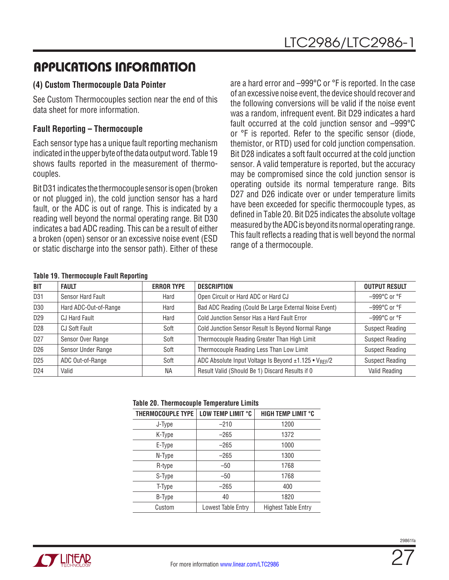### **(4) Custom Thermocouple Data Pointer**

See Custom Thermocouples section near the end of this data sheet for more information.

### **Fault Reporting – Thermocouple**

Each sensor type has a unique fault reporting mechanism indicated in the upper byte of the data output word. Table 19 shows faults reported in the measurement of thermocouples.

Bit D31 indicates the thermocouple sensor is open (broken or not plugged in), the cold junction sensor has a hard fault, or the ADC is out of range. This is indicated by a reading well beyond the normal operating range. Bit D30 indicates a bad ADC reading. This can be a result of either a broken (open) sensor or an excessive noise event (ESD or static discharge into the sensor path). Either of these

are a hard error and –999°C or °F is reported. In the case of an excessive noise event, the device should recover and the following conversions will be valid if the noise event was a random, infrequent event. Bit D29 indicates a hard fault occurred at the cold junction sensor and –999°C or °F is reported. Refer to the specific sensor (diode, themistor, or RTD) used for cold junction compensation. Bit D28 indicates a soft fault occurred at the cold junction sensor. A valid temperature is reported, but the accuracy may be compromised since the cold junction sensor is operating outside its normal temperature range. Bits D27 and D26 indicate over or under temperature limits have been exceeded for specific thermocouple types, as defined in Table 20. Bit D25 indicates the absolute voltage measured by the ADC is beyond its normal operating range. This fault reflects a reading that is well beyond the normal range of a thermocouple.

#### **Table 19. Thermocouple Fault Reporting**

| TUDIO TV: THUIHIUUUUDIU TUURI HUDUILIIIU |                   |                                                                   |                                  |
|------------------------------------------|-------------------|-------------------------------------------------------------------|----------------------------------|
| <b>FAULT</b>                             | <b>ERROR TYPE</b> | <b>DESCRIPTION</b>                                                | <b>OUTPUT RESULT</b>             |
| Sensor Hard Fault                        | Hard              | Open Circuit or Hard ADC or Hard CJ                               | $-999^{\circ}$ C or $^{\circ}$ F |
| Hard ADC-Out-of-Range                    | Hard              | Bad ADC Reading (Could Be Large External Noise Event)             | $-999^{\circ}$ C or $^{\circ}$ F |
| <b>CJ Hard Fault</b>                     | Hard              | Cold Junction Sensor Has a Hard Fault Error                       | $-999$ °C or °F                  |
| <b>CJ Soft Fault</b>                     | Soft              | Cold Junction Sensor Result Is Beyond Normal Range                | <b>Suspect Reading</b>           |
| Sensor Over Range                        | Soft              | Thermocouple Reading Greater Than High Limit                      | <b>Suspect Reading</b>           |
| Sensor Under Range                       | Soft              | Thermocouple Reading Less Than Low Limit                          | <b>Suspect Reading</b>           |
| ADC Out-of-Range                         | Soft              | ADC Absolute Input Voltage Is Beyond ±1.125 • V <sub>RFF</sub> /2 | <b>Suspect Reading</b>           |
| Valid                                    | <b>NA</b>         | Result Valid (Should Be 1) Discard Results if 0                   | Valid Reading                    |
|                                          |                   |                                                                   |                                  |

#### **Table 20. Thermocouple Temperature Limits**

|                   | . <b>.</b>         |                            |  |  |
|-------------------|--------------------|----------------------------|--|--|
| THERMOCOUPLE TYPE | LOW TEMP LIMIT °C  | HIGH TEMP LIMIT °C         |  |  |
| J-Type            | $-210$             | 1200                       |  |  |
| K-Type            | $-265$             | 1372                       |  |  |
| E-Type            | $-265$             | 1000                       |  |  |
| N-Type            | $-265$             | 1300                       |  |  |
| R-type            | $-50$              | 1768                       |  |  |
| S-Type            | $-50$              | 1768                       |  |  |
| T-Type            | $-265$             | 400                        |  |  |
| B-Type            | 40                 | 1820                       |  |  |
| Custom            | Lowest Table Entry | <b>Highest Table Entry</b> |  |  |

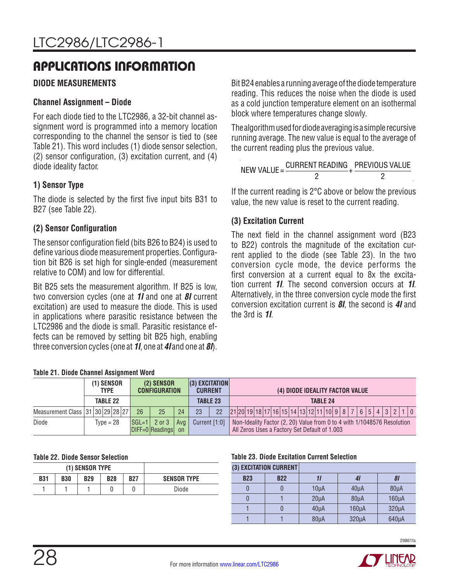### <span id="page-27-0"></span>**DIODE MEASUREMENTS**

### **Channel Assignment – Diode**

For each diode tied to the LTC2986, a 32-bit channel assignment word is programmed into a memory location corresponding to the channel the sensor is tied to (see Table 21). This word includes (1) diode sensor selection, (2) sensor configuration, (3) excitation current, and (4) diode ideality factor.

### **1) Sensor Type**

The diode is selected by the first five input bits B31 to B27 (see Table 22).

### **(2) Sensor Configuration**

The sensor configuration field (bits B26 to B24) is used to define various diode measurement properties. Configuration bit B26 is set high for single-ended (measurement relative to COM) and low for differential.

Bit B25 sets the measurement algorithm. If B25 is low, two conversion cycles (one at *1I* and one at *8I* current excitation) are used to measure the diode. This is used in applications where parasitic resistance between the LTC2986 and the diode is small. Parasitic resistance effects can be removed by setting bit B25 high, enabling three conversion cycles (one at *1I*, one at *4I* and one at *8I*). Bit B24 enables a running average of the diode temperature reading. This reduces the noise when the diode is used as a cold junction temperature element on an isothermal block where temperatures change slowly.

The algorithm used for diode averaging is a simple recursive running average. The new value is equal to the average of the current reading plus the previous value.

| NEW VALUE $=$ | CURRENT READING PREVIOUS VALUE |  |
|---------------|--------------------------------|--|
|               |                                |  |

If the current reading is 2°C above or below the previous value, the new value is reset to the current reading.

### **(3) Excitation Current**

The next field in the channel assignment word (B23 to B22) controls the magnitude of the excitation current applied to the diode (see Table 23). In the two conversion cycle mode, the device performs the first conversion at a current equal to 8x the excitation current *1I*. The second conversion occurs at *1I*. Alternatively, in the three conversion cycle mode the first conversion excitation current is *8I*, the second is *4I* and the 3rd is *1I*.

|  |  |  | Table 21. Diode Channel Assignment Word |  |
|--|--|--|-----------------------------------------|--|
|--|--|--|-----------------------------------------|--|

|                                  | (1) SENSOR<br><b>TYPE</b> |  |             |    | (2) SENSOR<br><b>CONFIGURATION</b>                                      |    | $(3)$ EXCITATION<br><b>CURRENT</b> |                 | (4) DIODE IDEALITY FACTOR VALUE                                                                                          |  |  |  |
|----------------------------------|---------------------------|--|-------------|----|-------------------------------------------------------------------------|----|------------------------------------|-----------------|--------------------------------------------------------------------------------------------------------------------------|--|--|--|
|                                  |                           |  | TABLE 22    |    |                                                                         |    |                                    | <b>TABLE 23</b> | <b>TABLE 24</b>                                                                                                          |  |  |  |
| Measurement Class 31 30 29 28 27 |                           |  |             | 26 | 25                                                                      | 24 | 23                                 | 22              | $ 21 20 19 18 17 16 15 14 13 12 11 10 98 765432110$                                                                      |  |  |  |
| Diode                            |                           |  | $Type = 28$ |    | $ \text{SGL=1} $ 2 or 3 $ \text{Avg} $<br>$D$ IFF=0 Readings $\vert$ on |    | Current [1:0]                      |                 | Non-Ideality Factor (2, 20) Value from 0 to 4 with 1/1048576 Resolution<br>All Zeros Uses a Factory Set Default of 1.003 |  |  |  |

#### **Table 22. Diode Sensor Selection**

|            |            | (1) SENSOR TYPE |            |            |                    |
|------------|------------|-----------------|------------|------------|--------------------|
| <b>B31</b> | <b>B30</b> | <b>B29</b>      | <b>B28</b> | <b>B27</b> | <b>SENSOR TYPE</b> |
|            |            |                 |            |            | Diode              |

#### **Table 23. Diode Excitation Current Selection**

| <b>B22</b> |                   | 41                     | 81                 |
|------------|-------------------|------------------------|--------------------|
|            | 10 <sub>µ</sub> A | $40\mu A$              | 80 <sub>µ</sub> A  |
|            | $20\mu A$         | $80\mu A$              | 160 <sub>µ</sub> A |
|            | 40 <sub>µ</sub> A | $160\mu A$             | $320\mu A$         |
|            | 80 <sub>µ</sub> A | $320\mu A$             | $640\mu$ A         |
|            |                   | (3) EXCITATION CURRENT |                    |

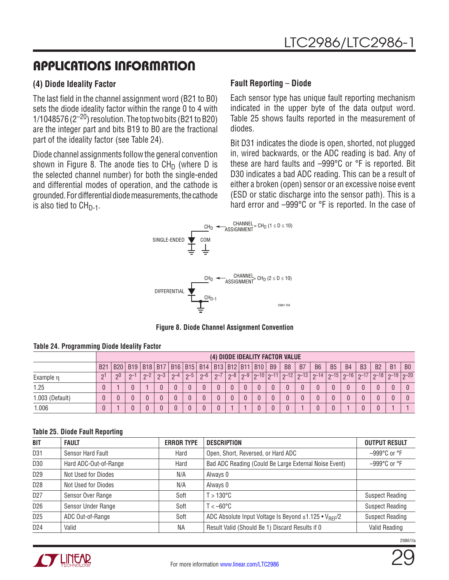### **(4) Diode Ideality Factor**

The last field in the channel assignment word (B21 to B0) sets the diode ideality factor within the range 0 to 4 with 1/1048576  $(2^{-20})$  resolution. The top two bits (B21 to B20) are the integer part and bits B19 to B0 are the fractional part of the ideality factor (see Table 24).

Diode channel assignments follow the general convention shown in Figure 8. The anode ties to  $CH<sub>D</sub>$  (where D is the selected channel number) for both the single-ended and differential modes of operation, and the cathode is grounded. For differential diode measurements, the cathode is also tied to  $CH_{D-1}$ .

### **Fault Reporting** – **Diode**

Each sensor type has unique fault reporting mechanism indicated in the upper byte of the data output word. Table 25 shows faults reported in the measurement of diodes.

Bit D31 indicates the diode is open, shorted, not plugged in, wired backwards, or the ADC reading is bad. Any of these are hard faults and –999°C or °F is reported. Bit D30 indicates a bad ADC reading. This can be a result of either a broken (open) sensor or an excessive noise event (ESD or static discharge into the sensor path). This is a hard error and –999°C or °F is reported. In the case of



**Figure 8. Diode Channel Assignment Convention**

|                 |                 |                 |          |      |      |         |      |                                                           |         |         |                         |           | (4) DIODE IDEALITY FACTOR VALUE |                |                |                |           |           |           |                      |                |
|-----------------|-----------------|-----------------|----------|------|------|---------|------|-----------------------------------------------------------|---------|---------|-------------------------|-----------|---------------------------------|----------------|----------------|----------------|-----------|-----------|-----------|----------------------|----------------|
|                 | B2 <sup>1</sup> | B <sub>20</sub> |          |      |      |         |      | B19   B18   B17   B16   B15   B14   B13   B12   B11   B10 |         |         |                         | <b>B9</b> | B <sub>8</sub>                  | B <sub>7</sub> | B <sub>6</sub> | B <sub>5</sub> | <b>B4</b> | <b>B3</b> | <b>B2</b> | <b>B1</b>            | B <sub>0</sub> |
| Example n       | ി               | ງ0              | $\cap$ - | $-2$ | $-3$ | $0 - 4$ | $-5$ | $2-6$                                                     | $2 - 7$ | $2 - 8$ | $2-9$   $2-10$   $2-11$ |           | $\vert$ 0–12 $\vert$            | $\sim$ -13     | $2 - 14$       | $ 0 - 15 $     | $2 - 16$  | $2 - 17$  |           | $7-18$   2-19   2-20 |                |
| 1.25            |                 |                 |          |      |      |         |      |                                                           |         |         |                         |           |                                 |                |                |                |           |           |           |                      |                |
| 1.003 (Default) |                 |                 |          |      |      |         |      |                                                           |         |         |                         |           |                                 |                |                |                |           |           |           |                      |                |
| 1.006           |                 |                 |          |      |      |         |      |                                                           |         |         |                         |           |                                 |                |                |                |           |           |           |                      |                |

#### **Table 24. Programming Diode Ideality Factor**

#### **Table 25. Diode Fault Reporting**

| BIT             | <b>FAULT</b>          | <b>ERROR TYPE</b> | DESCRIPTION                                           | <b>OUTPUT RESULT</b>             |
|-----------------|-----------------------|-------------------|-------------------------------------------------------|----------------------------------|
| D31             | Sensor Hard Fault     | Hard              | Open, Short, Reversed, or Hard ADC                    | $-999^{\circ}$ C or $^{\circ}$ F |
| D30             | Hard ADC-Out-of-Range | Hard              | Bad ADC Reading (Could Be Large External Noise Event) | $-999^{\circ}$ C or $^{\circ}$ F |
| D <sub>29</sub> | Not Used for Diodes   | N/A               | Always 0                                              |                                  |
| D <sub>28</sub> | Not Used for Diodes   | N/A               | Always 0                                              |                                  |
| D <sub>27</sub> | Sensor Over Range     | Soft              | $T > 130^{\circ}$ C                                   | <b>Suspect Reading</b>           |
| D <sub>26</sub> | Sensor Under Range    | Soft              | $T < -60^{\circ}$ C                                   | <b>Suspect Reading</b>           |
| D <sub>25</sub> | ADC Out-of-Range      | Soft              | ADC Absolute Input Voltage Is Beyond ±1.125 • VREF/2  | <b>Suspect Reading</b>           |
| D <sub>24</sub> | Valid                 | ΝA                | Result Valid (Should Be 1) Discard Results if 0       | Valid Reading                    |



29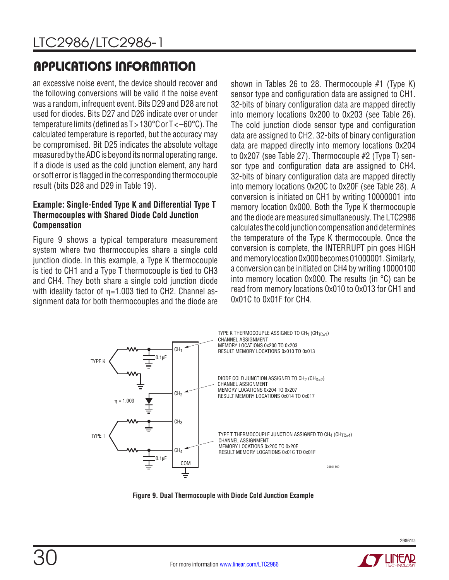an excessive noise event, the device should recover and the following conversions will be valid if the noise event was a random, infrequent event. Bits D29 and D28 are not used for diodes. Bits D27 and D26 indicate over or under temperature limits (defined as T > 130°C or T < –60°C). The calculated temperature is reported, but the accuracy may be compromised. Bit D25 indicates the absolute voltage measured by the ADC is beyond its normal operating range. If a diode is used as the cold junction element, any hard or soft error is flagged in the corresponding thermocouple result (bits D28 and D29 in Table 19).

### **Example: Single-Ended Type K and Differential Type T Thermocouples with Shared Diode Cold Junction Compensation**

Figure 9 shows a typical temperature measurement system where two thermocouples share a single cold junction diode. In this example, a Type K thermocouple is tied to CH1 and a Type T thermocouple is tied to CH3 and CH4. They both share a single cold junction diode with ideality factor of  $n=1.003$  tied to CH2. Channel assignment data for both thermocouples and the diode are shown in Tables 26 to 28. Thermocouple #1 (Type K) sensor type and configuration data are assigned to CH1. 32-bits of binary configuration data are mapped directly into memory locations 0x200 to 0x203 (see Table 26). The cold junction diode sensor type and configuration data are assigned to CH2. 32-bits of binary configuration data are mapped directly into memory locations 0x204 to 0x207 (see Table 27). Thermocouple #2 (Type T) sensor type and configuration data are assigned to CH4. 32-bits of binary configuration data are mapped directly into memory locations 0x20C to 0x20F (see Table 28). A conversion is initiated on CH1 by writing 10000001 into memory location 0x000. Both the Type K thermocouple and the diode are measured simultaneously. The LTC2986 calculates the cold junction compensation and determines the temperature of the Type K thermocouple. Once the conversion is complete, the INTERRUPT pin goes HIGH and memory location 0x000 becomes 01000001. Similarly, a conversion can be initiated on CH4 by writing 10000100 into memory location 0x000. The results (in °C) can be read from memory locations 0x010 to 0x013 for CH1 and 0x01C to 0x01F for CH4.





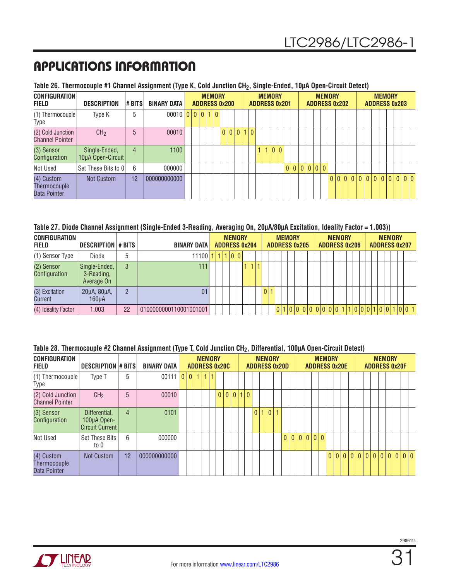### **Table 26. Thermocouple #1 Channel Assignment (Type K, Cold Junction CH2, Single-Ended, 10µA Open-Circuit Detect)**

| <b>CONFIGURATION</b><br><b>FIELD</b>        | <b>DESCRIPTION</b>                 | # BITS | <b>BINARY DATA</b>    | <b>ADDRESS 0x200</b> |  | <b>MEMORY</b> |           |  | <b>ADDRESS 0x201</b> | <b>MEMORY</b> |  |       |  |  | <b>MEMORY</b><br><b>ADDRESS 0x202</b> |  |  |  | <b>MEMORY</b><br><b>ADDRESS 0x203</b> |  |  |
|---------------------------------------------|------------------------------------|--------|-----------------------|----------------------|--|---------------|-----------|--|----------------------|---------------|--|-------|--|--|---------------------------------------|--|--|--|---------------------------------------|--|--|
| (1) Thermocouple<br>Type                    | Type K                             | 5      | $00010$ 0 0 0 1 0 1 0 |                      |  |               |           |  |                      |               |  |       |  |  |                                       |  |  |  |                                       |  |  |
| (2) Cold Junction<br><b>Channel Pointer</b> | CH <sub>2</sub>                    | 5      | 00010                 |                      |  |               | 0 0 0 1 0 |  |                      |               |  |       |  |  |                                       |  |  |  |                                       |  |  |
| (3) Sensor<br>Configuration                 | Single-Ended,<br>10µA Open-Circuit | 4      | 1100                  |                      |  |               |           |  |                      |               |  | 1 0 0 |  |  |                                       |  |  |  |                                       |  |  |
| Not Used                                    | Set These Bits to OI               | 6      | 000000                |                      |  |               |           |  |                      |               |  |       |  |  | 0 0 0 0 0 0                           |  |  |  |                                       |  |  |
| (4) Custom<br>Thermocouple<br>Data Pointer  | Not Custom                         | 12     | 000000000000          |                      |  |               |           |  |                      |               |  |       |  |  |                                       |  |  |  |                                       |  |  |

#### **Table 27. Diode Channel Assignment (Single-Ended 3-Reading, Averaging On, 20µA/80µA Excitation, Ideality Factor = 1.003))**

| <b>CONFIGURATION</b><br>FIELD | DESCRIPTION # BITS                        |               | <b>BINARY DATA</b>     | <b>ADDRESS 0x204</b> | <b>MEMORY</b> |  |                 |  | <b>MEMORY</b><br><b>ADDRESS 0x205</b> |  |                             |  | <b>MEMORY</b> | <b>ADDRESS 0x206</b> |  | <b>ADDRESS 0x207</b> | <b>MEMORY</b> |  |  |
|-------------------------------|-------------------------------------------|---------------|------------------------|----------------------|---------------|--|-----------------|--|---------------------------------------|--|-----------------------------|--|---------------|----------------------|--|----------------------|---------------|--|--|
| (1) Sensor Type               | Diode                                     | 5             | $11100$  1             | 1 1 0 0              |               |  |                 |  |                                       |  |                             |  |               |                      |  |                      |               |  |  |
| (2) Sensor<br>Configuration   | Single-Ended,<br>3-Reading,<br>Average On | 3             | 111                    |                      |               |  |                 |  |                                       |  |                             |  |               |                      |  |                      |               |  |  |
| (3) Excitation<br>Current     | 20µA, 80µA,<br>160uA                      | $\mathcal{P}$ | 01                     |                      |               |  | 0 <sup>11</sup> |  |                                       |  |                             |  |               |                      |  |                      |               |  |  |
| (4) Ideality Factor           | 1.003                                     | 22            | 0100000000110001001001 |                      |               |  |                 |  |                                       |  | 010000000000111000110011001 |  |               |                      |  |                      |               |  |  |

#### **Table 28. Thermocouple #2 Channel Assignment (Type T, Cold Junction CH2, Differential, 100µA Open-Circuit Detect)**

| <b>CONFIGURATION</b><br>FIELD                     | <b>DESCRIPTION # BITS</b>                              |                | <b>BINARY DATA</b> |           | <b>MEMORY</b> |  | <b>ADDRESS 0x20C</b> |  |  | <b>MEMORY</b> | <b>ADDRESS 0x20D</b> |  |  | <b>MEMORY</b><br><b>ADDRESS 0x20E</b> |  |  |  |  | <b>MEMORY</b> | <b>ADDRESS 0x20F</b>    |  |
|---------------------------------------------------|--------------------------------------------------------|----------------|--------------------|-----------|---------------|--|----------------------|--|--|---------------|----------------------|--|--|---------------------------------------|--|--|--|--|---------------|-------------------------|--|
| (1) Thermocouple<br>Type                          | Type T                                                 | 5              | 00111              | 0 0 1 1 1 |               |  |                      |  |  |               |                      |  |  |                                       |  |  |  |  |               |                         |  |
| (2) Cold Junction<br><b>Channel Pointer</b>       | CH <sub>2</sub>                                        | 5              | 00010              |           |               |  | 0 0 0 1 0            |  |  |               |                      |  |  |                                       |  |  |  |  |               |                         |  |
| (3) Sensor<br>Configuration                       | Differential,<br>100µA Open-<br><b>Circuit Current</b> | $\overline{4}$ | 0101               |           |               |  |                      |  |  | 0 1 0         |                      |  |  |                                       |  |  |  |  |               |                         |  |
| Not Used                                          | Set These Bits<br>to 0                                 | 6              | 000000             |           |               |  |                      |  |  |               |                      |  |  |                                       |  |  |  |  |               |                         |  |
| (4) Custom<br><b>Thermocouple</b><br>Data Pointer | Not Custom                                             | 12             | 000000000000       |           |               |  |                      |  |  |               |                      |  |  |                                       |  |  |  |  |               | 0 0 0 0 0 0 0 0 0 0 0 0 |  |

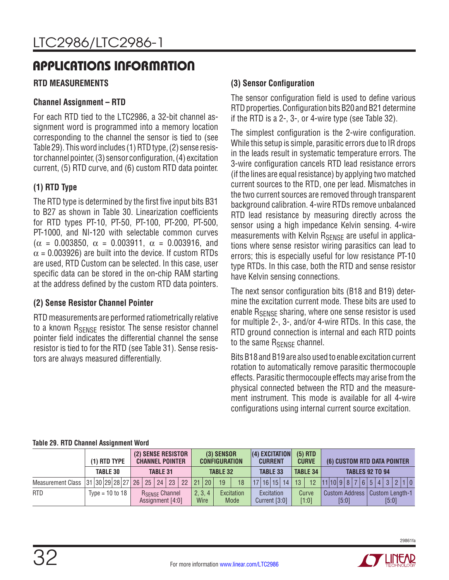### <span id="page-31-0"></span>**RTD MEASUREMENTS**

### **Channel Assignment – RTD**

For each RTD tied to the LTC2986, a 32-bit channel assignment word is programmed into a memory location corresponding to the channel the sensor is tied to (see Table 29). This word includes (1) RTD type, (2) sense resistor channel pointer, (3) sensor configuration, (4) excitation current, (5) RTD curve, and (6) custom RTD data pointer.

### **(1) RTD Type**

The RTD type is determined by the first five input bits B31 to B27 as shown in Table 30. Linearization coefficients for RTD types PT-10, PT-50, PT-100, PT-200, PT-500, PT-1000, and NI-120 with selectable common curves ( $\alpha$  = 0.003850,  $\alpha$  = 0.003911,  $\alpha$  = 0.003916, and  $\alpha$  = 0.003926) are built into the device. If custom RTDs are used, RTD Custom can be selected. In this case, user specific data can be stored in the on-chip RAM starting at the address defined by the custom RTD data pointers.

### **(2) Sense Resistor Channel Pointer**

RTD measurements are performed ratiometrically relative to a known R<sub>SENSE</sub> resistor. The sense resistor channel pointer field indicates the differential channel the sense resistor is tied to for the RTD (see Table 31). Sense resistors are always measured differentially.

### **(3) Sensor Configuration**

The sensor configuration field is used to define various RTD properties. Configuration bits B20 and B21 determine if the RTD is a 2-, 3-, or 4-wire type (see Table 32).

The simplest configuration is the 2-wire configuration. While this setup is simple, parasitic errors due to IR drops in the leads result in systematic temperature errors. The 3-wire configuration cancels RTD lead resistance errors (if the lines are equal resistance) by applying two matched current sources to the RTD, one per lead. Mismatches in the two current sources are removed through transparent background calibration. 4-wire RTDs remove unbalanced RTD lead resistance by measuring directly across the sensor using a high impedance Kelvin sensing. 4-wire measurements with Kelvin R<sub>SENSE</sub> are useful in applications where sense resistor wiring parasitics can lead to errors; this is especially useful for low resistance PT-10 type RTDs. In this case, both the RTD and sense resistor have Kelvin sensing connections.

The next sensor configuration bits (B18 and B19) determine the excitation current mode. These bits are used to enable  $R_{\text{SFNSF}}$  sharing, where one sense resistor is used for multiple 2-, 3-, and/or 4-wire RTDs. In this case, the RTD ground connection is internal and each RTD points to the same R<sub>SENSE</sub> channel.

Bits B18 and B19 are also used to enable excitation current rotation to automatically remove parasitic thermocouple effects. Parasitic thermocouple effects may arise from the physical connected between the RTD and the measurement instrument. This mode is available for all 4-wire configurations using internal current source excitation.

|                                                 | $(1)$ RTD TYPE      |                 |  |  |                 | (2) SENSE RESISTOR<br><b>CHANNEL POINTER</b> |  |                 | $(3)$ SENSOR<br><b>CONFIGURATION</b> |                    | $(4)$ EXCITATION<br><b>CURRENT</b> |    | $(5)$ RTD<br><b>CURVE</b> |  |       |  | (6) CUSTOM RTD DATA POINTER      |       |  |
|-------------------------------------------------|---------------------|-----------------|--|--|-----------------|----------------------------------------------|--|-----------------|--------------------------------------|--------------------|------------------------------------|----|---------------------------|--|-------|--|----------------------------------|-------|--|
|                                                 |                     | <b>TABLE 30</b> |  |  | <b>TABLE 31</b> |                                              |  |                 | <b>TABLE 32</b>                      |                    | <b>TABLE 33</b>                    |    | <b>TABLE 34</b>           |  |       |  | <b>TABLES 92 TO 94</b>           |       |  |
| Measurement Class   31   30   29   28   27   26 |                     |                 |  |  |                 | 25   24   23   22   21   20                  |  |                 | 19                                   | 18                 | 17 16 15 14                        | 13 | 12                        |  |       |  | 11 10 9 8 7 6 5 4 3 2 1 0        |       |  |
| <b>RTD</b>                                      | Type = $10$ to $18$ |                 |  |  |                 | <b>RSENSE Channel</b><br>Assignment [4:0]    |  | 2, 3, 4<br>Wire |                                      | Excitation<br>Mode | Excitation<br>Current $[3:0]$      |    | Curve<br>$[1:0]$          |  | [5:0] |  | Custom Address   Custom Length-1 | [5:0] |  |

#### **Table 29. RTD Channel Assignment Word**

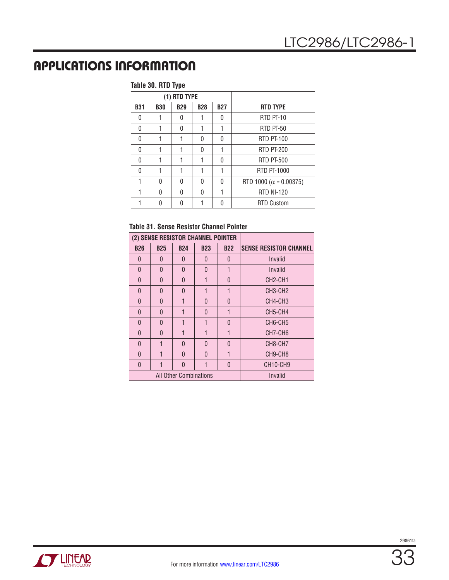#### **Table 30. RTD Type**

|              |            | (1) RTD TYPE |              |              |                                |
|--------------|------------|--------------|--------------|--------------|--------------------------------|
| <b>B31</b>   | <b>B30</b> | <b>B29</b>   | <b>B28</b>   | <b>B27</b>   | <b>RTD TYPE</b>                |
| <sup>0</sup> |            | 0            |              | U            | RTD PT-10                      |
| 0            |            | 0            |              | 1            | RTD PT-50                      |
| 0            |            |              | <sup>0</sup> | <sup>0</sup> | <b>RTD PT-100</b>              |
| 0            |            |              | <sup>0</sup> |              | <b>RTD PT-200</b>              |
| U            |            |              |              | <sup>0</sup> | <b>RTD PT-500</b>              |
| 0            |            |              |              | 1            | RTD PT-1000                    |
|              | U          | 0            | <sup>0</sup> | 0            | RTD 1000 ( $\alpha$ = 0.00375) |
|              | U          | U            | U            |              | <b>RTD NI-120</b>              |
|              |            | N            |              |              | <b>RTD Custom</b>              |

### **Table 31. Sense Resistor Channel Pointer**

|            |              |                               | (2) SENSE RESISTOR CHANNEL POINTER |                |                                   |
|------------|--------------|-------------------------------|------------------------------------|----------------|-----------------------------------|
| <b>B26</b> | <b>B25</b>   | <b>B24</b>                    | <b>B23</b>                         | <b>B22</b>     | <b>SENSE RESISTOR CHANNEL</b>     |
| $\theta$   | $\Omega$     | $\Omega$                      | 0                                  | $\mathbf{0}$   | Invalid                           |
| $\Omega$   | $\Omega$     | $\Omega$                      | $\Omega$                           | 1              | Invalid                           |
| $\theta$   | $\Omega$     | $\Omega$                      | 1                                  | $\overline{0}$ | CH <sub>2</sub> -CH <sub>1</sub>  |
| $\Omega$   | $\Omega$     | $\Omega$                      | 1                                  | 1              | CH <sub>3</sub> -CH <sub>2</sub>  |
| $\Omega$   | $\Omega$     | 1                             | $\Omega$                           | $\mathbf{0}$   | CH4-CH3                           |
| $\theta$   | $\Omega$     | 1                             | $\Omega$                           | 1              | CH5-CH4                           |
| $\theta$   | $\mathbf{0}$ | 1                             | 1                                  | $\mathbf{0}$   | CH6-CH5                           |
| $\Omega$   | $\Omega$     | 1                             | 1                                  | 1              | CH7-CH6                           |
| $\Omega$   | 1            | $\Omega$                      | $\Omega$                           | $\mathbf{0}$   | CH8-CH7                           |
| $\theta$   | 1            | $\Omega$                      | $\Omega$                           | 1              | CH9-CH8                           |
| $\Omega$   | 1            | U                             | 1                                  | $\Omega$       | CH <sub>10</sub> -CH <sub>9</sub> |
|            |              | <b>All Other Combinations</b> |                                    |                | Invalid                           |
|            |              |                               |                                    |                |                                   |

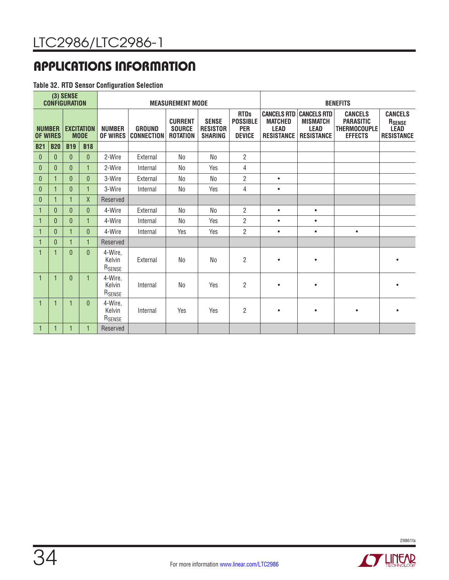#### **Table 32. RTD Sensor Configuration Selection**

|                 |               | (3) SENSE<br><b>CONFIGURATION</b> |                                  |                                         |                                    | <b>MEASUREMENT MODE</b>                            |                                                   |                                                               |                                                    |                                                                                       | <b>BENEFITS</b>                                                             |                                                              |
|-----------------|---------------|-----------------------------------|----------------------------------|-----------------------------------------|------------------------------------|----------------------------------------------------|---------------------------------------------------|---------------------------------------------------------------|----------------------------------------------------|---------------------------------------------------------------------------------------|-----------------------------------------------------------------------------|--------------------------------------------------------------|
| <b>OF WIRES</b> | <b>NUMBER</b> |                                   | <b>EXCITATION</b><br><b>MODE</b> | <b>NUMBER</b><br><b>OF WIRES</b>        | <b>GROUND</b><br><b>CONNECTION</b> | <b>CURRENT</b><br><b>SOURCE</b><br><b>ROTATION</b> | <b>SENSE</b><br><b>RESISTOR</b><br><b>SHARING</b> | <b>RTDs</b><br><b>POSSIBLE</b><br><b>PER</b><br><b>DEVICE</b> | <b>MATCHED</b><br><b>LEAD</b><br><b>RESISTANCE</b> | <b>CANCELS RTD CANCELS RTD</b><br><b>MISMATCH</b><br><b>LEAD</b><br><b>RESISTANCE</b> | <b>CANCELS</b><br><b>PARASITIC</b><br><b>THERMOCOUPLE</b><br><b>EFFECTS</b> | <b>CANCELS</b><br>RSENSE<br><b>LEAD</b><br><b>RESISTANCE</b> |
| <b>B21</b>      | <b>B20</b>    | <b>B19</b>                        | <b>B18</b>                       |                                         |                                    |                                                    |                                                   |                                                               |                                                    |                                                                                       |                                                                             |                                                              |
| $\mathbf{0}$    | $\theta$      | $\theta$                          | $\overline{0}$                   | 2-Wire                                  | External                           | N <sub>0</sub>                                     | No                                                | $\overline{2}$                                                |                                                    |                                                                                       |                                                                             |                                                              |
| $\theta$        | 0             | $\mathbf{0}$                      |                                  | 2-Wire                                  | Internal                           | No                                                 | Yes                                               | 4                                                             |                                                    |                                                                                       |                                                                             |                                                              |
| $\theta$        | 1             | $\mathbf{0}$                      | $\overline{0}$                   | 3-Wire                                  | External                           | N <sub>0</sub>                                     | N <sub>0</sub>                                    | $\overline{2}$                                                | $\bullet$                                          |                                                                                       |                                                                             |                                                              |
| $\theta$        | 1             | $\mathbf{0}$                      |                                  | 3-Wire                                  | Internal                           | No                                                 | Yes                                               | 4                                                             | $\bullet$                                          |                                                                                       |                                                                             |                                                              |
| $\mathbf{0}$    | 1             | $\mathbf 1$                       | X                                | Reserved                                |                                    |                                                    |                                                   |                                                               |                                                    |                                                                                       |                                                                             |                                                              |
| $\mathbf{1}$    | $\theta$      | $\mathbf{0}$                      | $\mathbf{0}$                     | 4-Wire                                  | External                           | No                                                 | N <sub>0</sub>                                    | 2                                                             | $\bullet$                                          | $\bullet$                                                                             |                                                                             |                                                              |
| $\mathbf{1}$    | $\mathbf{0}$  | $\mathbf{0}$                      |                                  | 4-Wire                                  | Internal                           | No                                                 | Yes                                               | $\overline{2}$                                                | $\bullet$                                          | ٠                                                                                     |                                                                             |                                                              |
| $\mathbf{1}$    | $\theta$      | 1                                 | $\overline{0}$                   | 4-Wire                                  | Internal                           | Yes                                                | Yes                                               | 2                                                             | $\bullet$                                          | $\bullet$                                                                             | $\bullet$                                                                   |                                                              |
| $\mathbf{1}$    | $\mathbf{0}$  | 1                                 |                                  | Reserved                                |                                    |                                                    |                                                   |                                                               |                                                    |                                                                                       |                                                                             |                                                              |
| 1               | 1             | $\theta$                          | $\Omega$                         | 4-Wire,<br>Kelvin<br>R <sub>SENSE</sub> | External                           | No                                                 | N <sub>0</sub>                                    | $\overline{2}$                                                | $\bullet$                                          | $\bullet$                                                                             |                                                                             |                                                              |
| $\mathbf{1}$    | 1             | $\mathbf{0}$                      |                                  | 4-Wire,<br>Kelvin<br>R <sub>SENSE</sub> | Internal                           | No                                                 | Yes                                               | $\overline{2}$                                                | $\bullet$                                          | $\bullet$                                                                             |                                                                             | ٠                                                            |
| $\mathbf{1}$    | 1             | 1                                 | $\Omega$                         | 4-Wire,<br>Kelvin<br>R <sub>SENSE</sub> | Internal                           | Yes                                                | Yes                                               | $\overline{2}$                                                | $\bullet$                                          | $\bullet$                                                                             | $\bullet$                                                                   | ٠                                                            |
| 1               |               |                                   |                                  | Reserved                                |                                    |                                                    |                                                   |                                                               |                                                    |                                                                                       |                                                                             |                                                              |



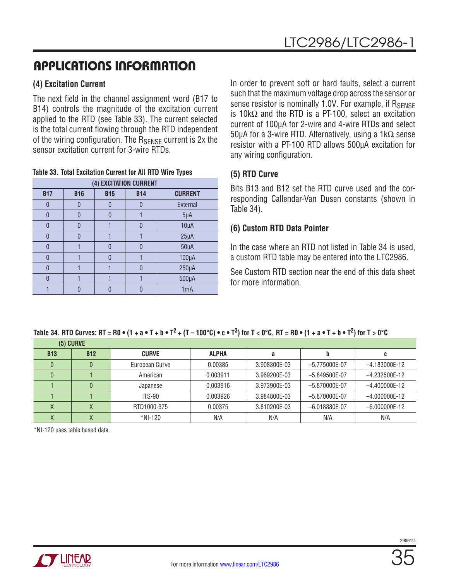### **(4) Excitation Current**

The next field in the channel assignment word (B17 to B14) controls the magnitude of the excitation current applied to the RTD (see Table 33). The current selected is the total current flowing through the RTD independent of the wiring configuration. The RSENSE current is 2x the sensor excitation current for 3-wire RTDs.

**Table 33. Total Excitation Current for All RTD Wire Types**

|            |            |            | (4) EXCITATION CURRENT |                  |
|------------|------------|------------|------------------------|------------------|
| <b>B17</b> | <b>B16</b> | <b>B15</b> | <b>B14</b>             | <b>CURRENT</b>   |
| 0          | n          |            |                        | External         |
| 0          | N          |            |                        | $5\mu A$         |
| 0          | በ          |            |                        | $10\mu A$        |
| N          | n          |            |                        | $25\mu A$        |
| $\Omega$   |            |            | $\Omega$               | $50\mu A$        |
| N          |            |            |                        | $100\mu A$       |
| 0          |            |            |                        | $250\mu A$       |
| N          |            |            |                        | $500\mu A$       |
|            |            |            |                        | 1 <sub>m</sub> A |

In order to prevent soft or hard faults, select a current such that the maximum voltage drop across the sensor or sense resistor is nominally 1.0V. For example, if  $R_{\text{SENSF}}$ is 10kΩ and the RTD is a PT-100, select an excitation current of 100µA for 2-wire and 4-wire RTDs and select 50µA for a 3-wire RTD. Alternatively, using a 1kΩ sense resistor with a PT-100 RTD allows 500µA excitation for any wiring configuration.

### **(5) RTD Curve**

Bits B13 and B12 set the RTD curve used and the corresponding Callendar-Van Dusen constants (shown in Table 34).

### **(6) Custom RTD Data Pointer**

In the case where an RTD not listed in Table 34 is used, a custom RTD table may be entered into the LTC2986.

See Custom RTD section near the end of this data sheet for more information.

|  |  | Table 34. RTD Curves: RT = R0 $\bullet$ (1 + a $\bullet$ T + b $\bullet$ T <sup>2</sup> + (T – 100°C) $\bullet$ c $\bullet$ T <sup>3</sup> ) for T < 0°C, RT = R0 $\bullet$ (1 + a $\bullet$ T + b $\bullet$ T <sup>2</sup> ) for T > 0°C |
|--|--|-------------------------------------------------------------------------------------------------------------------------------------------------------------------------------------------------------------------------------------------|
|--|--|-------------------------------------------------------------------------------------------------------------------------------------------------------------------------------------------------------------------------------------------|

| $(5)$ CURVE |            |                |              |              |                   |                 |
|-------------|------------|----------------|--------------|--------------|-------------------|-----------------|
| <b>B13</b>  | <b>B12</b> | <b>CURVE</b>   | <b>ALPHA</b> |              |                   |                 |
|             |            | European Curve | 0.00385      | 3.908300E-03 | $-5.775000E-07$   | $-4.183000E-12$ |
|             |            | American       | 0.003911     | 3.969200E-03 | $-5.849500E-07$   | $-4.232500E-12$ |
|             |            | Japanese       | 0.003916     | 3.973900E-03 | $-5.870000E-07$   | $-4.400000E-12$ |
|             |            | $ITS-90$       | 0.003926     | 3.984800E-03 | $-5.870000E - 07$ | $-4.000000E-12$ |
|             |            | RTD1000-375    | 0.00375      | 3.810200E-03 | $-6.018880E-07$   | $-6.000000E-12$ |
|             |            | *NI-120        | N/A          | N/A          | N/A               | N/A             |

\*NI-120 uses table based data.

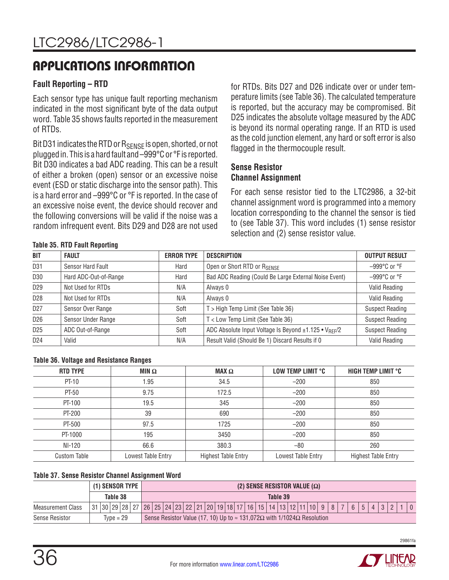### **Fault Reporting – RTD**

Each sensor type has unique fault reporting mechanism indicated in the most significant byte of the data output word. Table 35 shows faults reported in the measurement of RTDs.

Bit D31 indicates the RTD or  $R_{\text{SENSE}}$  is open, shorted, or not plugged in. This is a hard fault and –999°C or °F is reported. Bit D30 indicates a bad ADC reading. This can be a result of either a broken (open) sensor or an excessive noise event (ESD or static discharge into the sensor path). This is a hard error and –999°C or °F is reported. In the case of an excessive noise event, the device should recover and the following conversions will be valid if the noise was a random infrequent event. Bits D29 and D28 are not used

for RTDs. Bits D27 and D26 indicate over or under temperature limits (see Table 36). The calculated temperature is reported, but the accuracy may be compromised. Bit D25 indicates the absolute voltage measured by the ADC is beyond its normal operating range. If an RTD is used as the cold junction element, any hard or soft error is also flagged in the thermocouple result.

#### **Sense Resistor Channel Assignment**

For each sense resistor tied to the LTC2986, a 32-bit channel assignment word is programmed into a memory location corresponding to the channel the sensor is tied to (see Table 37). This word includes (1) sense resistor selection and (2) sense resistor value.

#### **Table 35. RTD Fault Reporting**

| <b>BIT</b>      | <b>FAULT</b>          | <b>ERROR TYPE</b> | <b>DESCRIPTION</b>                                                | <b>OUTPUT RESULT</b>             |
|-----------------|-----------------------|-------------------|-------------------------------------------------------------------|----------------------------------|
| D <sub>31</sub> | Sensor Hard Fault     | Hard              | Open or Short RTD or RSENSE                                       | $-999^{\circ}$ C or $^{\circ}$ F |
| D30             | Hard ADC-Out-of-Range | Hard              | Bad ADC Reading (Could Be Large External Noise Event)             | $-999^{\circ}$ C or $^{\circ}$ F |
| D <sub>29</sub> | Not Used for RTDs     | N/A               | Always 0                                                          | Valid Reading                    |
| D <sub>28</sub> | Not Used for RTDs     | N/A               | Always 0                                                          | Valid Reading                    |
| D <sub>27</sub> | Sensor Over Range     | Soft              | T > High Temp Limit (See Table 36)                                | <b>Suspect Reading</b>           |
| D <sub>26</sub> | Sensor Under Range    | Soft              | T < Low Temp Limit (See Table 36)                                 | <b>Suspect Reading</b>           |
| D <sub>25</sub> | ADC Out-of-Range      | Soft              | ADC Absolute Input Voltage Is Beyond ±1.125 • V <sub>RFF</sub> /2 | <b>Suspect Reading</b>           |
| D <sub>24</sub> | Valid                 | N/A               | Result Valid (Should Be 1) Discard Results if 0                   | <b>Valid Reading</b>             |

#### **Table 36. Voltage and Resistance Ranges**

| <b>RTD TYPE</b>     | MIN $\Omega$       | $\mathbf{MAX} \Omega$      | LOW TEMP LIMIT °C  | HIGH TEMP LIMIT °C         |
|---------------------|--------------------|----------------------------|--------------------|----------------------------|
| PT-10               | 1.95               | 34.5                       | $-200$             | 850                        |
| PT-50               | 9.75               | 172.5                      | $-200$             | 850                        |
| PT-100              | 19.5               | 345                        | $-200$             | 850                        |
| PT-200              | 39                 | 690                        | $-200$             | 850                        |
| PT-500              | 97.5               | 1725                       | $-200$             | 850                        |
| PT-1000             | 195                | 3450                       | $-200$             | 850                        |
| NI-120              | 66.6               | 380.3                      | $-80$              | 260                        |
| <b>Custom Table</b> | Lowest Table Entry | <b>Highest Table Entry</b> | Lowest Table Entry | <b>Highest Table Entry</b> |

#### **Table 37. Sense Resistor Channel Assignment Word**

|                          |             |  |  |  | $(1)$ SENSOR TYPE $ $                                                                                                                    | (2) SENSE RESISTOR VALUE $(\Omega)$ |          |  |  |                                                                                                |  |  |  |  |  |  |  |  |  |  |  |  |  |  |  |  |  |
|--------------------------|-------------|--|--|--|------------------------------------------------------------------------------------------------------------------------------------------|-------------------------------------|----------|--|--|------------------------------------------------------------------------------------------------|--|--|--|--|--|--|--|--|--|--|--|--|--|--|--|--|--|
|                          | Table 38    |  |  |  |                                                                                                                                          |                                     | Table 39 |  |  |                                                                                                |  |  |  |  |  |  |  |  |  |  |  |  |  |  |  |  |  |
| <b>Measurement Class</b> |             |  |  |  | 31  30  29  28   27   26   25   24   23   22   21   20   19   18   17   16   15   14   13   12   11   10   9   8   7   6   5   4   3   2 |                                     |          |  |  |                                                                                                |  |  |  |  |  |  |  |  |  |  |  |  |  |  |  |  |  |
| Sense Resistor           | $Tvpe = 29$ |  |  |  |                                                                                                                                          |                                     |          |  |  | Sense Resistor Value (17, 10) Up to $\approx$ 131,072 $\Omega$ with 1/1024 $\Omega$ Resolution |  |  |  |  |  |  |  |  |  |  |  |  |  |  |  |  |  |

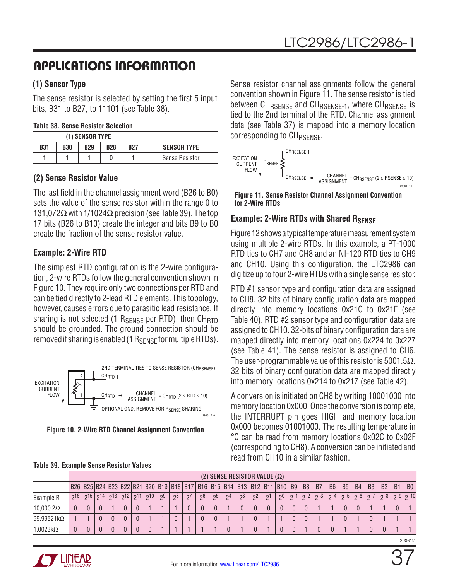### **(1) Sensor Type**

The sense resistor is selected by setting the first 5 input bits, B31 to B27, to 11101 (see Table 38).

#### **Table 38. Sense Resistor Selection**

|            |            | (1) SENSOR TYPE |            |            |                       |
|------------|------------|-----------------|------------|------------|-----------------------|
| <b>B31</b> | <b>B30</b> | <b>B29</b>      | <b>B28</b> | <b>B27</b> | <b>SENSOR TYPE</b>    |
|            |            |                 |            |            | <b>Sense Resistor</b> |

### **(2) Sense Resistor Value**

The last field in the channel assignment word (B26 to B0) sets the value of the sense resistor within the range 0 to 131,072 $\Omega$  with 1/1024 $\Omega$  precision (see Table 39). The top 17 bits (B26 to B10) create the integer and bits B9 to B0 create the fraction of the sense resistor value.

### **Example: 2-Wire RTD**

The simplest RTD configuration is the 2-wire configuration, 2-wire RTDs follow the general convention shown in Figure 10. They require only two connections per RTD and can be tied directly to 2-lead RTD elements. This topology, however, causes errors due to parasitic lead resistance. If sharing is not selected (1  $R_{\text{SENSE}}$  per RTD), then  $CH_{\text{RTD}}$ should be grounded. The ground connection should be removed if sharing is enabled (1  $R_{\text{SENSF}}$  for multiple RTDs).



**Figure 10. 2-Wire RTD Channel Assignment Convention**

| Sense resistor channel assignments follow the general                                   |
|-----------------------------------------------------------------------------------------|
| convention shown in Figure 11. The sense resistor is tied                               |
| between CH <sub>RSFNSF</sub> and CH <sub>RSFNSF-1</sub> , where CH <sub>RSFNSF</sub> is |
| tied to the 2nd terminal of the RTD. Channel assignment                                 |
| data (see Table 37) is mapped into a memory location                                    |
| corresponding to CH <sub>RSENSE</sub> .                                                 |



**Figure 11. Sense Resistor Channel Assignment Convention for 2-Wire RTDs**

### **Example: 2-Wire RTDs with Shared RSENSE**

Figure 12 shows a typical temperature measurement system using multiple 2-wire RTDs. In this example, a PT-1000 RTD ties to CH7 and CH8 and an NI-120 RTD ties to CH9 and CH10. Using this configuration, the LTC2986 can digitize up to four 2-wire RTDs with a single sense resistor.

RTD #1 sensor type and configuration data are assigned to CH8. 32 bits of binary configuration data are mapped directly into memory locations 0x21C to 0x21F (see Table 40). RTD #2 sensor type and configuration data are assigned to CH10. 32-bits of binary configuration data are mapped directly into memory locations 0x224 to 0x227 (see Table 41). The sense resistor is assigned to CH6. The user-programmable value of this resistor is 5001.5 $\Omega$ . 32 bits of binary configuration data are mapped directly into memory locations 0x214 to 0x217 (see Table 42).

A conversion is initiated on CH8 by writing 10001000 into memory location 0x000. Once the conversion is complete, the INTERRUPT pin goes HIGH and memory location 0x000 becomes 01001000. The resulting temperature in °C can be read from memory locations 0x02C to 0x02F (corresponding to CH8). A conversion can be initiated and read from CH10 in a similar fashion.

|                   |              |         |           |          |              |    |    |    |                                                                                                    |                |                |       | (2) SENSE RESISTOR VALUE $(\Omega)$ |     |                |      |                |                |           |           |           |                |           |    |                |
|-------------------|--------------|---------|-----------|----------|--------------|----|----|----|----------------------------------------------------------------------------------------------------|----------------|----------------|-------|-------------------------------------|-----|----------------|------|----------------|----------------|-----------|-----------|-----------|----------------|-----------|----|----------------|
|                   |              |         |           |          |              |    |    |    | B26  B25  B24  B23  B22  B21  B20   B19   B18   B17   B16   B15   B14   B13   B12   B11   B10   B9 |                |                |       |                                     |     |                |      | B <sub>8</sub> | B <sub>7</sub> | <b>B6</b> | <b>B5</b> | <b>B4</b> | B <sub>3</sub> | <b>B2</b> | B1 | B <sub>0</sub> |
| Example R         | $\sqrt{16}$  | 015 014 | 12م   13م | 011      | $  \circ 10$ | ე9 | ე8 | 7פ | ე6                                                                                                 | 2 <sub>0</sub> | 2 <sup>4</sup> | $2^3$ | $2^{\circ}$                         | _ი1 | 0 <sub>0</sub> | ו–מּ | $\sim$ -2      | $-3$           | $0 - 4$   | $\sim$ -5 | $\sim$ -6 | $n-7$          | $-8$      |    | $2-9$  2-10    |
| $10,000.2\Omega$  | $\mathbf{0}$ |         |           |          |              |    |    |    |                                                                                                    |                |                |       |                                     |     |                |      |                |                |           |           |           |                |           |    |                |
| $99.99521k\Omega$ |              |         |           |          |              |    |    |    |                                                                                                    |                |                |       | $\cap$                              |     |                |      |                |                |           |           |           |                |           |    |                |
| $1.0023k\Omega$   | 0            |         |           | $\theta$ |              |    |    |    |                                                                                                    |                |                |       |                                     |     |                |      |                |                | $\theta$  |           |           |                |           |    |                |

**Table 39. Example Sense Resistor Values**

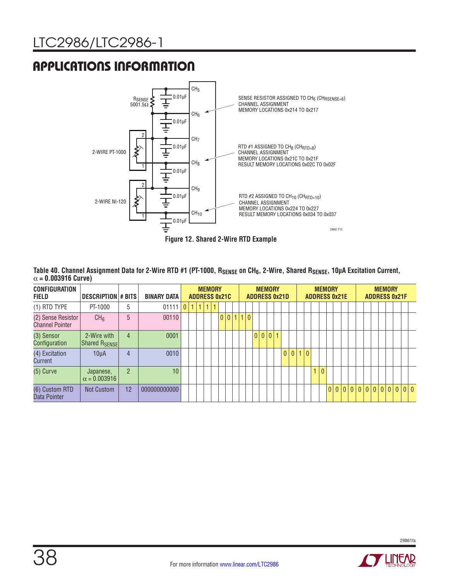

Table 40. Channel Assignment Data for 2-Wire RTD #1 (PT-1000, R<sub>SENSE</sub> on CH<sub>6</sub>, 2-Wire, Shared R<sub>SENSE</sub>, 10µA Excitation Current, α **= 0.003916 Curve)**

| <b>CONFIGURATION</b><br><b>FIELD</b>         | <b>DESCRIPTION # BITS</b>                |                | <b>BINARY DATA</b> |   |     | <b>MEMORY</b> | <b>ADDRESS 0x21C</b> |           |  |  | <b>MEMORY</b> | <b>ADDRESS 0x21D</b> |            | <b>ADDRESS 0x21E</b> | <b>MEMORY</b>  |  |                  |  | <b>MEMORY</b> | <b>ADDRESS 0x21F</b> |  |
|----------------------------------------------|------------------------------------------|----------------|--------------------|---|-----|---------------|----------------------|-----------|--|--|---------------|----------------------|------------|----------------------|----------------|--|------------------|--|---------------|----------------------|--|
| $(1)$ RTD TYPE                               | PT-1000                                  | 5              | 01111              | 0 | 111 | 1             |                      |           |  |  |               |                      |            |                      |                |  |                  |  |               |                      |  |
| (2) Sense Resistor<br><b>Channel Pointer</b> | CH <sub>6</sub>                          | 5              | 00110              |   |     |               |                      | 0 0 1 1 0 |  |  |               |                      |            |                      |                |  |                  |  |               |                      |  |
| (3) Sensor<br>Configuration                  | 2-Wire with<br>Shared R <sub>SENSE</sub> | $\overline{4}$ | 0001               |   |     |               |                      |           |  |  |               |                      |            |                      |                |  |                  |  |               |                      |  |
| (4) Excitation<br>Current                    | $10\mu A$                                | $\overline{4}$ | 0010               |   |     |               |                      |           |  |  |               |                      | $0 0 1 0 $ |                      |                |  |                  |  |               |                      |  |
| $(5)$ Curve                                  | Japanese,<br>$\alpha = 0.003916$         | $\overline{2}$ | 10                 |   |     |               |                      |           |  |  |               |                      |            |                      | $\overline{0}$ |  |                  |  |               |                      |  |
| (6) Custom RTD<br>Data Pointer               | <b>Not Custom</b>                        | 12             | 000000000000       |   |     |               |                      |           |  |  |               |                      |            |                      |                |  | 0000000000000000 |  |               |                      |  |

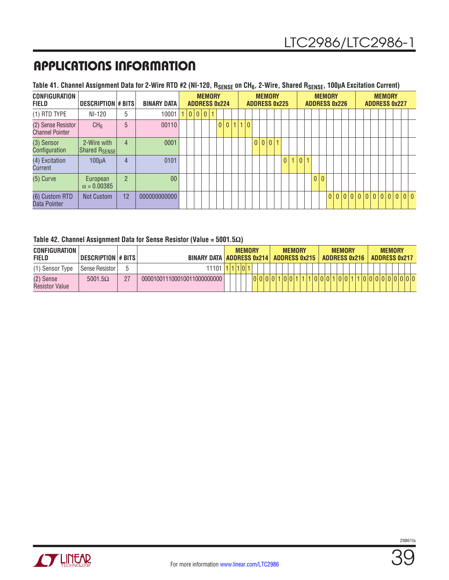### Table 41. Channel Assignment Data for 2-Wire RTD #2 (NI-120, R<sub>SENSE</sub> on CH<sub>6</sub>, 2-Wire, Shared R<sub>SENSE</sub>, 100µA Excitation Current)

| <b>CONFIGURATION</b><br><b>FIELD</b>         | <b>DESCRIPTION # BITS</b>                |                | <b>BINARY DATA</b> |   | <b>MEMORY</b><br><b>ADDRESS 0x224</b> |                |     |             |  | <b>MEMORY</b> | <b>ADDRESS 0x225</b> |       |  |     | <b>MEMORY</b><br><b>ADDRESS 0x226</b> |  |  |                         | <b>MEMORY</b><br><b>ADDRESS 0x227</b> |  |  |
|----------------------------------------------|------------------------------------------|----------------|--------------------|---|---------------------------------------|----------------|-----|-------------|--|---------------|----------------------|-------|--|-----|---------------------------------------|--|--|-------------------------|---------------------------------------|--|--|
| $(1)$ RTD TYPE                               | NI-120                                   | 5              | 10001              | 0 |                                       |                |     |             |  |               |                      |       |  |     |                                       |  |  |                         |                                       |  |  |
| (2) Sense Resistor<br><b>Channel Pointer</b> | CH <sub>6</sub>                          | 5              | 00110              |   |                                       | 0 <sup>1</sup> | 0 1 | $ 0\rangle$ |  |               |                      |       |  |     |                                       |  |  |                         |                                       |  |  |
| (3) Sensor<br>Configuration                  | 2-Wire with<br>Shared R <sub>SENSE</sub> | $\overline{4}$ | 0001               |   |                                       |                |     |             |  | 0 0 0         |                      |       |  |     |                                       |  |  |                         |                                       |  |  |
| (4) Excitation<br>Current                    | $100\mu A$                               | $\overline{4}$ | 0101               |   |                                       |                |     |             |  |               | 0 <sup>1</sup>       | 1 0 1 |  |     |                                       |  |  |                         |                                       |  |  |
| $(5)$ Curve                                  | European<br>$\alpha = 0.00385$           | $\overline{2}$ | 0 <sub>0</sub>     |   |                                       |                |     |             |  |               |                      |       |  | 0 0 |                                       |  |  |                         |                                       |  |  |
| (6) Custom RTD<br>Data Pointer               | Not Custom                               | 12             | 000000000000       |   |                                       |                |     |             |  |               |                      |       |  |     |                                       |  |  | 0 0 0 0 0 0 0 0 0 0 0 0 |                                       |  |  |

#### **Table 42. Channel Assignment Data for Sense Resistor (Value = 5001.5Ω)**

| <b>CONFIGURATION</b><br><b>FIELD</b> | DESCRIPTION # BITS |    | <b>BINARY DATA ADDRESS 0x214</b> |         | <b>MEMORY</b> |        | <b>ADDRESS 0x215</b> | <b>MEMORY</b> |  |         |  | <b>MEMORY</b><br><b>ADDRESS 0x216</b> |  |  | <b>MEMORY</b> | <b>ADDRESS 0x217</b> |  |
|--------------------------------------|--------------------|----|----------------------------------|---------|---------------|--------|----------------------|---------------|--|---------|--|---------------------------------------|--|--|---------------|----------------------|--|
| (1) Sensor Type                      | Sense Resistor     |    | 11101                            | 1 1 0 1 |               |        |                      |               |  |         |  |                                       |  |  |               |                      |  |
| (2) Sense<br>Resistor Value          | $5001.5\Omega$     | 27 | 000010011100010011000000000      |         |               | 000001 |                      |               |  | 1010101 |  |                                       |  |  | 1 0 0 0 0 0 0 |                      |  |

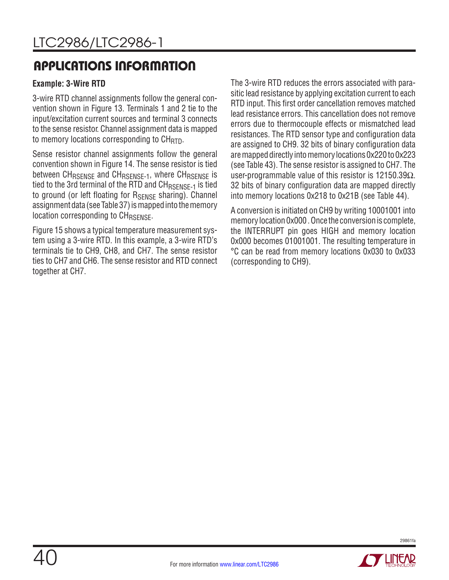### **Example: 3-Wire RTD**

3-wire RTD channel assignments follow the general convention shown in Figure 13. Terminals 1 and 2 tie to the input/excitation current sources and terminal 3 connects to the sense resistor. Channel assignment data is mapped to memory locations corresponding to  $CH_{\text{RTD}}$ .

Sense resistor channel assignments follow the general convention shown in Figure 14. The sense resistor is tied between CH<sub>RSENSE</sub> and CH<sub>RSENSE-1</sub>, where CH<sub>RSENSE</sub> is tied to the 3rd terminal of the RTD and CH<sub>RSFNSF-1</sub> is tied to ground (or left floating for RSENSE sharing). Channel assignment data (see Table 37) is mapped into the memory location corresponding to CH<sub>RSENSE</sub>.

Figure 15 shows a typical temperature measurement system using a 3-wire RTD. In this example, a 3-wire RTD's terminals tie to CH9, CH8, and CH7. The sense resistor ties to CH7 and CH6. The sense resistor and RTD connect together at CH7.

The 3-wire RTD reduces the errors associated with parasitic lead resistance by applying excitation current to each RTD input. This first order cancellation removes matched lead resistance errors. This cancellation does not remove errors due to thermocouple effects or mismatched lead resistances. The RTD sensor type and configuration data are assigned to CH9. 32 bits of binary configuration data are mapped directly into memory locations 0x220 to 0x223 (see Table 43). The sense resistor is assigned to CH7. The user-programmable value of this resistor is 12150.39 $\Omega$ . 32 bits of binary configuration data are mapped directly into memory locations 0x218 to 0x21B (see Table 44).

A conversion is initiated on CH9 by writing 10001001 into memory location 0x000 . Once the conversion is complete, the INTERRUPT pin goes HIGH and memory location 0x000 becomes 01001001. The resulting temperature in °C can be read from memory locations 0x030 to 0x033 (corresponding to CH9).

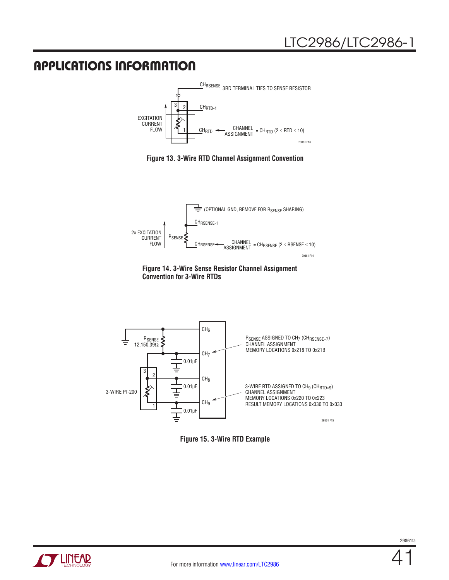

**Figure 13. 3-Wire RTD Channel Assignment Convention**







**Figure 15. 3-Wire RTD Example**

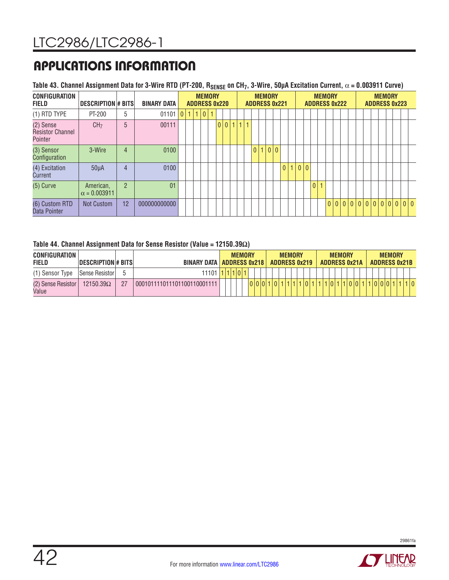## **Table 43. Channel Assignment Data for 3-Wire RTD (PT-200, RSENSE on CH7, 3-Wire, 50µA Excitation Current,** α **= 0.003911 Curve)**

| <b>CONFIGURATION</b><br><b>FIELD</b>            | DESCRIPTION # BITS               |                | <b>BINARY DATA</b> |         | <b>ADDRESS 0x220</b> | <b>MEMORY</b> |   |  |       |              |   | <b>MEMORY</b><br><b>ADDRESS 0x221</b> |  |         |  | <b>ADDRESS 0x222</b> | <b>MEMORY</b>  |  |  |  | <b>MEMORY</b><br><b>ADDRESS 0x223</b> |  |                  |  |
|-------------------------------------------------|----------------------------------|----------------|--------------------|---------|----------------------|---------------|---|--|-------|--------------|---|---------------------------------------|--|---------|--|----------------------|----------------|--|--|--|---------------------------------------|--|------------------|--|
| (1) RTD TYPE                                    | PT-200                           | 5              | 01101              | 0 1 1 0 |                      |               |   |  |       |              |   |                                       |  |         |  |                      |                |  |  |  |                                       |  |                  |  |
| (2) Sense<br><b>Resistor Channel</b><br>Pointer | CH <sub>7</sub>                  | 5              | 00111              |         |                      |               | 0 |  | 0 1 1 | $\mathbf{1}$ |   |                                       |  |         |  |                      |                |  |  |  |                                       |  |                  |  |
| (3) Sensor<br>Configuration                     | 3-Wire                           | 4              | 0100               |         |                      |               |   |  |       |              | 0 | 0 0                                   |  |         |  |                      |                |  |  |  |                                       |  |                  |  |
| (4) Excitation<br>Current                       | $50\mu A$                        | 4              | 0100               |         |                      |               |   |  |       |              |   |                                       |  | 0 1 0 0 |  |                      |                |  |  |  |                                       |  |                  |  |
| $(5)$ Curve                                     | American,<br>$\alpha = 0.003911$ | $\overline{2}$ | 01                 |         |                      |               |   |  |       |              |   |                                       |  |         |  | $\theta$             | $\overline{1}$ |  |  |  |                                       |  |                  |  |
| (6) Custom RTD<br>Data Pointer                  | Not Custom                       | 12             | 000000000000       |         |                      |               |   |  |       |              |   |                                       |  |         |  |                      |                |  |  |  |                                       |  | 0000000000000000 |  |

#### **Table 44. Channel Assignment Data for Sense Resistor (Value = 12150.39Ω)**

| <b>CONFIGURATION</b><br><b>FIELD</b> | <b>DESCRIPTION#BITS</b> |    | <b>BINARY DATA   ADDRESS 0x218  </b> |  | <b>MEMORY</b> |  |  | <b>ADDRESS 0x219</b> | <b>MEMORY</b> |  |  |  | <b>MEMORY</b> | <b>ADDRESS 0x21A</b> |  | <b>MEMORY</b> | <b>ADDRESS 0x21B</b> |  |
|--------------------------------------|-------------------------|----|--------------------------------------|--|---------------|--|--|----------------------|---------------|--|--|--|---------------|----------------------|--|---------------|----------------------|--|
| (1) Sensor Type                      | Sense Resistor          |    | 11101 <sub>h</sub>                   |  |               |  |  |                      |               |  |  |  |               |                      |  |               |                      |  |
| (2) Sense Resistor<br>Value          | 12150.39 $\Omega$       | 27 | 000101111011101100110001111          |  |               |  |  |                      |               |  |  |  |               | 1101011              |  |               |                      |  |



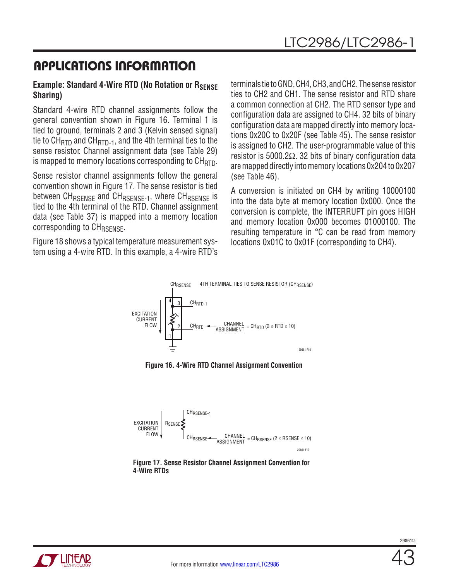### **Example: Standard 4-Wire RTD (No Rotation or RSENSE Sharing)**

Standard 4-wire RTD channel assignments follow the general convention shown in Figure 16. Terminal 1 is tied to ground, terminals 2 and 3 (Kelvin sensed signal) tie to  $CH_{\text{RTD}}$  and  $CH_{\text{RTD-1}}$ , and the 4th terminal ties to the sense resistor. Channel assignment data (see Table 29) is mapped to memory locations corresponding to  $CH_{\text{RTD}}$ .

Sense resistor channel assignments follow the general convention shown in Figure 17. The sense resistor is tied between CH<sub>RSENSE</sub> and CH<sub>RSENSE-1</sub>, where CH<sub>RSENSE</sub> is tied to the 4th terminal of the RTD. Channel assignment data (see Table 37) is mapped into a memory location corresponding to CH<sub>RSENSE</sub>.

Figure 18 shows a typical temperature measurement system using a 4-wire RTD. In this example, a 4-wire RTD's terminals tie to GND, CH4, CH3, and CH2. The sense resistor ties to CH2 and CH1. The sense resistor and RTD share a common connection at CH2. The RTD sensor type and configuration data are assigned to CH4. 32 bits of binary configuration data are mapped directly into memory locations 0x20C to 0x20F (see Table 45). The sense resistor is assigned to CH2. The user-programmable value of this resistor is 5000.2Ω. 32 bits of binary configuration data are mapped directly into memory locations 0x204 to 0x207 (see Table 46).

A conversion is initiated on CH4 by writing 10000100 into the data byte at memory location 0x000. Once the conversion is complete, the INTERRUPT pin goes HIGH and memory location 0x000 becomes 01000100. The resulting temperature in °C can be read from memory locations 0x01C to 0x01F (corresponding to CH4).



**Figure 16. 4-Wire RTD Channel Assignment Convention**





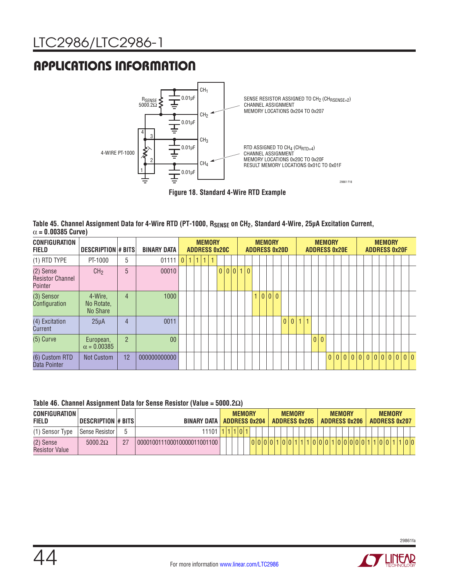

|                           | Table 45. Channel Assignment Data for 4-Wire RTD (PT-1000, R <sub>SENSE</sub> on CH <sub>2</sub> , Standard 4-Wire, 25µA Excitation Current, |  |  |
|---------------------------|----------------------------------------------------------------------------------------------------------------------------------------------|--|--|
| $\alpha$ = 0.00385 Curve) |                                                                                                                                              |  |  |

| <b>CONFIGURATION</b><br><b>FIELD</b>            | DESCRIPTION # BITS                |                | <b>BINARY DATA</b> |                | <b>ADDRESS 0x20C</b> | <b>MEMORY</b>  |  |         |  |   |    | <b>MEMORY</b> | <b>ADDRESS 0x20D</b> |   |  |  |     | <b>MEMORY</b><br><b>ADDRESS 0x20E</b> |     |  |  |  | <b>MEMORY</b> | <b>ADDRESS 0x20F</b>          |     |  |
|-------------------------------------------------|-----------------------------------|----------------|--------------------|----------------|----------------------|----------------|--|---------|--|---|----|---------------|----------------------|---|--|--|-----|---------------------------------------|-----|--|--|--|---------------|-------------------------------|-----|--|
| (1) RTD TYPE                                    | PT-1000                           | 5              | 01111              | $\overline{0}$ | 1                    | $\overline{A}$ |  |         |  |   |    |               |                      |   |  |  |     |                                       |     |  |  |  |               |                               |     |  |
| (2) Sense<br><b>Resistor Channel</b><br>Pointer | CH <sub>2</sub>                   | 5              | 00010              |                |                      |                |  | 0 0 0 1 |  | 0 |    |               |                      |   |  |  |     |                                       |     |  |  |  |               |                               |     |  |
| (3) Sensor<br>Configuration                     | 4-Wire,<br>No Rotate.<br>No Share | 4              | 1000               |                |                      |                |  |         |  |   | H. |               | 0 0 0                |   |  |  |     |                                       |     |  |  |  |               |                               |     |  |
| (4) Excitation<br>Current                       | $25\mu A$                         | 4              | 0011               |                |                      |                |  |         |  |   |    |               |                      | 0 |  |  |     |                                       |     |  |  |  |               |                               |     |  |
| $(5)$ Curve                                     | European,<br>$\alpha = 0.00385$   | $\overline{2}$ | 0 <sub>0</sub>     |                |                      |                |  |         |  |   |    |               |                      |   |  |  | 0 0 |                                       |     |  |  |  |               |                               |     |  |
| (6) Custom RTD<br>Data Pointer                  | Not Custom                        | 12             | 000000000000       |                |                      |                |  |         |  |   |    |               |                      |   |  |  |     |                                       | 0 0 |  |  |  |               | 0   0   0   0   0   0   0   0 | 0 0 |  |

#### **Table 46. Channel Assignment Data for Sense Resistor (Value = 5000.2Ω)**

| <b>CONFIGURATION</b><br><b>FIELD</b> |                    |    | BINARY DATA ADDRESS 0x204   |  | <b>MEMORY</b> |  |  | <b>MEMORY</b><br><b>ADDRESS 0x205</b> |  |             |  | <b>MEMORY</b><br><b>ADDRESS 0x206</b> |  |  | <b>ADDRESS 0x207</b> | <b>MEMORY</b> |  |  |
|--------------------------------------|--------------------|----|-----------------------------|--|---------------|--|--|---------------------------------------|--|-------------|--|---------------------------------------|--|--|----------------------|---------------|--|--|
| (1) Sensor Type                      | l Sense Resistor I | G  | 11101                       |  |               |  |  |                                       |  |             |  |                                       |  |  |                      |               |  |  |
| (2) Sense<br><b>Resistor Value</b>   | $5000.2\Omega$     | 27 | 000010011100010000011001100 |  |               |  |  | 0 0 1 1                               |  | 10000100000 |  |                                       |  |  |                      |               |  |  |

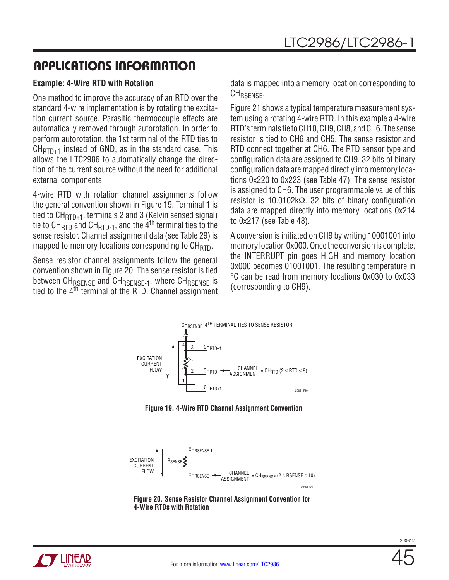### **Example: 4-Wire RTD with Rotation**

One method to improve the accuracy of an RTD over the standard 4-wire implementation is by rotating the excitation current source. Parasitic thermocouple effects are automatically removed through autorotation. In order to perform autorotation, the 1st terminal of the RTD ties to  $CH_{\text{RTD}_+1}$  instead of GND, as in the standard case. This allows the LTC2986 to automatically change the direction of the current source without the need for additional external components.

4-wire RTD with rotation channel assignments follow the general convention shown in Figure 19. Terminal 1 is tied to  $CH_{\text{RTD+1}}$ , terminals 2 and 3 (Kelvin sensed signal) tie to CH<sub>RTD</sub> and CH<sub>RTD-1</sub>, and the  $\dot{A}^{th}$  terminal ties to the sense resistor. Channel assignment data (see Table 29) is mapped to memory locations corresponding to  $CH_{\text{RTD}}$ .

Sense resistor channel assignments follow the general convention shown in Figure 20. The sense resistor is tied between CH<sub>RSENSE</sub> and CH<sub>RSENSE-1</sub>, where CH<sub>RSENSE</sub> is tied to the 4th terminal of the RTD. Channel assignment data is mapped into a memory location corresponding to CHRSENSE.

Figure 21 shows a typical temperature measurement system using a rotating 4-wire RTD. In this example a 4-wire RTD's terminals tie to CH10, CH9, CH8, and CH6. The sense resistor is tied to CH6 and CH5. The sense resistor and RTD connect together at CH6. The RTD sensor type and configuration data are assigned to CH9. 32 bits of binary configuration data are mapped directly into memory locations 0x220 to 0x223 (see Table 47). The sense resistor is assigned to CH6. The user programmable value of this resistor is 10.0102kΩ. 32 bits of binary configuration data are mapped directly into memory locations 0x214 to 0x217 (see Table 48).

A conversion is initiated on CH9 by writing 10001001 into memory location 0x000. Once the conversion is complete, the INTERRUPT pin goes HIGH and memory location 0x000 becomes 01001001. The resulting temperature in °C can be read from memory locations 0x030 to 0x033 (corresponding to CH9).



**Figure 19. 4-Wire RTD Channel Assignment Convention**



**Figure 20. Sense Resistor Channel Assignment Convention for 4-Wire RTDs with Rotation**

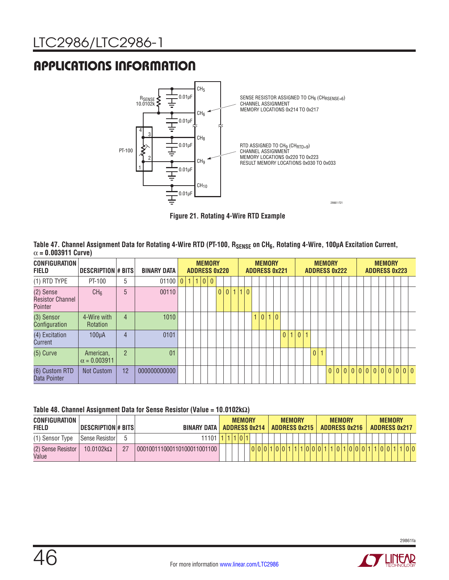

**Figure 21. Rotating 4-Wire RTD Example** 

| Table 47. Channel Assignment Data for Rotating 4-Wire RTD (PT-100, R <sub>SENSE</sub> on CH <sub>6</sub> , Rotating 4-Wire, 100µA Excitation Current, |  |
|-------------------------------------------------------------------------------------------------------------------------------------------------------|--|
| $\alpha = 0.003911$ Curve)                                                                                                                            |  |

| <b>CONFIGURATION</b><br><b>FIELD</b>            | DESCRIPTION # BITS               |                | <b>BINARY DATA</b> |                 |    |      | <b>MEMORY</b><br><b>ADDRESS 0x220</b> |                |   |     |                |  | <b>MEMORY</b> | <b>ADDRESS 0x221</b> |    |                |    |              | <b>MEMORY</b><br><b>ADDRESS 0x222</b> |  |                   |  | <b>MEMORY</b> |  | <b>ADDRESS 0x223</b> |  |
|-------------------------------------------------|----------------------------------|----------------|--------------------|-----------------|----|------|---------------------------------------|----------------|---|-----|----------------|--|---------------|----------------------|----|----------------|----|--------------|---------------------------------------|--|-------------------|--|---------------|--|----------------------|--|
| $(1)$ RTD TYPE                                  | PT-100                           | 5              | 01100              | 0 <sup>11</sup> | 11 | ا ۱۵ | $\overline{0}$                        |                |   |     |                |  |               |                      |    |                |    |              |                                       |  |                   |  |               |  |                      |  |
| (2) Sense<br><b>Resistor Channel</b><br>Pointer | CH <sub>6</sub>                  | 5              | 00110              |                 |    |      |                                       | $\overline{0}$ | 0 | 1 1 | $\overline{0}$ |  |               |                      |    |                |    |              |                                       |  |                   |  |               |  |                      |  |
| (3) Sensor<br>Configuration                     | 4-Wire with<br><b>Rotation</b>   | $\overline{4}$ | 1010               |                 |    |      |                                       |                |   |     |                |  | 1 0 1 0       |                      |    |                |    |              |                                       |  |                   |  |               |  |                      |  |
| (4) Excitation<br>Current                       | $100\mu A$                       | 4              | 0101               |                 |    |      |                                       |                |   |     |                |  |               | 0                    | 11 | $\overline{0}$ | 41 |              |                                       |  |                   |  |               |  |                      |  |
| $(5)$ Curve                                     | American,<br>$\alpha = 0.003911$ | $\overline{2}$ | 01                 |                 |    |      |                                       |                |   |     |                |  |               |                      |    |                |    | $\mathbf{0}$ | 1                                     |  |                   |  |               |  |                      |  |
| (6) Custom RTD<br>Data Pointer                  | <b>Not Custom</b>                | 12             | 000000000000       |                 |    |      |                                       |                |   |     |                |  |               |                      |    |                |    |              |                                       |  | 0 0 0 0 0 0 0 0 0 |  |               |  | 0 0 0                |  |

#### **Table 48. Channel Assignment Data for Sense Resistor (Value = 10.0102kΩ)**

| CONFIGURATION<br><b>FIELD</b> | <b>DESCRIPTION # BITS</b> |    | <b>BINARY DATA</b>          | <b>ADDRESS 0x214</b> | <b>MEMORY</b> |  |  | <b>ADDRESS 0x215</b> | <b>MEMORY</b> |  |  | <b>ADDRESS 0x216</b> | <b>MEMORY</b> |  |  | <b>MEMORY</b> |  | <b>ADDRESS 0x217</b> |     |
|-------------------------------|---------------------------|----|-----------------------------|----------------------|---------------|--|--|----------------------|---------------|--|--|----------------------|---------------|--|--|---------------|--|----------------------|-----|
| (1) Sensor Type               | Sense Resistor            |    | 11101                       |                      | 1 0 1         |  |  |                      |               |  |  |                      |               |  |  |               |  |                      |     |
| (2) Sense Resistor<br>Value   | $10.0102k\Omega$          | 27 | 000100111000110100011001100 |                      |               |  |  |                      |               |  |  |                      |               |  |  |               |  |                      | 0 0 |

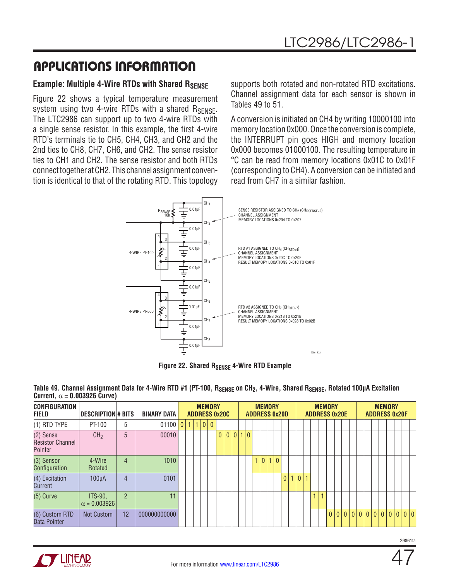### **Example: Multiple 4-Wire RTDs with Shared RSENSE**

Figure 22 shows a typical temperature measurement system using two 4-wire RTDs with a shared  $R_{\text{SENSE}}$ . The LTC2986 can support up to two 4-wire RTDs with a single sense resistor. In this example, the first 4-wire RTD's terminals tie to CH5, CH4, CH3, and CH2 and the 2nd ties to CH8, CH7, CH6, and CH2. The sense resistor ties to CH1 and CH2. The sense resistor and both RTDs connect together at CH2. This channel assignment convention is identical to that of the rotating RTD. This topology supports both rotated and non-rotated RTD excitations. Channel assignment data for each sensor is shown in Tables 49 to 51.

A conversion is initiated on CH4 by writing 10000100 into memory location 0x000. Once the conversion is complete, the INTERRUPT pin goes HIGH and memory location 0x000 becomes 01000100. The resulting temperature in °C can be read from memory locations 0x01C to 0x01F (corresponding to CH4). A conversion can be initiated and read from CH7 in a similar fashion.



**Figure 22. Shared RSENSE 4-Wire RTD Example** 

| CONFIGURATION<br><b>FIELD</b>                   | <b>DESCRIPTION#BITS</b>        |                | <b>BINARY DATA</b> |  |           | <b>MEMORY</b><br><b>ADDRESS 0x20C</b> |                |  |       |    | <b>ADDRESS 0x20D</b> | <b>MEMORY</b> |  |     |       |                |   |   | <b>MEMORY</b><br><b>ADDRESS 0x20E</b> |  |  |  | <b>MEMORY</b><br><b>ADDRESS 0x20F</b> |  |  |
|-------------------------------------------------|--------------------------------|----------------|--------------------|--|-----------|---------------------------------------|----------------|--|-------|----|----------------------|---------------|--|-----|-------|----------------|---|---|---------------------------------------|--|--|--|---------------------------------------|--|--|
| (1) RTD TYPE                                    | PT-100                         | 5              | 01100              |  | 0 1 1 0 0 |                                       |                |  |       |    |                      |               |  |     |       |                |   |   |                                       |  |  |  |                                       |  |  |
| (2) Sense<br><b>Resistor Channel</b><br>Pointer | CH <sub>2</sub>                | 5              | 00010              |  |           |                                       | $\overline{0}$ |  | 0 0 1 | 10 |                      |               |  |     |       |                |   |   |                                       |  |  |  |                                       |  |  |
| (3) Sensor<br>Configuration                     | 4-Wire<br>Rotated              | 4              | 1010               |  |           |                                       |                |  |       |    |                      | 1 0 1 0       |  |     |       |                |   |   |                                       |  |  |  |                                       |  |  |
| (4) Excitation<br>Current                       | 100 <sub>u</sub> A             | $\overline{4}$ | 0101               |  |           |                                       |                |  |       |    |                      |               |  | 0 1 | l o l | $\overline{1}$ |   |   |                                       |  |  |  |                                       |  |  |
| $(5)$ Curve                                     | ITS-90,<br>$\alpha = 0.003926$ | $\mathfrak{p}$ | 11                 |  |           |                                       |                |  |       |    |                      |               |  |     |       |                | 1 | 1 |                                       |  |  |  |                                       |  |  |
| (6) Custom RTD<br>Data Pointer                  | <b>Not Custom</b>              | 12             | 000000000000       |  |           |                                       |                |  |       |    |                      |               |  |     |       |                |   |   |                                       |  |  |  | 000000000000000                       |  |  |

Table 49. Channel Assignment Data for 4-Wire RTD #1 (PT-100, R<sub>SENSE</sub> on CH<sub>2</sub>, 4-Wire, Shared R<sub>SENSE</sub>, Rotated 100µA Excitation **Current,**  $\alpha = 0.003926$  **Curve)** 

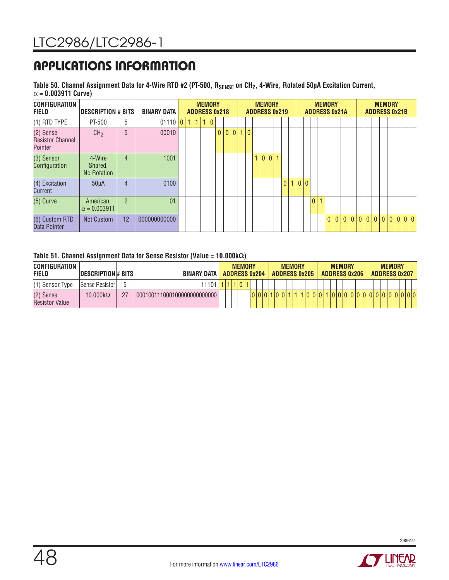Table 50. Channel Assignment Data for 4-Wire RTD #2 (PT-500, R<sub>SENSE</sub> on CH<sub>2</sub>, 4-Wire, Rotated 50µA Excitation Current, α **= 0.003911 Curve)**

| <b>CONFIGURATION</b><br><b>FIELD</b>            | DESCRIPTION# BITS                       |                | <b>BINARY DATA</b> |                |           |              | <b>MEMORY</b> |                | <b>ADDRESS 0x218</b> |     |   |                |                | <b>MEMORY</b> | <b>ADDRESS 0x219</b> |                |  |     |                | <b>MEMORY</b><br><b>ADDRESS 0x21A</b> |                |  |            |  | <b>MEMORY</b> | <b>ADDRESS 0x21B</b> |  |
|-------------------------------------------------|-----------------------------------------|----------------|--------------------|----------------|-----------|--------------|---------------|----------------|----------------------|-----|---|----------------|----------------|---------------|----------------------|----------------|--|-----|----------------|---------------------------------------|----------------|--|------------|--|---------------|----------------------|--|
| $(1)$ RTD TYPE                                  | PT-500                                  | 5              | 01110              | $\overline{0}$ | $\vert$ 1 | $\mathbf{1}$ | 1 0           |                |                      |     |   |                |                |               |                      |                |  |     |                |                                       |                |  |            |  |               |                      |  |
| (2) Sense<br><b>Resistor Channel</b><br>Pointer | CH <sub>2</sub>                         | 5              | 00010              |                |           |              |               | 0 <sup>1</sup> |                      | 0 0 | 1 | $\overline{0}$ |                |               |                      |                |  |     |                |                                       |                |  |            |  |               |                      |  |
| (3) Sensor<br>Configuration                     | 4-Wire<br>Shared,<br><b>No Rotation</b> | 4              | 1001               |                |           |              |               |                |                      |     |   |                | $\overline{1}$ |               |                      |                |  |     |                |                                       |                |  |            |  |               |                      |  |
| (4) Excitation<br>Current                       | $50\mu A$                               | 4              | 0100               |                |           |              |               |                |                      |     |   |                |                |               |                      | 0 <sup>1</sup> |  | 0 0 |                |                                       |                |  |            |  |               |                      |  |
| $(5)$ Curve                                     | American,<br>$\alpha = 0.003911$        | $\overline{2}$ | 01                 |                |           |              |               |                |                      |     |   |                |                |               |                      |                |  |     | $\overline{0}$ |                                       |                |  |            |  |               |                      |  |
| (6) Custom RTD<br>Data Pointer                  | <b>Not Custom</b>                       | 12             | 000000000000       |                |           |              |               |                |                      |     |   |                |                |               |                      |                |  |     |                | $\mathbf{0}$                          | 0 <sup>1</sup> |  | $0 0 0 0 $ |  |               | 0 0 0 0 0            |  |

#### **Table 51. Channel Assignment Data for Sense Resistor (Value = 10.000kΩ)**

| CONFIGURATION<br><b>FIELD</b>      | <b>DESCRIPTION# BITS</b> |    | BINARY DATA I                |  | <b>MEMORY</b> |      | ADDRESS 0x204 |  | <b>ADDRESS 0x205</b> | <b>MEMORY</b> |  |  | <b>MEMORY</b><br><b>ADDRESS 0x206</b> |  |  |  | <b>MEMORY</b> | <b>ADDRESS 0x207</b> |  |
|------------------------------------|--------------------------|----|------------------------------|--|---------------|------|---------------|--|----------------------|---------------|--|--|---------------------------------------|--|--|--|---------------|----------------------|--|
| (1) Sensor Type                    | Sense Resistor           | h  | 11101                        |  |               | 1011 |               |  |                      |               |  |  |                                       |  |  |  |               |                      |  |
| (2) Sense<br><b>Resistor Value</b> | 10.000 $k\Omega$         | 27 | 0001001110001000000000000000 |  |               |      | 0 0 0 1       |  |                      |               |  |  | 100000000                             |  |  |  |               | 0000000000           |  |

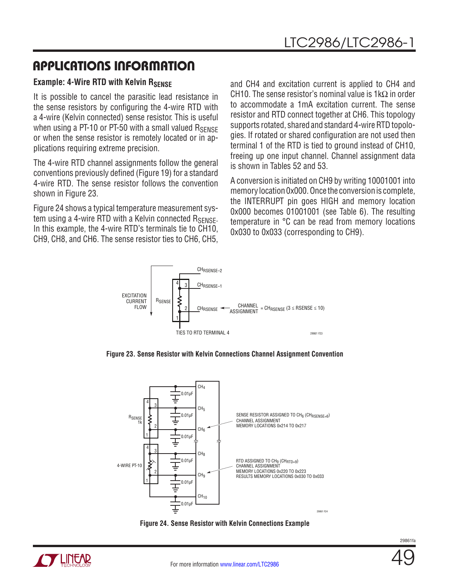### **Example: 4-Wire RTD with Kelvin RSFNSF**

It is possible to cancel the parasitic lead resistance in the sense resistors by configuring the 4-wire RTD with a 4-wire (Kelvin connected) sense resistor. This is useful when using a PT-10 or PT-50 with a small valued  $R_{\text{SENSF}}$ or when the sense resistor is remotely located or in applications requiring extreme precision.

The 4-wire RTD channel assignments follow the general conventions previously defined (Figure 19) for a standard 4-wire RTD. The sense resistor follows the convention shown in Figure 23.

Figure 24 shows a typical temperature measurement system using a 4-wire RTD with a Kelvin connected  $R_{\text{SPNSF}}$ . In this example, the 4-wire RTD's terminals tie to CH10, CH9, CH8, and CH6. The sense resistor ties to CH6, CH5,

and CH4 and excitation current is applied to CH4 and CH10. The sense resistor's nominal value is 1k $\Omega$  in order to accommodate a 1mA excitation current. The sense resistor and RTD connect together at CH6. This topology supports rotated, shared and standard 4-wire RTD topologies. If rotated or shared configuration are not used then terminal 1 of the RTD is tied to ground instead of CH10, freeing up one input channel. Channel assignment data is shown in Tables 52 and 53.

A conversion is initiated on CH9 by writing 10001001 into memory location 0x000. Once the conversion is complete, the INTERRUPT pin goes HIGH and memory location 0x000 becomes 01001001 (see Table 6). The resulting temperature in °C can be read from memory locations 0x030 to 0x033 (corresponding to CH9).



**Figure 23. Sense Resistor with Kelvin Connections Channel Assignment Convention**



**Figure 24. Sense Resistor with Kelvin Connections Example**

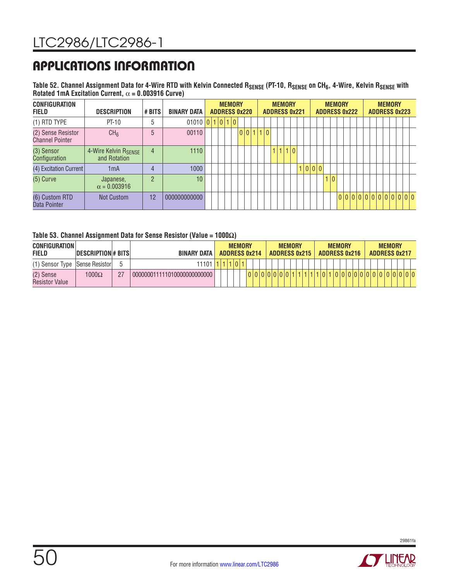Table 52. Channel Assignment Data for 4-Wire RTD with Kelvin Connected R<sub>SENSE</sub> (PT-10, R<sub>SENSE</sub> on CH<sub>6</sub>, 4-Wire, Kelvin R<sub>SENSE</sub> with **Rotated 1mA Excitation Current,** α **= 0.003916 Curve)**

| <b>CONFIGURATION</b><br><b>FIELD</b>         | <b>DESCRIPTION</b>                   | # BITS         | <b>BINARY DATA</b> |  | <b>ADDRESS 0x220</b> | <b>MEMORY</b> |  |           |  | <b>MEMORY</b><br><b>ADDRESS 0x221</b> |  |         |  |     | <b>MEMORY</b><br><b>ADDRESS 0x222</b> |  |  |  | <b>MEMORY</b> |  | <b>ADDRESS 0x223</b> |  |
|----------------------------------------------|--------------------------------------|----------------|--------------------|--|----------------------|---------------|--|-----------|--|---------------------------------------|--|---------|--|-----|---------------------------------------|--|--|--|---------------|--|----------------------|--|
| $(1)$ RTD TYPE                               | $PT-10$                              | 5              | 01010 0 1 0 1 0    |  |                      |               |  |           |  |                                       |  |         |  |     |                                       |  |  |  |               |  |                      |  |
| (2) Sense Resistor<br><b>Channel Pointer</b> | CH <sub>6</sub>                      | 5              | 00110              |  |                      |               |  | 0 0 1 1 0 |  |                                       |  |         |  |     |                                       |  |  |  |               |  |                      |  |
| (3) Sensor<br>Configuration                  | 4-Wire Kelvin RSENSE<br>and Rotation | $\overline{4}$ | 1110               |  |                      |               |  |           |  | 1 1 1 0                               |  |         |  |     |                                       |  |  |  |               |  |                      |  |
| (4) Excitation Current                       | 1 <sub>m</sub> A                     | 4              | 1000               |  |                      |               |  |           |  |                                       |  | 1 0 0 0 |  |     |                                       |  |  |  |               |  |                      |  |
| $(5)$ Curve                                  | Japanese,<br>$\alpha = 0.003916$     | $\mathcal{P}$  | 10                 |  |                      |               |  |           |  |                                       |  |         |  | 1 0 |                                       |  |  |  |               |  |                      |  |
| (6) Custom RTD<br>Data Pointer               | Not Custom                           | 12             | 000000000000       |  |                      |               |  |           |  |                                       |  |         |  |     |                                       |  |  |  |               |  | 000000000000000      |  |

#### **Table 53. Channel Assignment Data for Sense Resistor (Value = 1000Ω)**

| <b>CONFIGURATION</b><br><b>FIELD</b> | <b>DESCRIPTION#BITS</b> |    | <b>BINARY DATA</b>          |         |  |  | <b>MEMORY</b><br><b>ADDRESS 0x214</b> |  |  |     |  | <b>MEMORY</b><br><b>ADDRESS 0x215</b> |  | <b>ADDRESS 0x216</b> | <b>MEMORY</b> |  |  |  | <b>MEMORY</b> | <b>ADDRESS 0x217</b> |
|--------------------------------------|-------------------------|----|-----------------------------|---------|--|--|---------------------------------------|--|--|-----|--|---------------------------------------|--|----------------------|---------------|--|--|--|---------------|----------------------|
| (1) Sensor Type   Sense Resistor     |                         |    | $11101$ $1.$                |         |  |  | 111011                                |  |  |     |  |                                       |  |                      |               |  |  |  |               |                      |
| (2) Sense<br><b>Resistor Value</b>   | $1000\Omega$            | 27 | 000000011111010000000000000 | 0000000 |  |  |                                       |  |  | 101 |  |                                       |  |                      | 0 0 0 0 0 0 0 |  |  |  |               |                      |



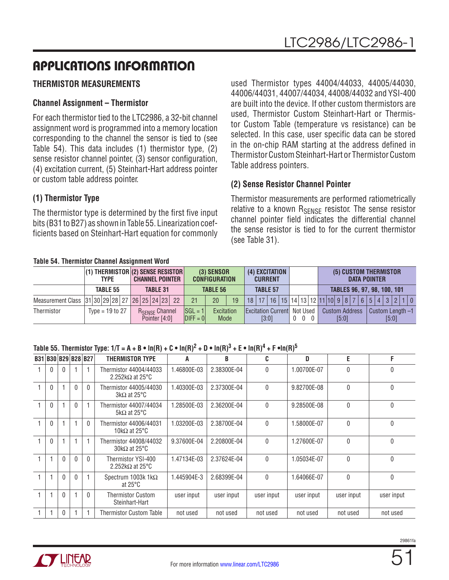## **THERMISTOR MEASUREMENTS**

## **Channel Assignment – Thermistor**

For each thermistor tied to the LTC2986, a 32-bit channel assignment word is programmed into a memory location corresponding to the channel the sensor is tied to (see Table 54). This data includes (1) thermistor type, (2) sense resistor channel pointer, (3) sensor configuration, (4) excitation current, (5) Steinhart-Hart address pointer or custom table address pointer.

### **(1) Thermistor Type**

The thermistor type is determined by the first five input bits (B31 to B27) as shown in Table 55. Linearization coefficients based on Steinhart-Hart equation for commonly used Thermistor types 44004/44033, 44005/44030, 44006/44031, 44007/44034, 44008/44032 and YSI-400 are built into the device. If other custom thermistors are used, Thermistor Custom Steinhart-Hart or Thermistor Custom Table (temperature vs resistance) can be selected. In this case, user specific data can be stored in the on-chip RAM starting at the address defined in Thermistor Custom Steinhart-Hart or Thermistor Custom Table address pointers.

### **(2) Sense Resistor Channel Pointer**

Thermistor measurements are performed ratiometrically relative to a known  $R_{\text{SENSF}}$  resistor. The sense resistor channel pointer field indicates the differential channel the sense resistor is tied to for the current thermistor (see Table 31).

#### **Table 54. Thermistor Channel Assignment Word**

|                                              |  | <b>TYPE</b>       |  |  |                                        | <b>(1) THERMISTOR (2) SENSE RESISTOR</b><br><b>CHANNEL POINTER</b> |                            | (3) SENSOR<br><b>CONFIGURATION</b> |      | (4) EXCITATION<br><b>CURRENT</b> |  |              |                                                      |                                | (5) CUSTOM THERMISTOR |  | <b>DATA POINTER</b> |       |                                                |  |
|----------------------------------------------|--|-------------------|--|--|----------------------------------------|--------------------------------------------------------------------|----------------------------|------------------------------------|------|----------------------------------|--|--------------|------------------------------------------------------|--------------------------------|-----------------------|--|---------------------|-------|------------------------------------------------|--|
|                                              |  | <b>TABLE 55</b>   |  |  | <b>TABLE 31</b>                        |                                                                    |                            | <b>TABLE 56</b>                    |      | <b>TABLE 57</b>                  |  |              |                                                      | TABLES 96, 97, 98, 100, 101    |                       |  |                     |       |                                                |  |
| Measurement Class 31 30 29 28 27 26 25 24 23 |  |                   |  |  |                                        | 22                                                                 | 21                         | 20                                 | 19   |                                  |  |              |                                                      |                                |                       |  |                     |       | 18 17 16 15 14 13 12 11 10 9 8 7 6 5 4 3 2 1 0 |  |
| Thermistor                                   |  | Type = $19$ to 27 |  |  | <b>RSENSE Channel</b><br>Pointer [4:0] |                                                                    | $ SGL = 1 $<br>$D$ IFF = 0 | Excitation                         | Mode | [3:0]                            |  | $\mathbf{0}$ | <b>Excitation Current Not Used</b><br>$\overline{0}$ | <b>Custom Address</b><br>[5:0] |                       |  |                     | [5:0] | Custom Length -1                               |  |

### Table 55. Thermistor Type:  $1/T = A + B \cdot \ln(R) + C \cdot \ln(R)^2 + D \cdot \ln(R)^3 + E \cdot \ln(R)^4 + F \cdot \ln(R)^5$

| B31   B30   B29   B28   B27 |          |          |          | <b>THERMISTOR TYPE</b>                            | A           | R           | C            | D           | E            | F          |
|-----------------------------|----------|----------|----------|---------------------------------------------------|-------------|-------------|--------------|-------------|--------------|------------|
|                             | 0        |          |          | Thermistor 44004/44033<br>2.252k $\Omega$ at 25°C | 1.46800E-03 | 2.38300E-04 | $\mathbf{0}$ | 1.00700E-07 | $\mathbf{0}$ | 0          |
| $\Omega$                    |          | $\Omega$ | 0        | Thermistor 44005/44030<br>$3k\Omega$ at 25°C      | 1.40300E-03 | 2.37300E-04 | $\mathbf{0}$ | 9.82700E-08 | 0            | 0          |
| $\Omega$                    |          | $\Omega$ |          | Thermistor 44007/44034<br>5k $\Omega$ at 25°C     | 1.28500E-03 | 2.36200E-04 | $\mathbf{0}$ | 9.28500E-08 | $\mathbf{0}$ | 0          |
|                             |          |          | 0        | Thermistor 44006/44031<br>10k $\Omega$ at 25°C    | 1.03200E-03 | 2.38700E-04 | $\mathbf{0}$ | 1.58000E-07 | 0            | 0          |
|                             |          |          |          | Thermistor 44008/44032<br>$30k\Omega$ at 25°C     | 9.37600E-04 | 2.20800E-04 | $\theta$     | 1.27600E-07 | $\Omega$     | 0          |
|                             | $\Omega$ | $\Omega$ | $\Omega$ | Thermistor YSI-400<br>2.252k $\Omega$ at 25°C     | 1.47134E-03 | 2.37624E-04 | $\mathbf{0}$ | 1.05034E-07 | $\Omega$     | 0          |
|                             | $\theta$ | $\Omega$ |          | Spectrum 1003k 1 $k\Omega$<br>at $25^{\circ}$ C   | 1.445904E-3 | 2.68399E-04 | $\mathbf{0}$ | 1.64066E-07 | $\Omega$     | 0          |
|                             | $\theta$ |          |          | <b>Thermistor Custom</b><br>Steinhart-Hart        | user input  | user input  | user input   | user input  | user input   | user input |
|                             | 0        |          |          | Thermistor Custom Table                           | not used    | not used    | not used     | not used    | not used     | not used   |

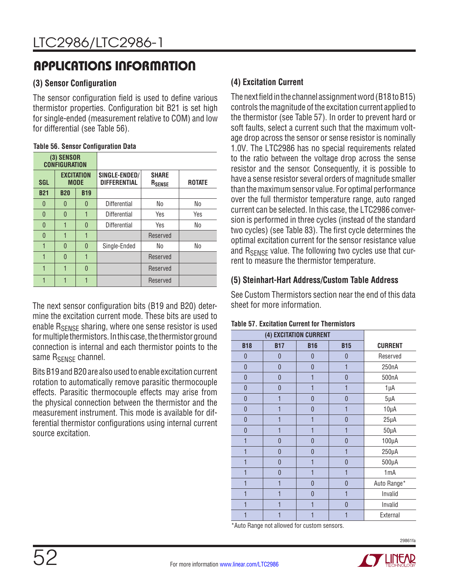### **(3) Sensor Configuration**

The sensor configuration field is used to define various thermistor properties. Configuration bit B21 is set high for single-ended (measurement relative to COM) and low for differential (see Table 56).

#### **Table 56. Sensor Configuration Data**

|            | (3) SENSOR<br><b>CONFIGURATION</b> |             |                                      |                                    |                |
|------------|------------------------------------|-------------|--------------------------------------|------------------------------------|----------------|
| <b>SGL</b> | <b>EXCITATION</b>                  | <b>MODE</b> | SINGLE-ENDED/<br><b>DIFFERENTIAL</b> | <b>SHARE</b><br>R <sub>SENSE</sub> | <b>ROTATE</b>  |
| <b>B21</b> | <b>B20</b>                         | <b>B19</b>  |                                      |                                    |                |
| 0          | O                                  | 0           | Differential                         | N <sub>0</sub>                     | N <sub>0</sub> |
| 0          | O                                  |             | Differential                         | Yes                                | Yes            |
| $\Omega$   | 1                                  | $\Omega$    | Differential                         | Yes                                | N <sub>0</sub> |
| $\Omega$   | 1                                  | 1           |                                      | Reserved                           |                |
| 1          | 0                                  | $\Omega$    | Single-Ended                         | No                                 | <b>No</b>      |
| 1          | $\Omega$                           | 1           |                                      | Reserved                           |                |
| 1          | 1                                  | $\Omega$    |                                      | Reserved                           |                |
| 1          |                                    |             |                                      | Reserved                           |                |

The next sensor configuration bits (B19 and B20) determine the excitation current mode. These bits are used to enable R<sub>SENSE</sub> sharing, where one sense resistor is used for multiple thermistors. In this case, the thermistor ground connection is internal and each thermistor points to the same R<sub>SFNSF</sub> channel.

Bits B19 and B20 are also used to enable excitation current rotation to automatically remove parasitic thermocouple effects. Parasitic thermocouple effects may arise from the physical connection between the thermistor and the measurement instrument. This mode is available for differential thermistor configurations using internal current source excitation.

### **(4) Excitation Current**

The next field in the channel assignment word (B18 to B15) controls the magnitude of the excitation current applied to the thermistor (see Table 57). In order to prevent hard or soft faults, select a current such that the maximum voltage drop across the sensor or sense resistor is nominally 1.0V. The LTC2986 has no special requirements related to the ratio between the voltage drop across the sense resistor and the sensor. Consequently, it is possible to have a sense resistor several orders of magnitude smaller than the maximum sensor value. For optimal performance over the full thermistor temperature range, auto ranged current can be selected. In this case, the LTC2986 conversion is performed in three cycles (instead of the standard two cycles) (see Table 83). The first cycle determines the optimal excitation current for the sensor resistance value and  $R_{\text{SFRSE}}$  value. The following two cycles use that current to measure the thermistor temperature.

### **(5) Steinhart-Hart Address/Custom Table Address**

See Custom Thermistors section near the end of this data sheet for more information.

|                  |                | (4) EXCITATION CURRENT |                |                |
|------------------|----------------|------------------------|----------------|----------------|
| <b>B18</b>       | <b>B17</b>     | <b>B16</b>             | <b>B15</b>     | <b>CURRENT</b> |
| $\boldsymbol{0}$ | $\mathbf 0$    | 0                      | 0              | Reserved       |
| 0                | $\overline{0}$ | 0                      | 1              | 250nA          |
| 0                | $\overline{0}$ | 1                      | 0              | 500nA          |
| 0                | $\mathbf 0$    | 1                      | 1              | 1µA            |
| 0                | 1              | 0                      | $\theta$       | $5\mu A$       |
| 0                |                | 0                      | 1              | $10\mu A$      |
| 0                |                | 1                      | 0              | $25\mu A$      |
| 0                |                | 1                      | 1              | $50\mu A$      |
|                  | 0              | 0                      | 0              | $100\mu A$     |
| 1                | $\overline{0}$ | $\overline{0}$         | 1              | $250\mu A$     |
| 1                | $\overline{0}$ | 1                      | $\theta$       | $500\mu A$     |
|                  | $\overline{0}$ | 1                      | 1              | 1mA            |
|                  |                | 0                      | 0              | Auto Range*    |
|                  |                | 0                      | 1              | Invalid        |
|                  | 1              | 1                      | $\overline{0}$ | Invalid        |
|                  |                | 1                      | 1              | External       |

**Table 57. Excitation Current for Thermistors**

\*Auto Range not allowed for custom sensors.



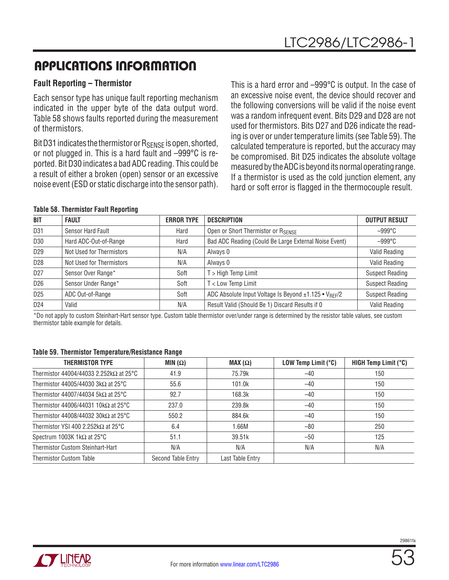### **Fault Reporting – Thermistor**

Each sensor type has unique fault reporting mechanism indicated in the upper byte of the data output word. Table 58 shows faults reported during the measurement of thermistors.

Bit D31 indicates the thermistor or R<sub>SENSE</sub> is open, shorted, or not plugged in. This is a hard fault and –999°C is reported. Bit D30 indicates a bad ADC reading. This could be a result of either a broken (open) sensor or an excessive noise event (ESD or static discharge into the sensor path). This is a hard error and –999°C is output. In the case of an excessive noise event, the device should recover and the following conversions will be valid if the noise event was a random infrequent event. Bits D29 and D28 are not used for thermistors. Bits D27 and D26 indicate the reading is over or under temperature limits (see Table 59). The calculated temperature is reported, but the accuracy may be compromised. Bit D25 indicates the absolute voltage measured by the ADC is beyond its normal operating range. If a thermistor is used as the cold junction element, any hard or soft error is flagged in the thermocouple result.

#### **Table 58. Thermistor Fault Reporting**

| <b>BIT</b>      | <b>FAULT</b>             | <b>ERROR TYPE</b> | <b>DESCRIPTION</b>                                                | <b>OUTPUT RESULT</b>   |
|-----------------|--------------------------|-------------------|-------------------------------------------------------------------|------------------------|
| D31             | Sensor Hard Fault        | Hard              | Open or Short Thermistor or RSENSE                                | $-999^{\circ}$ C       |
| D30             | Hard ADC-Out-of-Range    | Hard              | Bad ADC Reading (Could Be Large External Noise Event)             | $-999^{\circ}$ C       |
| D <sub>29</sub> | Not Used for Thermistors | N/A               | Always 0                                                          | Valid Reading          |
| D <sub>28</sub> | Not Used for Thermistors | N/A               | Always 0                                                          | Valid Reading          |
| D <sub>27</sub> | Sensor Over Range*       | Soft              | $T >$ High Temp Limit                                             | <b>Suspect Reading</b> |
| D <sub>26</sub> | Sensor Under Range*      | Soft              | T < Low Temp Limit                                                | <b>Suspect Reading</b> |
| D <sub>25</sub> | ADC Out-of-Range         | Soft              | ADC Absolute Input Voltage Is Beyond ±1.125 • V <sub>RFF</sub> /2 | <b>Suspect Reading</b> |
| D <sub>24</sub> | Valid                    | N/A               | Result Valid (Should Be 1) Discard Results if 0                   | Valid Reading          |

\*Do not apply to custom Steinhart-Hart sensor type. Custom table thermistor over/under range is determined by the resistor table values, see custom thermistor table example for details.

#### **Table 59. Thermistor Temperature/Resistance Range**

| <b>THERMISTOR TYPE</b>                         | MIN $(\Omega)$     | MAX $(\Omega)$   | LOW Temp Limit (°C) | HIGH Temp Limit (°C) |
|------------------------------------------------|--------------------|------------------|---------------------|----------------------|
| Thermistor 44004/44033 2.252k $\Omega$ at 25°C | 41.9               | 75.79k           | $-40$               | 150                  |
| Thermistor 44005/44030 3k $\Omega$ at 25°C     | 55.6               | 101.0k           | $-40$               | 150                  |
| Thermistor 44007/44034 5k $\Omega$ at 25°C     | 92.7               | 168.3k           | $-40$               | 150                  |
| Thermistor 44006/44031 10k $\Omega$ at 25°C    | 237.0              | 239.8k           | $-40$               | 150                  |
| Thermistor 44008/44032 30 $k\Omega$ at 25°C    | 550.2              | 884.6k           | $-40$               | 150                  |
| Thermistor YSI 400 2.252k $\Omega$ at 25°C     | 6.4                | 1.66M            | $-80$               | 250                  |
| Spectrum 1003K 1 $k\Omega$ at 25°C             | 51.1               | 39.51k           | $-50$               | 125                  |
| Thermistor Custom Steinhart-Hart               | N/A                | N/A              | N/A                 | N/A                  |
| <b>Thermistor Custom Table</b>                 | Second Table Entry | Last Table Entry |                     |                      |

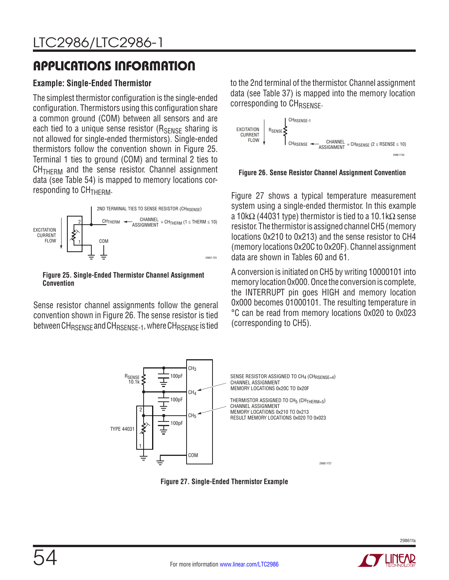### **Example: Single-Ended Thermistor**

The simplest thermistor configuration is the single-ended configuration. Thermistors using this configuration share a common ground (COM) between all sensors and are each tied to a unique sense resistor  $(R_{\text{SENSF}})$  sharing is not allowed for single-ended thermistors). Single-ended thermistors follow the convention shown in Figure 25. Terminal 1 ties to ground (COM) and terminal 2 ties to  $CH<sub>THFRM</sub>$  and the sense resistor. Channel assignment data (see Table 54) is mapped to memory locations corresponding to CH<sub>THERM</sub>.



**Figure 25. Single-Ended Thermistor Channel Assignment Convention**

Sense resistor channel assignments follow the general convention shown in Figure 26. The sense resistor is tied between CH<sub>RSENSE</sub> and CH<sub>RSENSE-1</sub>, where CH<sub>RSENSE</sub> is tied to the 2nd terminal of the thermistor. Channel assignment data (see Table 37) is mapped into the memory location corresponding to CH<sub>RSENSE</sub>.



**Figure 26. Sense Resistor Channel Assignment Convention**

Figure 27 shows a typical temperature measurement system using a single-ended thermistor. In this example a 10k $\Omega$  (44031 type) thermistor is tied to a 10.1k $\Omega$  sense resistor. The thermistor is assigned channel CH5 (memory locations 0x210 to 0x213) and the sense resistor to CH4 (memory locations 0x20C to 0x20F). Channel assignment data are shown in Tables 60 and 61.

A conversion is initiated on CH5 by writing 10000101 into memory location 0x000. Once the conversion is complete, the INTERRUPT pin goes HIGH and memory location 0x000 becomes 01000101. The resulting temperature in °C can be read from memory locations 0x020 to 0x023 (corresponding to CH5).



**Figure 27. Single-Ended Thermistor Example**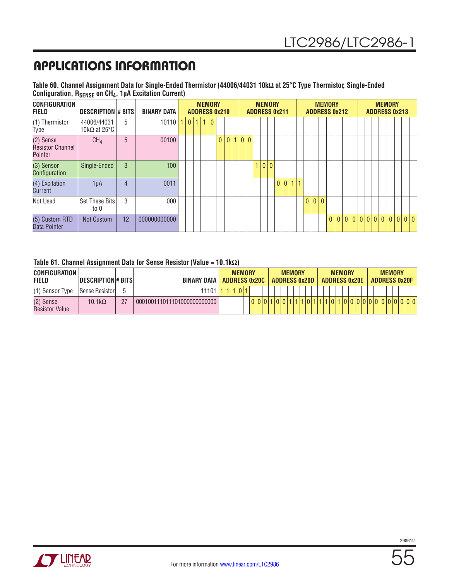**Table 60. Channel Assignment Data for Single-Ended Thermistor (44006/44031 10kΩ at 25°C Type Thermistor, Single-Ended Configuration, RSENSE on CH4, 1µA Excitation Current)**

| <b>CONFIGURATION</b><br><b>FIELD</b>            | <b>DESCRIPTION # BITS</b>           |    | <b>BINARY DATA</b> |  |                |   | <b>MEMORY</b> | <b>ADDRESS 0x210</b> |   |     |  | <b>MEMORY</b> | <b>ADDRESS 0x211</b> |       |  |          |     | <b>MEMORY</b><br><b>ADDRESS 0x212</b> |       |  |  | <b>MEMORY</b> | <b>ADDRESS 0x213</b> |     |  |
|-------------------------------------------------|-------------------------------------|----|--------------------|--|----------------|---|---------------|----------------------|---|-----|--|---------------|----------------------|-------|--|----------|-----|---------------------------------------|-------|--|--|---------------|----------------------|-----|--|
| (1) Thermistor<br>Type                          | 44006/44031<br>10k $\Omega$ at 25°C | 5  | $10110$  1 0       |  | $\overline{4}$ | 1 | $\mathbf{0}$  |                      |   |     |  |               |                      |       |  |          |     |                                       |       |  |  |               |                      |     |  |
| (2) Sense<br><b>Resistor Channel</b><br>Pointer | CH <sub>4</sub>                     | 5  | 00100              |  |                |   |               | $\Omega$             | 0 | 0 0 |  |               |                      |       |  |          |     |                                       |       |  |  |               |                      |     |  |
| (3) Sensor<br>Configuration                     | Single-Ended                        | 3  | 100                |  |                |   |               |                      |   |     |  | 0 0           |                      |       |  |          |     |                                       |       |  |  |               |                      |     |  |
| (4) Excitation<br>Current                       | 1µA                                 | 4  | 0011               |  |                |   |               |                      |   |     |  |               |                      | 0 0 1 |  |          |     |                                       |       |  |  |               |                      |     |  |
| Not Used                                        | <b>Set These Bits</b><br>to 0       | 3  | 000                |  |                |   |               |                      |   |     |  |               |                      |       |  | $\Omega$ | 0 0 |                                       |       |  |  |               |                      |     |  |
| (5) Custom RTD<br>Data Pointer                  | Not Custom                          | 12 | 000000000000       |  |                |   |               |                      |   |     |  |               |                      |       |  |          |     |                                       | 0 0 0 |  |  | 0000000       | 0                    | 0 0 |  |

#### **Table 61. Channel Assignment Data for Sense Resistor (Value = 10.1kΩ)**

| <b>CONFIGURATION</b><br><b>FIELD</b> | <b>IDESCRIPTION # BITS</b> | <b>BINARY DATA</b>          |  | <b>MEMORY</b> |  | <b>ADDRESS 0x20C</b> |  | <b>ADDRESS 0x20D</b> | <b>MEMORY</b> |  |  | <b>MEMORY</b> |  | <b>ADDRESS 0x20E</b> |  | <b>MEMORY</b> | <b>ADDRESS 0x20F</b> |                 |
|--------------------------------------|----------------------------|-----------------------------|--|---------------|--|----------------------|--|----------------------|---------------|--|--|---------------|--|----------------------|--|---------------|----------------------|-----------------|
| (1) Sensor Type                      | Sense Resistorl            | 11101                       |  |               |  |                      |  |                      |               |  |  |               |  |                      |  |               |                      |                 |
| (2) Sense<br><b>Resistor Value</b>   | $10.1k\Omega$              | 000100111011101000000000000 |  |               |  |                      |  |                      |               |  |  | 0             |  |                      |  |               |                      | 000000000000000 |

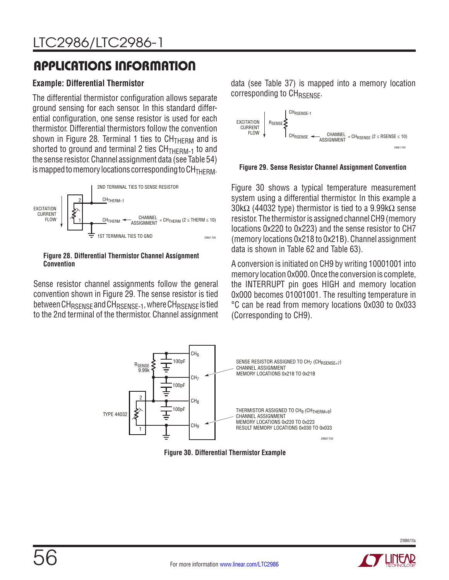### **Example: Differential Thermistor**

The differential thermistor configuration allows separate ground sensing for each sensor. In this standard differential configuration, one sense resistor is used for each thermistor. Differential thermistors follow the convention shown in Figure 28. Terminal 1 ties to  $CH<sub>THERM</sub>$  and is shorted to ground and terminal 2 ties  $CH<sub>THERM-1</sub>$  to and the sense resistor. Channel assignment data (see Table 54) is mapped to memory locations corresponding to  $CH<sub>THFRM</sub>$ .



#### **Figure 28. Differential Thermistor Channel Assignment Convention**

Sense resistor channel assignments follow the general convention shown in Figure 29. The sense resistor is tied between CH<sub>RSENSE</sub> and CH<sub>RSENSE-1</sub>, where CH<sub>RSENSE</sub> is tied to the 2nd terminal of the thermistor. Channel assignment data (see Table 37) is mapped into a memory location corresponding to CH<sub>RSENSE</sub>.



#### **Figure 29. Sense Resistor Channel Assignment Convention**

Figure 30 shows a typical temperature measurement system using a differential thermistor. In this example a 30k $\Omega$  (44032 type) thermistor is tied to a 9.99k $\Omega$  sense resistor. The thermistor is assigned channel CH9 (memory locations 0x220 to 0x223) and the sense resistor to CH7 (memory locations 0x218 to 0x21B). Channel assignment data is shown in Table 62 and Table 63).

A conversion is initiated on CH9 by writing 10001001 into memory location 0x000. Once the conversion is complete, the INTERRUPT pin goes HIGH and memory location 0x000 becomes 01001001. The resulting temperature in °C can be read from memory locations 0x030 to 0x033 (Corresponding to CH9).



**Figure 30. Differential Thermistor Example**

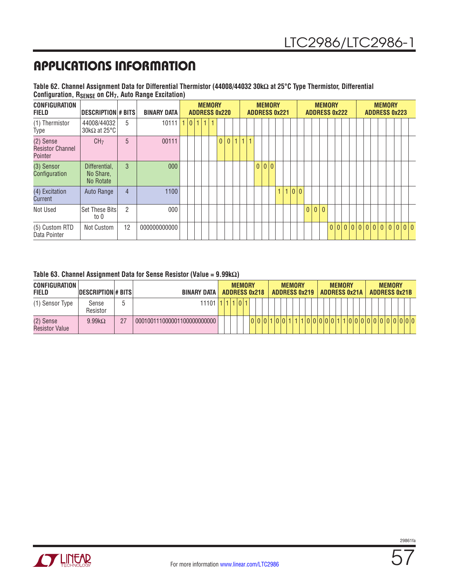| Table 62. Channel Assignment Data for Differential Thermistor (44008/44032 30kΩ at 25°C Type Thermistor, Differential |  |
|-----------------------------------------------------------------------------------------------------------------------|--|
| Configuration, R <sub>SENSE</sub> on CH <sub>7</sub> , Auto Range Excitation)                                         |  |

| <b>CONFIGURATION</b><br><b>FIELD</b>            | <b>DESCRIPTION # BITS</b>               |                | <b>BINARY DATA</b> |    |         |  | <b>MEMORY</b><br><b>ADDRESS 0x220</b> |              |   |              |              | <b>MEMORY</b> | <b>ADDRESS 0x221</b> |              |     |                | <b>ADDRESS 0x222</b> |              | <b>MEMORY</b> |  |  |  | <b>MEMORY</b><br><b>ADDRESS 0x223</b> |  |                           |  |
|-------------------------------------------------|-----------------------------------------|----------------|--------------------|----|---------|--|---------------------------------------|--------------|---|--------------|--------------|---------------|----------------------|--------------|-----|----------------|----------------------|--------------|---------------|--|--|--|---------------------------------------|--|---------------------------|--|
| (1) Thermistor<br>Type                          | 44008/44032<br>30k $\Omega$ at 25°C     | 5              | 10111              | 47 | 0 1 1 1 |  |                                       |              |   |              |              |               |                      |              |     |                |                      |              |               |  |  |  |                                       |  |                           |  |
| (2) Sense<br><b>Resistor Channel</b><br>Pointer | CH <sub>7</sub>                         | 5              | 00111              |    |         |  | $\overline{0}$                        | $\mathbf{0}$ | 1 | $\mathbf{1}$ | $\mathbf{1}$ |               |                      |              |     |                |                      |              |               |  |  |  |                                       |  |                           |  |
| (3) Sensor<br>Configuration                     | Differential,<br>No Share,<br>No Rotate | 3              | 000 <sub>1</sub>   |    |         |  |                                       |              |   |              |              | 0 0 0         |                      |              |     |                |                      |              |               |  |  |  |                                       |  |                           |  |
| (4) Excitation<br>Current                       | Auto Range                              | $\overline{4}$ | 1100               |    |         |  |                                       |              |   |              |              |               |                      | $\mathbf{1}$ | 0 0 |                |                      |              |               |  |  |  |                                       |  |                           |  |
| Not Used                                        | <b>Set These Bitsl</b><br>to 0          | $\overline{2}$ | 000                |    |         |  |                                       |              |   |              |              |               |                      |              |     | $\overline{0}$ | $\overline{0}$       | $\mathbf{0}$ |               |  |  |  |                                       |  |                           |  |
| (5) Custom RTD<br>Data Pointer                  | Not Custom                              | 12             | 000000000000       |    |         |  |                                       |              |   |              |              |               |                      |              |     |                |                      |              |               |  |  |  |                                       |  | 0 0 0 0 0 0 0 0 0 0 0 0 0 |  |

|  |  | Table 63. Channel Assignment Data for Sense Resistor (Value = $9.99k\Omega$ ) |  |  |  |  |  |
|--|--|-------------------------------------------------------------------------------|--|--|--|--|--|
|--|--|-------------------------------------------------------------------------------|--|--|--|--|--|

| <b>CONFIGURATION</b><br><b>FIELD</b> | <b>DESCRIPTION # BITS</b> |    | BINARY DATA I               |  | <b>MEMORY</b> | <b>ADDRESS 0x218</b> |  | <b>ADDRESS 0x219</b> | <b>MEMORY</b> |  |  | <b>ADDRESS 0x21A</b> | <b>MEMORY</b> |  |  | <b>MEMORY</b> |  | <b>ADDRESS 0x21B</b> |  |
|--------------------------------------|---------------------------|----|-----------------------------|--|---------------|----------------------|--|----------------------|---------------|--|--|----------------------|---------------|--|--|---------------|--|----------------------|--|
| (1) Sensor Type                      | Sense<br>Resistor         |    | 11101                       |  | 1 0 1         |                      |  |                      |               |  |  |                      |               |  |  |               |  |                      |  |
| (2) Sense<br><b>Resistor Value</b>   | $9.99k\Omega$             | 27 | 000100111000001100000000000 |  |               |                      |  | 1001                 |               |  |  | 100000011            |               |  |  |               |  | 100000000000000      |  |

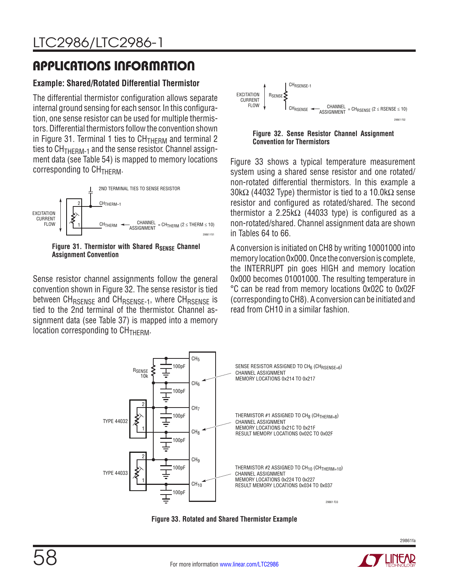### **Example: Shared/Rotated Differential Thermistor**

The differential thermistor configuration allows separate internal ground sensing for each sensor. In this configuration, one sense resistor can be used for multiple thermistors. Differential thermistors follow the convention shown in Figure 31. Terminal 1 ties to  $CH<sub>THERM</sub>$  and terminal 2 ties to  $CH<sub>THFRM-1</sub>$  and the sense resistor. Channel assignment data (see Table 54) is mapped to memory locations  $corresponding$  to  $CH<sub>THERM</sub>$ .



Figure 31. Thermistor with Shared R<sub>SENSE</sub> Channel **Assignment Convention**

Sense resistor channel assignments follow the general convention shown in Figure 32. The sense resistor is tied between CH<sub>RSENSE</sub> and CH<sub>RSENSE-1</sub>, where CH<sub>RSENSE</sub> is tied to the 2nd terminal of the thermistor. Channel assignment data (see Table 37) is mapped into a memory location corresponding to  $CH<sub>THERM</sub>$ .



**Figure 32. Sense Resistor Channel Assignment Convention for Thermistors**

Figure 33 shows a typical temperature measurement system using a shared sense resistor and one rotated/ non-rotated differential thermistors. In this example a 30k $\Omega$  (44032 Type) thermistor is tied to a 10.0k $\Omega$  sense resistor and configured as rotated/shared. The second thermistor a 2.25k $\Omega$  (44033 type) is configured as a non-rotated/shared. Channel assignment data are shown in Tables 64 to 66.

A conversion is initiated on CH8 by writing 10001000 into memory location 0x000. Once the conversion is complete, the INTERRUPT pin goes HIGH and memory location 0x000 becomes 01001000. The resulting temperature in °C can be read from memory locations 0x02C to 0x02F (corresponding to CH8). A conversion can be initiated and read from CH10 in a similar fashion.



**Figure 33. Rotated and Shared Thermistor Example**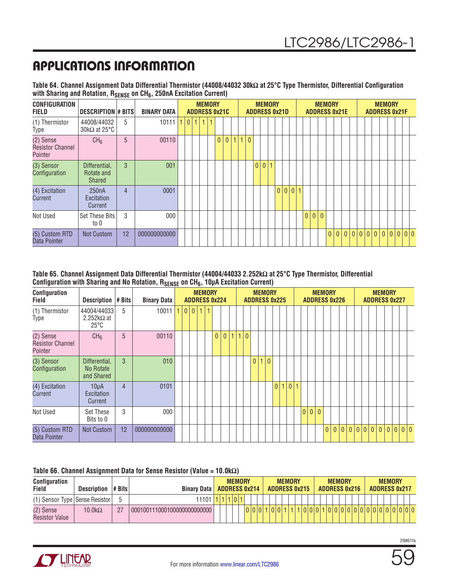|                                                                                              | Table 64. Channel Assignment Data Differential Thermistor (44008/44032 30kΩ at 25°C Type Thermistor, Differential Configuration |
|----------------------------------------------------------------------------------------------|---------------------------------------------------------------------------------------------------------------------------------|
| with Sharing and Rotation, R <sub>SENSE</sub> on CH <sub>6</sub> , 250nA Excitation Current) |                                                                                                                                 |

| <b>CONFIGURATION</b><br><b>FIELD</b>            | DESCRIPTION # BITS                           |                | <b>BINARY DATA</b> |  |  | <b>MEMORY</b><br><b>ADDRESS 0x21C</b> |          |              |    |              | <b>MEMORY</b> | <b>ADDRESS 0x21D</b> |         |              |     | <b>MEMORY</b><br><b>ADDRESS 0x21E</b> |  |  |  | <b>MEMORY</b> | <b>ADDRESS 0x21F</b>      |  |
|-------------------------------------------------|----------------------------------------------|----------------|--------------------|--|--|---------------------------------------|----------|--------------|----|--------------|---------------|----------------------|---------|--------------|-----|---------------------------------------|--|--|--|---------------|---------------------------|--|
| (1) Thermistor<br>Type                          | 44008/44032<br>$30k\Omega$ at 25°C           | 5              | 10111              |  |  |                                       |          |              |    |              |               |                      |         |              |     |                                       |  |  |  |               |                           |  |
| (2) Sense<br><b>Resistor Channel</b><br>Pointer | CH <sub>6</sub>                              | 5              | 00110              |  |  |                                       | $\theta$ | $\mathbf{0}$ | 1. | $\mathbf{0}$ |               |                      |         |              |     |                                       |  |  |  |               |                           |  |
| (3) Sensor<br>Configuration                     | Differential,<br>Rotate and<br><b>Shared</b> | 3              | 001                |  |  |                                       |          |              |    |              | 0 0 1         |                      |         |              |     |                                       |  |  |  |               |                           |  |
| (4) Excitation<br>Current                       | 250 <sub>n</sub> A<br>Excitation<br>Current  | $\overline{4}$ | 0001               |  |  |                                       |          |              |    |              |               |                      | 0 0 0 1 |              |     |                                       |  |  |  |               |                           |  |
| Not Used                                        | <b>Set These Bits</b><br>to 0                | 3              | 000                |  |  |                                       |          |              |    |              |               |                      |         | $\mathbf{0}$ | 0 0 |                                       |  |  |  |               |                           |  |
| (5) Custom RTD<br>Data Pointer                  | Not Custom                                   | 12             | 000000000000       |  |  |                                       |          |              |    |              |               |                      |         |              |     |                                       |  |  |  |               | 0 0 0 0 0 0 0 0 0 0 0 0 0 |  |

**Table 65. Channel Assignment Data Differential Thermistor (44004/44033 2.252kΩ at 25°C Type Thermistor, Differential**  Configuration with Sharing and No Rotation, R<sub>SENSE</sub> on CH<sub>6</sub>, 10µA Excitation Current)

| Configuration<br>Field                          | <b>Description</b>                                  | $# B$ its      | <b>Binary Data</b> |   | <b>ADDRESS 0x224</b> |                          | <b>MEMORY</b> |                |                |   |              |                |  | <b>MEMORY</b><br><b>ADDRESS 0x225</b> |   |                |   |     | <b>MEMORY</b><br><b>ADDRESS 0x226</b> |                |                |  |  | <b>MEMORY</b><br><b>ADDRESS 0x227</b> |  |         |  |
|-------------------------------------------------|-----------------------------------------------------|----------------|--------------------|---|----------------------|--------------------------|---------------|----------------|----------------|---|--------------|----------------|--|---------------------------------------|---|----------------|---|-----|---------------------------------------|----------------|----------------|--|--|---------------------------------------|--|---------|--|
| (1) Thermistor<br>Type                          | 44004/44033<br>2.252 $k\Omega$ at<br>$25^{\circ}$ C | 5              | 10011              | 0 |                      | $\left  0 \right $ 1   1 |               |                |                |   |              |                |  |                                       |   |                |   |     |                                       |                |                |  |  |                                       |  |         |  |
| (2) Sense<br><b>Resistor Channel</b><br>Pointer | CH <sub>6</sub>                                     | 5              | 00110              |   |                      |                          |               | $\overline{0}$ | $\overline{0}$ | 1 | $\mathbf{1}$ | $\overline{0}$ |  |                                       |   |                |   |     |                                       |                |                |  |  |                                       |  |         |  |
| (3) Sensor<br>Configuration                     | Differential,<br>No Rotate<br>and Shared            | 3              | 010                |   |                      |                          |               |                |                |   |              |                |  | 0 1 0                                 |   |                |   |     |                                       |                |                |  |  |                                       |  |         |  |
| (4) Excitation<br>Current                       | $10\mu A$<br>Excitation<br>Current                  | $\overline{4}$ | 0101               |   |                      |                          |               |                |                |   |              |                |  |                                       | 0 | $\overline{0}$ | 1 |     |                                       |                |                |  |  |                                       |  |         |  |
| Not Used                                        | Set These<br>Bits to 0                              | 3              | 000                |   |                      |                          |               |                |                |   |              |                |  |                                       |   |                |   | 0 0 | $\mathbf{0}$                          |                |                |  |  |                                       |  |         |  |
| (5) Custom RTD<br>Data Pointer                  | Not Custom                                          | 12             | 000000000000       |   |                      |                          |               |                |                |   |              |                |  |                                       |   |                |   |     |                                       | $\overline{0}$ | $\overline{0}$ |  |  |                                       |  | 0 0 0 0 |  |

#### **Table 66. Channel Assignment Data for Sense Resistor (Value = 10.0kΩ)**

| <b>Configuration</b><br>Field      | <b>Description</b> | $# B$ its | <b>Binary Data   ADDRESS 0x214</b> |  | <b>MEMORY</b> |  |  | <b>ADDRESS 0x215</b> | <b>MEMORY</b> |  |       |  | <b>MEMORY</b> | <b>ADDRESS 0x216</b> |  | <b>MEMORY</b><br><b>ADDRESS 0x217</b> |  |  |
|------------------------------------|--------------------|-----------|------------------------------------|--|---------------|--|--|----------------------|---------------|--|-------|--|---------------|----------------------|--|---------------------------------------|--|--|
| (1) Sensor Type   Sense Resistor   |                    |           | $11101$   1   1                    |  | 1107          |  |  |                      |               |  |       |  |               |                      |  |                                       |  |  |
| (2) Sense<br><b>Resistor Value</b> | $10.0 k\Omega$     | 27        | 000100111000100000000000000        |  |               |  |  |                      |               |  | 0 0 1 |  |               |                      |  | 10000000000000                        |  |  |



59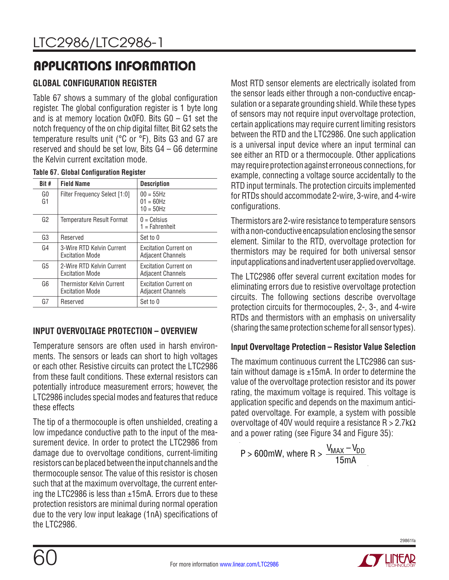## **GLOBAL CONFIGURATION REGISTER**

Table 67 shows a summary of the global configuration register. The global configuration register is 1 byte long and is at memory location 0x0F0. Bits G0 – G1 set the notch frequency of the on chip digital filter, Bit G2 sets the temperature results unit (°C or °F), Bits G3 and G7 are reserved and should be set low, Bits G4 – G6 determine the Kelvin current excitation mode.

|  |  | <b>Table 67. Global Configuration Register</b> |  |
|--|--|------------------------------------------------|--|
|--|--|------------------------------------------------|--|

| Bit #          | <b>Field Name</b>                                          | <b>Description</b>                                       |
|----------------|------------------------------------------------------------|----------------------------------------------------------|
| GO.<br>G1      | <b>Filter Frequency Select [1:0]</b>                       | $00 = 55$ Hz<br>$01 = 60$ Hz<br>$10 = 50$ Hz             |
| G <sub>2</sub> | Temperature Result Format                                  | $0 = Celsius$<br>$1 =$ Fahrenheit                        |
| G3             | Reserved                                                   | Set to 0                                                 |
| G4             | 3-Wire RTD Kelvin Current<br><b>Excitation Mode</b>        | <b>Excitation Current on</b><br><b>Adjacent Channels</b> |
| G5             | 2-Wire RTD Kelvin Current<br><b>Excitation Mode</b>        | <b>Excitation Current on</b><br><b>Adjacent Channels</b> |
| G6             | <b>Thermistor Kelvin Current</b><br><b>Excitation Mode</b> | <b>Excitation Current on</b><br>Adjacent Channels        |
| G7             | Reserved                                                   | Set to 0                                                 |

### **INPUT OVERVOLTAGE PROTECTION – OVERVIEW**

Temperature sensors are often used in harsh environments. The sensors or leads can short to high voltages or each other. Resistive circuits can protect the LTC2986 from these fault conditions. These external resistors can potentially introduce measurement errors; however, the LTC2986 includes special modes and features that reduce these effects

The tip of a thermocouple is often unshielded, creating a low impedance conductive path to the input of the measurement device. In order to protect the LTC2986 from damage due to overvoltage conditions, current-limiting resistors can be placed between the input channels and the thermocouple sensor. The value of this resistor is chosen such that at the maximum overvoltage, the current entering the LTC2986 is less than  $\pm 15$ mA. Errors due to these protection resistors are minimal during normal operation due to the very low input leakage (1nA) specifications of the LTC2986.

Most RTD sensor elements are electrically isolated from the sensor leads either through a non-conductive encapsulation or a separate grounding shield. While these types of sensors may not require input overvoltage protection, certain applications may require current limiting resistors between the RTD and the LTC2986. One such application is a universal input device where an input terminal can see either an RTD or a thermocouple. Other applications may require protection against erroneous connections, for example, connecting a voltage source accidentally to the RTD input terminals. The protection circuits implemented for RTDs should accommodate 2-wire, 3-wire, and 4-wire configurations.

Thermistors are 2-wire resistance to temperature sensors with a non-conductive encapsulation enclosing the sensor element. Similar to the RTD, overvoltage protection for thermistors may be required for both universal sensor input applications and inadvertent user applied overvoltage.

The LTC2986 offer several current excitation modes for eliminating errors due to resistive overvoltage protection circuits. The following sections describe overvoltage protection circuits for thermocouples, 2-, 3-, and 4-wire RTDs and thermistors with an emphasis on universality (sharing the same protection scheme for all sensor types).

### **Input Overvoltage Protection – Resistor Value Selection**

The maximum continuous current the LTC2986 can sustain without damage is  $\pm 15$ mA. In order to determine the value of the overvoltage protection resistor and its power rating, the maximum voltage is required. This voltage is application specific and depends on the maximum anticipated overvoltage. For example, a system with possible overvoltage of 40V would require a resistance  $R > 2.7k\Omega$ and a power rating (see Figure 34 and Figure 35):

P > 600mW, where R > 
$$
\frac{V_{MAX} - V_{DD}}{15mA}
$$

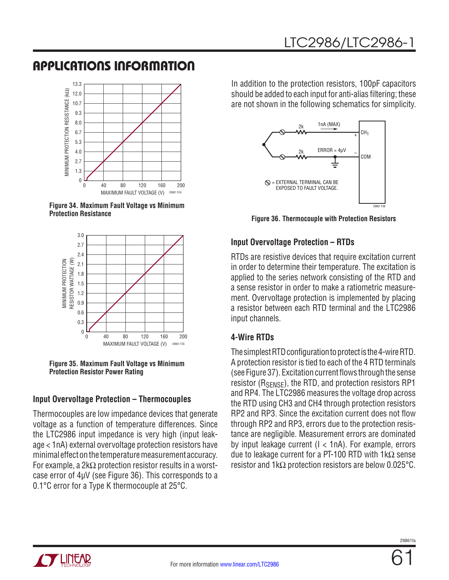

**Figure 34. Maximum Fault Voltage vs Minimum Protection Resistance**



**Figure 35. Maximum Fault Voltage vs Minimum Protection Resistor Power Rating**

### **Input Overvoltage Protection – Thermocouples**

Thermocouples are low impedance devices that generate voltage as a function of temperature differences. Since the LTC2986 input impedance is very high (input leakage < 1nA) external overvoltage protection resistors have minimal effect on the temperature measurement accuracy. For example, a 2k $\Omega$  protection resistor results in a worstcase error of 4µV (see Figure 36). This corresponds to a 0.1°C error for a Type K thermocouple at 25°C.

In addition to the protection resistors, 100pF capacitors should be added to each input for anti-alias filtering; these are not shown in the following schematics for simplicity.



**Figure 36. Thermocouple with Protection Resistors**

### **Input Overvoltage Protection – RTDs**

RTDs are resistive devices that require excitation current in order to determine their temperature. The excitation is applied to the series network consisting of the RTD and a sense resistor in order to make a ratiometric measurement. Overvoltage protection is implemented by placing a resistor between each RTD terminal and the LTC2986 input channels.

### **4-Wire RTDs**

The simplest RTD configuration to protect is the 4-wire RTD. A protection resistor is tied to each of the 4 RTD terminals (see Figure 37). Excitation current flows through the sense resistor ( $R_{\text{SENSE}}$ ), the RTD, and protection resistors RP1 and RP4. The LTC2986 measures the voltage drop across the RTD using CH3 and CH4 through protection resistors RP2 and RP3. Since the excitation current does not flow through RP2 and RP3, errors due to the protection resistance are negligible. Measurement errors are dominated by input leakage current (I < 1nA). For example, errors due to leakage current for a PT-100 RTD with 1kΩ sense resistor and 1kΩ protection resistors are below 0.025°C.

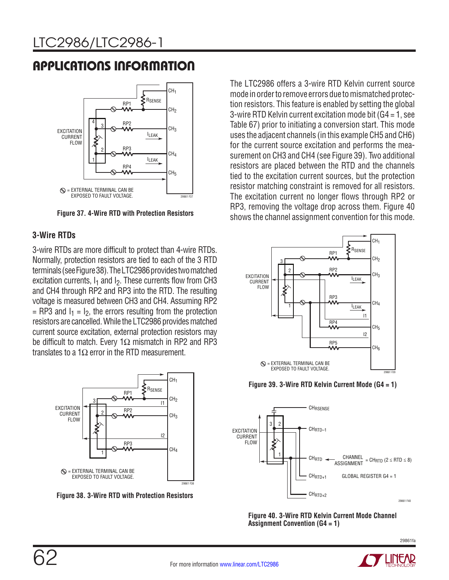

**Figure 37. 4-Wire RTD with Protection Resistors**

### **3-Wire RTDs**

3-wire RTDs are more difficult to protect than 4-wire RTDs. Normally, protection resistors are tied to each of the 3 RTD terminals (see Figure 38). The LTC2986 provides two matched excitation currents,  $I_1$  and  $I_2$ . These currents flow from CH3 and CH4 through RP2 and RP3 into the RTD. The resulting voltage is measured between CH3 and CH4. Assuming RP2  $=$  RP3 and  $I_1 = I_2$ , the errors resulting from the protection resistors are cancelled. While the LTC2986 provides matched current source excitation, external protection resistors may be difficult to match. Every 1 $\Omega$  mismatch in RP2 and RP3 translates to a 1 $\Omega$  error in the RTD measurement.



**Figure 38. 3-Wire RTD with Protection Resistors** 

The LTC2986 offers a 3-wire RTD Kelvin current source mode in order to remove errors due to mismatched protection resistors. This feature is enabled by setting the global 3-wire RTD Kelvin current excitation mode bit (G4 = 1, see Table 67) prior to initiating a conversion start. This mode uses the adjacent channels (in this example CH5 and CH6) for the current source excitation and performs the measurement on CH3 and CH4 (see Figure 39). Two additional resistors are placed between the RTD and the channels tied to the excitation current sources, but the protection resistor matching constraint is removed for all resistors. The excitation current no longer flows through RP2 or RP3, removing the voltage drop across them. Figure 40 shows the channel assignment convention for this mode.







**Figure 40. 3-Wire RTD Kelvin Current Mode Channel Assignment Convention (G4 = 1)**

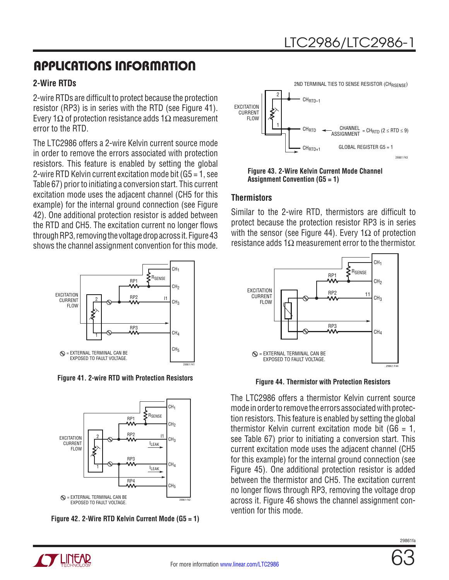### **2-Wire RTDs**

2-wire RTDs are difficult to protect because the protection resistor (RP3) is in series with the RTD (see Figure 41). Every 1Ω of protection resistance adds 1Ω measurement error to the RTD.

The LTC2986 offers a 2-wire Kelvin current source mode in order to remove the errors associated with protection resistors. This feature is enabled by setting the global 2-wire RTD Kelvin current excitation mode bit (G5 = 1, see Table 67) prior to initiating a conversion start. This current excitation mode uses the adjacent channel (CH5 for this example) for the internal ground connection (see Figure 42). One additional protection resistor is added between the RTD and CH5. The excitation current no longer flows through RP3, removing the voltage drop across it. Figure 43 shows the channel assignment convention for this mode.



**Figure 41. 2-wire RTD with Protection Resistors**





**TT LIITUAR** 



**Figure 43. 2-Wire Kelvin Current Mode Channel Assignment Convention (G5 = 1)**

### **Thermistors**

Similar to the 2-wire RTD, thermistors are difficult to protect because the protection resistor RP3 is in series with the sensor (see Figure 44). Every 1 $\Omega$  of protection resistance adds 1Ω measurement error to the thermistor.



**Figure 44. Thermistor with Protection Resistors**

The LTC2986 offers a thermistor Kelvin current source mode in order to remove the errors associated with protection resistors. This feature is enabled by setting the global thermistor Kelvin current excitation mode bit  $(66 = 1, 1)$ see Table 67) prior to initiating a conversion start. This current excitation mode uses the adjacent channel (CH5 for this example) for the internal ground connection (see Figure 45). One additional protection resistor is added between the thermistor and CH5. The excitation current no longer flows through RP3, removing the voltage drop across it. Figure 46 shows the channel assignment convention for this mode.

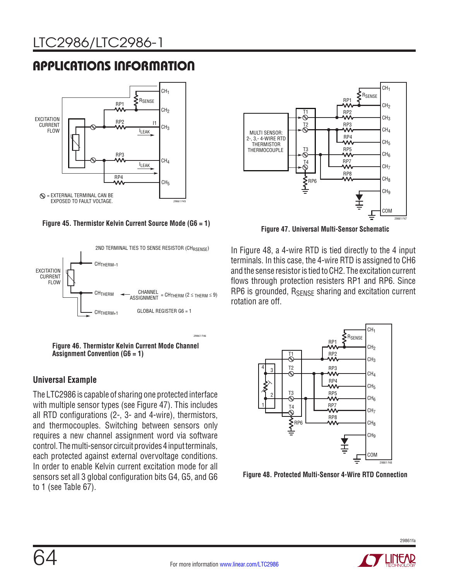

**Figure 45. Thermistor Kelvin Current Source Mode (G6 = 1)**





### **Universal Example**

The LTC2986 is capable of sharing one protected interface with multiple sensor types (see Figure 47). This includes all RTD configurations (2-, 3- and 4-wire), thermistors, and thermocouples. Switching between sensors only requires a new channel assignment word via software control. The multi-sensor circuit provides 4 input terminals, each protected against external overvoltage conditions. In order to enable Kelvin current excitation mode for all sensors set all 3 global configuration bits G4, G5, and G6 to 1 (see Table 67).



**Figure 47. Universal Multi-Sensor Schematic**

In Figure 48, a 4-wire RTD is tied directly to the 4 input terminals. In this case, the 4-wire RTD is assigned to CH6 and the sense resistor is tied to CH2. The excitation current flows through protection resisters RP1 and RP6. Since RP6 is grounded, R<sub>SFNSF</sub> sharing and excitation current rotation are off.



**Figure 48. Protected Multi-Sensor 4-Wire RTD Connection** 

29861fa

29861 F46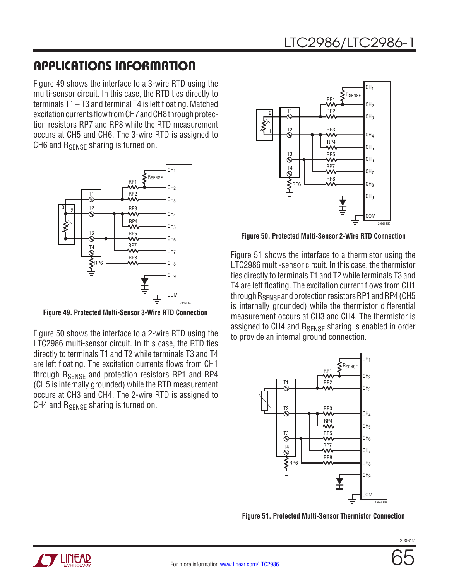Figure 49 shows the interface to a 3-wire RTD using the multi-sensor circuit. In this case, the RTD ties directly to terminals T1 – T3 and terminal T4 is left floating. Matched excitation currents flow from CH7 and CH8 through protection resistors RP7 and RP8 while the RTD measurement occurs at CH5 and CH6. The 3-wire RTD is assigned to CH6 and R<sub>SENSE</sub> sharing is turned on.



**Figure 49. Protected Multi-Sensor 3-Wire RTD Connection**

Figure 50 shows the interface to a 2-wire RTD using the LTC2986 multi-sensor circuit. In this case, the RTD ties directly to terminals T1 and T2 while terminals T3 and T4 are left floating. The excitation currents flows from CH1 through R<sub>SENSE</sub> and protection resistors RP1 and RP4 (CH5 is internally grounded) while the RTD measurement occurs at CH3 and CH4. The 2-wire RTD is assigned to CH4 and  $R_{SENSF}$  sharing is turned on.



**Figure 50. Protected Multi-Sensor 2-Wire RTD Connection**

Figure 51 shows the interface to a thermistor using the LTC2986 multi-sensor circuit. In this case, the thermistor ties directly to terminals T1 and T2 while terminals T3 and T4 are left floating. The excitation current flows from CH1 through R<sub>SENSE</sub> and protection resistors RP1 and RP4 (CH5 is internally grounded) while the thermistor differential measurement occurs at CH3 and CH4. The thermistor is assigned to CH4 and RSENSE sharing is enabled in order to provide an internal ground connection.



**Figure 51. Protected Multi-Sensor Thermistor Connection**

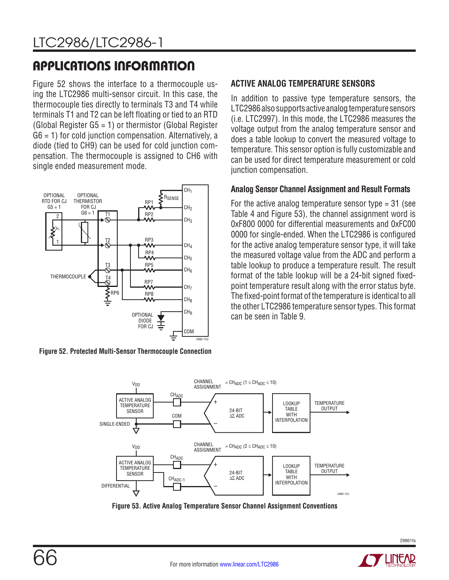Figure 52 shows the interface to a thermocouple using the LTC2986 multi-sensor circuit. In this case, the thermocouple ties directly to terminals T3 and T4 while terminals T1 and T2 can be left floating or tied to an RTD (Global Register G5 = 1) or thermistor (Global Register  $G6 = 1$ ) for cold junction compensation. Alternatively, a diode (tied to CH9) can be used for cold junction compensation. The thermocouple is assigned to CH6 with single ended measurement mode.



**Figure 52. Protected Multi-Sensor Thermocouple Connection**

### **ACTIVE ANALOG TEMPERATURE SENSORS**

In addition to passive type temperature sensors, the LTC2986 also supports active analog temperature sensors (i.e. LTC2997). In this mode, the LTC2986 measures the voltage output from the analog temperature sensor and does a table lookup to convert the measured voltage to temperature. This sensor option is fully customizable and can be used for direct temperature measurement or cold junction compensation.

### **Analog Sensor Channel Assignment and Result Formats**

For the active analog temperature sensor type  $=$  31 (see Table 4 and Figure 53), the channel assignment word is 0xF800 0000 for differential measurements and 0xFC00 0000 for single-ended. When the LTC2986 is configured for the active analog temperature sensor type, it will take the measured voltage value from the ADC and perform a table lookup to produce a temperature result. The result format of the table lookup will be a 24-bit signed fixedpoint temperature result along with the error status byte. The fixed-point format of the temperature is identical to all the other LTC2986 temperature sensor types. This format can be seen in Table 9.



**Figure 53. Active Analog Temperature Sensor Channel Assignment Conventions**

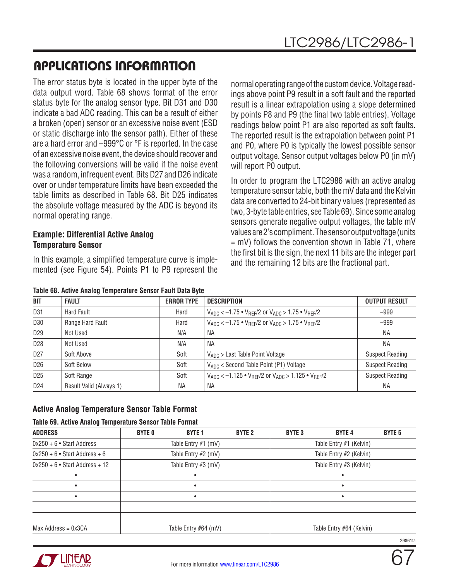The error status byte is located in the upper byte of the data output word. Table 68 shows format of the error status byte for the analog sensor type. Bit D31 and D30 indicate a bad ADC reading. This can be a result of either a broken (open) sensor or an excessive noise event (ESD or static discharge into the sensor path). Either of these are a hard error and –999°C or °F is reported. In the case of an excessive noise event, the device should recover and the following conversions will be valid if the noise event was a random, infrequent event. Bits D27 and D26 indicate over or under temperature limits have been exceeded the table limits as described in Table 68. Bit D25 indicates the absolute voltage measured by the ADC is beyond its normal operating range.

### **Example: Differential Active Analog Temperature Sensor**

In this example, a simplified temperature curve is implemented (see Figure 54). Points P1 to P9 represent the

normal operating range of the custom device. Voltage readings above point P9 result in a soft fault and the reported result is a linear extrapolation using a slope determined by points P8 and P9 (the final two table entries). Voltage readings below point P1 are also reported as soft faults. The reported result is the extrapolation between point P1 and P0, where P0 is typically the lowest possible sensor output voltage. Sensor output voltages below P0 (in mV) will report P0 output.

In order to program the LTC2986 with an active analog temperature sensor table, both the mV data and the Kelvin data are converted to 24-bit binary values (represented as two, 3-byte table entries, see Table 69). Since some analog sensors generate negative output voltages, the table mV values are 2's compliment. The sensor output voltage (units  $=$  mV) follows the convention shown in Table 71, where the first bit is the sign, the next 11 bits are the integer part and the remaining 12 bits are the fractional part.

| <b>BIT</b>      | <b>FAULT</b>            | <b>ERROR TYPE</b> | <b>DESCRIPTION</b>                                                      | <b>OUTPUT RESULT</b>   |
|-----------------|-------------------------|-------------------|-------------------------------------------------------------------------|------------------------|
| D31             | Hard Fault              | Hard              | $V_{ADC} < -1.75$ • $V_{REF}/2$ or $V_{ADC} > 1.75$ • $V_{REF}/2$       | $-999$                 |
| D30             | Range Hard Fault        | Hard              | $V_{ADC} < -1.75$ • $V_{RFF}/2$ or $V_{ADC} > 1.75$ • $V_{RFF}/2$       | $-999$                 |
| D <sub>29</sub> | Not Used                | N/A               | ΝA                                                                      | ΝA                     |
| D <sub>28</sub> | Not Used                | N/A               | <b>NA</b>                                                               | <b>NA</b>              |
| D <sub>27</sub> | Soft Above              | Soft              | $V_{ADC}$ > Last Table Point Voltage                                    | <b>Suspect Reading</b> |
| D <sub>26</sub> | Soft Below              | Soft              | VADC < Second Table Point (P1) Voltage                                  | <b>Suspect Reading</b> |
| D <sub>25</sub> | Soft Range              | Soft              | $V_{ADC} < -1.125 \cdot V_{RFF}/2$ or $V_{ADC} > 1.125 \cdot V_{RFF}/2$ | <b>Suspect Reading</b> |
| D24             | Result Valid (Always 1) | <b>NA</b>         | <b>NA</b>                                                               | ΝA                     |

### **Active Analog Temperature Sensor Table Format**

#### **Table 69. Active Analog Temperature Sensor Table Format**

| <b>ADDRESS</b>                   | <b>BYTE 0</b> | <b>BYTE 1</b>         | <b>BYTE 2</b> | <b>BYTE 3</b> | <b>BYTE4</b>             | <b>BYTE 5</b> |
|----------------------------------|---------------|-----------------------|---------------|---------------|--------------------------|---------------|
| $0x250 + 6$ • Start Address      |               | Table Entry $#1$ (mV) |               |               | Table Entry #1 (Kelvin)  |               |
| $0x250 + 6$ • Start Address + 6  |               | Table Entry #2 (mV)   |               |               | Table Entry #2 (Kelvin)  |               |
| $0x250 + 6$ • Start Address + 12 |               | Table Entry #3 (mV)   |               |               | Table Entry #3 (Kelvin)  |               |
|                                  |               |                       |               |               |                          |               |
|                                  |               |                       |               |               |                          |               |
|                                  |               |                       |               |               |                          |               |
|                                  |               |                       |               |               |                          |               |
|                                  |               |                       |               |               |                          |               |
| $Max$ Address = $0x3CA$          |               | Table Entry #64 (mV)  |               |               | Table Entry #64 (Kelvin) |               |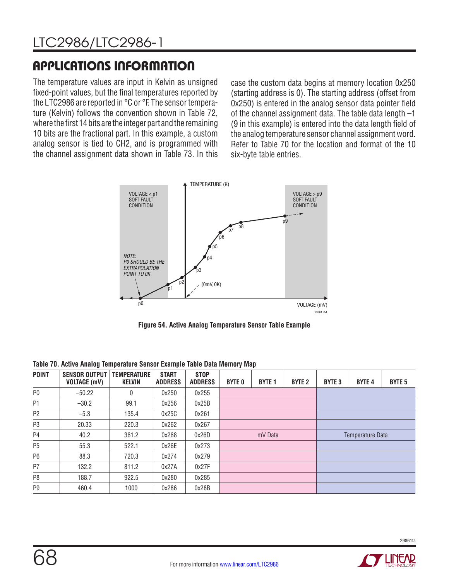The temperature values are input in Kelvin as unsigned fixed-point values, but the final temperatures reported by the LTC2986 are reported in °C or °F. The sensor temperature (Kelvin) follows the convention shown in Table 72, where the first 14 bits are the integer part and the remaining 10 bits are the fractional part. In this example, a custom analog sensor is tied to CH2, and is programmed with the channel assignment data shown in Table 73. In this case the custom data begins at memory location 0x250 (starting address is 0). The starting address (offset from 0x250) is entered in the analog sensor data pointer field of the channel assignment data. The table data length –1 (9 in this example) is entered into the data length field of the analog temperature sensor channel assignment word. Refer to Table 70 for the location and format of the 10 six-byte table entries.



**Figure 54. Active Analog Temperature Sensor Table Example**

**Table 70. Active Analog Temperature Sensor Example Table Data Memory Map**

| <b>POINT</b>   | <b>SENSOR OUTPUT</b><br><b>VOLTAGE (mV)</b> | <b>TEMPERATURE</b><br><b>KELVIN</b> | <b>START</b><br><b>ADDRESS</b> | <b>STOP</b><br><b>ADDRESS</b> | <b>BYTE 0</b> | <b>BYTE 1</b> | <b>BYTE 2</b> | <b>BYTE 3</b> | <b>BYTE 4</b>    | <b>BYTE 5</b> |
|----------------|---------------------------------------------|-------------------------------------|--------------------------------|-------------------------------|---------------|---------------|---------------|---------------|------------------|---------------|
| P <sub>0</sub> | $-50.22$                                    | $\Omega$                            | 0x250                          | 0x255                         |               |               |               |               |                  |               |
| P1             | $-30.2$                                     | 99.1                                | 0x256                          | 0x25B                         |               |               |               |               |                  |               |
| P <sub>2</sub> | $-5.3$                                      | 135.4                               | 0x25C                          | 0x261                         |               |               |               |               |                  |               |
| P3             | 20.33                                       | 220.3                               | 0x262                          | 0x267                         |               |               |               |               |                  |               |
| P <sub>4</sub> | 40.2                                        | 361.2                               | 0x268                          | 0x26D                         |               | mV Data       |               |               | Temperature Data |               |
| P <sub>5</sub> | 55.3                                        | 522.1                               | 0x26E                          | 0x273                         |               |               |               |               |                  |               |
| P6             | 88.3                                        | 720.3                               | 0x274                          | 0x279                         |               |               |               |               |                  |               |
| P7             | 132.2                                       | 811.2                               | 0x27A                          | 0x27F                         |               |               |               |               |                  |               |
| P8             | 188.7                                       | 922.5                               | 0x280                          | 0x285                         |               |               |               |               |                  |               |
| P9             | 460.4                                       | 1000                                | 0x286                          | 0x28B                         |               |               |               |               |                  |               |

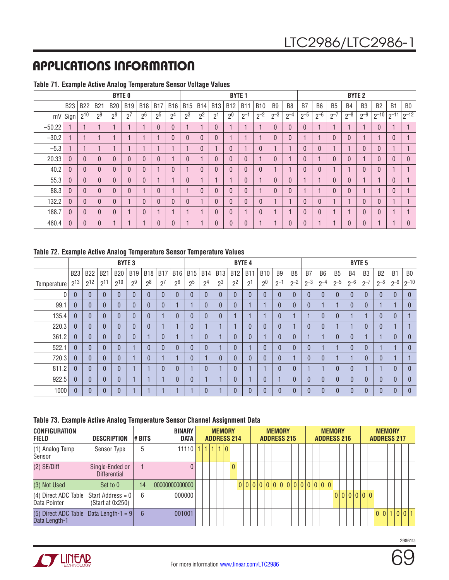|          |                |                |                | <b>BYTE 0</b> |            |                |                |                |                |                |             | <b>BYTE 1</b>  |            |              |                |                |                |                |           | <b>BYTE 2</b> |                |                |                |                |
|----------|----------------|----------------|----------------|---------------|------------|----------------|----------------|----------------|----------------|----------------|-------------|----------------|------------|--------------|----------------|----------------|----------------|----------------|-----------|---------------|----------------|----------------|----------------|----------------|
|          | <b>B23</b>     | <b>B22</b>     | <b>B21</b>     | <b>B20</b>    | <b>B19</b> | <b>B18</b>     | <b>B17</b>     | <b>B16</b>     | <b>B15</b>     | <b>B14</b>     | <b>B13</b>  | <b>B12</b>     | <b>B11</b> | <b>B10</b>   | B <sub>9</sub> | B <sub>8</sub> | B <sub>7</sub> | B <sub>6</sub> | <b>B5</b> | <b>B4</b>     | B <sub>3</sub> | B <sub>2</sub> | B <sub>1</sub> | B <sub>0</sub> |
|          | mV Sign        | $2^{10}$       | $2^9$          | $2^8$         | $2^7$      | 2 <sup>6</sup> | 2 <sup>5</sup> | 2 <sup>4</sup> | 2 <sup>3</sup> | 2 <sup>2</sup> | $2^{\circ}$ | 2 <sup>0</sup> | $2^{-1}$   | $2^{-2}$     | $2^{-3}$       | $2^{-4}$       | $2^{-5}$       | $2^{-6}$       | $2 - i$   | $2^{-8}$      | $2^{-9}$       | $2^{-10}$      | $2^{-11}$      | $2^{-12}$      |
| $-50.22$ |                |                |                |               |            |                | $\theta$       | $\theta$       |                |                |             |                |            |              | $\theta$       | $\mathbf{0}$   | $\overline{0}$ |                |           |               |                | $\theta$       |                |                |
| $-30.2$  |                |                |                |               |            |                |                | $\theta$       | $\theta$       | $\theta$       |             |                |            |              | $\theta$       | $\mathbf{0}$   |                |                |           |               |                |                | $\theta$       |                |
| $-5.3$   |                |                |                |               |            |                |                |                |                | $\mathbf{0}$   |             | $\theta$       |            | $\mathbf{0}$ |                |                | $\overline{0}$ | 0              |           |               | $\theta$       | $\theta$       |                |                |
| 20.33    | $\theta$       | $\overline{0}$ | $\overline{0}$ |               |            | $\Omega$       | $\theta$       |                | $\mathbf{0}$   |                |             | $\theta$       | $\theta$   |              | $\theta$       |                | $\mathbf{0}$   |                |           | $\Omega$      |                | $\theta$       | $\mathbf{0}$   | $\theta$       |
| 40.2     | $\theta$       | 0              | 0              |               |            | $\theta$       |                | 0              |                | $\theta$       |             | $\theta$       | 0          | $\mathbf{0}$ |                |                | $\mathbf{0}$   | $\mathbf{0}$   |           |               | $\theta$       | $\theta$       |                |                |
| 55.3     | $\mathbf{0}$   | $\Omega$       | 0              |               |            | $\Omega$       |                |                | $\overline{0}$ |                |             |                | $\Omega$   |              | $\Omega$       | $\theta$       |                |                |           |               |                |                | $\Omega$       |                |
| 88.3     | $\overline{0}$ | $\Omega$       | 0              |               |            |                | $\mathbf{0}$   |                |                | $\Omega$       |             | $\Omega$       | $\Omega$   |              | $\Omega$       | $\theta$       |                | и              |           |               |                |                | $\Omega$       |                |
| 132.2    | $\theta$       | $\mathbf{0}$   | 0              |               |            | $\Omega$       | $\Omega$       | $\theta$       | $\theta$       |                |             | $\Omega$       | $\Omega$   | $\theta$     |                |                | $\mathbf{0}$   | 0              |           |               | $\Omega$       | $\theta$       |                |                |
| 188.7    | $\theta$       | $\Omega$       | 0              |               |            | $\Omega$       |                |                |                |                |             | $\theta$       |            | $\theta$     |                |                | $\theta$       | 0              |           |               |                | $\Omega$       |                |                |
| 460.4    | $\Omega$       | $\mathbf{0}$   | 0              |               |            |                | $\theta$       |                |                |                |             | $\Omega$       | $\Omega$   |              |                | $\theta$       | 0              |                |           |               |                |                |                | $\Omega$       |

#### **Table 71. Example Active Analog Temperature Sensor Voltage Values**

#### **Table 72. Example Active Analog Temperature Sensor Temperature Values**

|             |                |            |                | <b>BYTE 3</b> |                |                |            |                |                |                |                |                | <b>BYTE 4</b>  |                |                |                |          |                |              |              | <b>BYTE 5</b>  |                |                |                |
|-------------|----------------|------------|----------------|---------------|----------------|----------------|------------|----------------|----------------|----------------|----------------|----------------|----------------|----------------|----------------|----------------|----------|----------------|--------------|--------------|----------------|----------------|----------------|----------------|
|             | <b>B23</b>     | <b>B22</b> | <b>B21</b>     | <b>B20</b>    | <b>B19</b>     | <b>B18</b>     | <b>B17</b> | <b>B16</b>     | <b>B15</b>     | <b>B14</b>     | <b>B13</b>     | <b>B12</b>     | B1             | <b>B10</b>     | B <sub>9</sub> | B <sub>8</sub> | B7       | B <sub>6</sub> | <b>B5</b>    | <b>B4</b>    | B <sub>3</sub> | B <sub>2</sub> | B1             | B <sub>0</sub> |
| Temperature | $2^{13}$       | $2^{12}$   | $2^{11}$       | $2^{10}$      | 2 <sup>9</sup> | 2 <sup>8</sup> | $2^7$      | 2 <sup>6</sup> | 2 <sup>5</sup> | 2 <sup>4</sup> | 2 <sup>3</sup> | 2 <sup>2</sup> | 2 <sup>1</sup> | 2 <sup>0</sup> | $2^{-1}$       | $2^{-2}$       | $2^{-3}$ | $2^{-4}$       | $2^{-5}$     | $2 - 6$      | $2 - 7$        | $2^{-8}$       | $2^{-9}$       | $ 2^{-10} $    |
| $\Omega$    | $\Omega$       | Ŋ          | 0              | $\Omega$      |                | $\Omega$       | $\Omega$   | $\overline{0}$ | 0              | $\Omega$       | $\theta$       | $\Omega$       | $\theta$       | $\theta$       | $\overline{0}$ |                |          | $\Omega$       | $\Omega$     | $\Omega$     |                |                | $\Omega$       | $\theta$       |
| 99.1        | $\Omega$       | $\Omega$   | 0              |               | $\Omega$       | $\Omega$       | $\Omega$   |                |                | $\Omega$       | $\overline{0}$ | $\Omega$       |                |                | 0              |                | $\Omega$ |                |              | $\Omega$     |                |                |                | $\overline{0}$ |
| 135.4       | $\mathbf{0}$   | $\Omega$   | 0              |               |                | $\Omega$       |            | $\Omega$       | 0              | $\Omega$       | $\mathbf{0}$   |                |                |                | 0              |                |          | $\mathbf{0}$   | $\mathbf{0}$ |              |                | ſ              | $\theta$       |                |
| 220.3       | $\mathbf{0}$   | $\Omega$   | $\overline{0}$ |               |                | $\sqrt{ }$     |            |                | 0              |                |                |                | $\mathbf{0}$   | $\overline{0}$ | $\overline{0}$ |                |          | $\overline{0}$ |              |              |                |                |                |                |
| 361.2       | $\Omega$       | Ŋ          | 0              |               |                |                | $\Omega$   |                |                | $\mathbf{0}$   |                | N              | $\theta$       |                | 0              |                |          |                | $\Omega$     | $\mathbf{0}$ |                |                | $\overline{0}$ | $\overline{0}$ |
| 522.1       | $\mathbf{0}$   | $\Omega$   | 0              |               |                | ſ              | $\Omega$   | $\theta$       | N              | $\Omega$       |                | 0              |                | $\Omega$       | 0              |                | ſ        |                |              | $\theta$     |                |                |                | $\mathbf{0}$   |
| 720.3       | $\overline{0}$ | $\Omega$   | 0              |               |                | $\Omega$       |            |                | 0              |                | $\theta$       | $\Omega$       | $\Omega$       | $\theta$       | $\overline{0}$ |                | ſ        | $\Omega$       |              |              |                |                |                |                |
| 811.2       | $\Omega$       | $\Omega$   | 0              |               |                |                | $\Omega$   | $\overline{0}$ |                | $\Omega$       |                | $\Omega$       |                |                | $\Omega$       |                |          |                | $\Omega$     | $\Omega$     |                |                | $\Omega$       | $\theta$       |
| 922.5       | $\Omega$       | $\Omega$   | $\overline{0}$ |               |                |                |            | $\Omega$       | 0              |                |                | $\Omega$       |                | $\Omega$       |                |                | ſ        | $\Omega$       | $\Omega$     | $\theta$     |                | $\Omega$       | $\Omega$       | $\overline{0}$ |
| 1000        | $\Omega$       |            | n              |               |                |                |            |                |                | $\Omega$       |                |                | $\Omega$       |                | $\Omega$       |                |          |                |              | 0            |                |                |                | $\overline{0}$ |

#### **Table 73. Example Active Analog Temperature Sensor Channel Assignment Data**

| <b>CONFIGURATION</b><br>FIELD         | <b>DESCRIPTION</b>                        | # BITS | <b>BINARY</b><br><b>DATA</b> |  | <b>ADDRESS 214</b> |       | <b>MEMORY</b> |                |  |                               | <b>MEMORY</b><br><b>ADDRESS 215</b> |  |  | <b>ADDRESS 216</b> | <b>MEMORY</b> |  |         |  |  | <b>MEMORY</b> | <b>ADDRESS 217</b> |  |
|---------------------------------------|-------------------------------------------|--------|------------------------------|--|--------------------|-------|---------------|----------------|--|-------------------------------|-------------------------------------|--|--|--------------------|---------------|--|---------|--|--|---------------|--------------------|--|
| (1) Analog Temp<br>Sensor             | Sensor Type                               | 5      | $11110$  1                   |  |                    | 1 1 0 |               |                |  |                               |                                     |  |  |                    |               |  |         |  |  |               |                    |  |
| $(2)$ SE/Diff                         | Single-Ended or<br><b>Differential</b>    |        |                              |  |                    |       |               | $\overline{0}$ |  |                               |                                     |  |  |                    |               |  |         |  |  |               |                    |  |
| (3) Not Used                          | Set to 0                                  | 14     | 00000000000000               |  |                    |       |               |                |  | 0 0 0 0 0 0 0 0 0 0 0 0 0 0 0 |                                     |  |  |                    |               |  |         |  |  |               |                    |  |
| (4) Direct ADC Table<br>Data Pointer  | Start Address = $0$  <br>(Start at 0x250) | 6      | 000000                       |  |                    |       |               |                |  |                               |                                     |  |  |                    |               |  | 0000000 |  |  |               |                    |  |
| (5) Direct ADC Table<br>Data Length-1 | $\vert$ Data Length-1 = 9 $\vert$         | 6      | 001001                       |  |                    |       |               |                |  |                               |                                     |  |  |                    |               |  |         |  |  |               | 0 0 1 0 0 1        |  |



69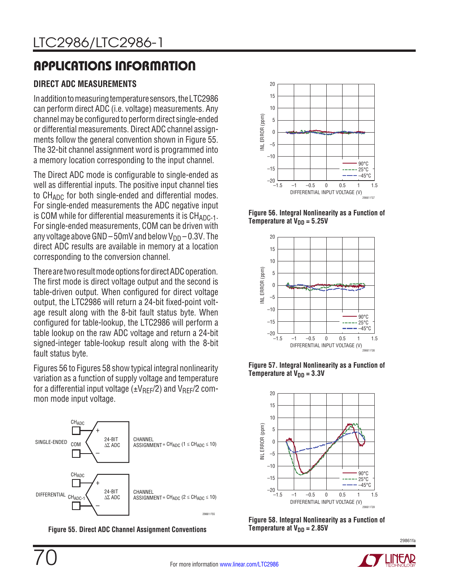## **DIRECT ADC MEASUREMENTS**

In addition to measuring temperature sensors, the LTC2986 can perform direct ADC (i.e. voltage) measurements. Any channel may be configured to perform direct single-ended or differential measurements. Direct ADC channel assignments follow the general convention shown in Figure 55. The 32-bit channel assignment word is programmed into a memory location corresponding to the input channel.

The Direct ADC mode is configurable to single-ended as well as differential inputs. The positive input channel ties to CH<sub>ADC</sub> for both single-ended and differential modes. For single-ended measurements the ADC negative input is COM while for differential measurements it is  $CH_{ADC-1}$ . For single-ended measurements, COM can be driven with any voltage above GND – 50mV and below  $V_{DD}$  – 0.3V. The direct ADC results are available in memory at a location corresponding to the conversion channel.

There are two result mode options for direct ADC operation. The first mode is direct voltage output and the second is table-driven output. When configured for direct voltage output, the LTC2986 will return a 24-bit fixed-point voltage result along with the 8-bit fault status byte. When configured for table-lookup, the LTC2986 will perform a table lookup on the raw ADC voltage and return a 24-bit signed-integer table-lookup result along with the 8-bit fault status byte.

Figures 56 to Figures 58 show typical integral nonlinearity variation as a function of supply voltage and temperature for a differential input voltage ( $\pm V_{\text{REF}}/2$ ) and  $V_{\text{REF}}/2$  common mode input voltage.



**Figure 55. Direct ADC Channel Assignment Conventions**



**Figure 56. Integral Nonlinearity as a Function of Temperature at**  $V_{DD} = 5.25V$ 



**Figure 57. Integral Nonlinearity as a Function of Temperature at**  $V_{DD} = 3.3V$ 



**Figure 58. Integral Nonlinearity as a Function of Temperature at**  $V_{DD} = 2.85V$ 

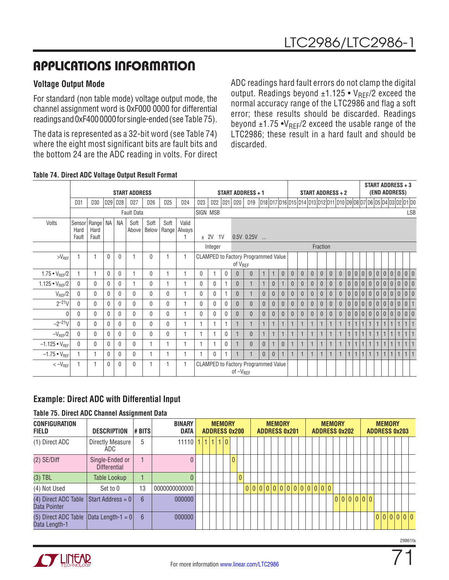### **Voltage Output Mode**

For standard (non table mode) voltage output mode, the channel assignment word is 0xF000 0000 for differential readings and 0xF400 0000 for single-ended (see Table 75).

The data is represented as a 32-bit word (see Table 74) where the eight most significant bits are fault bits and the bottom 24 are the ADC reading in volts. For direct

ADC readings hard fault errors do not clamp the digital output. Readings beyond  $\pm 1.125 \cdot V_{REF}/2$  exceed the normal accuracy range of the LTC2986 and flag a soft error; these results should be discarded. Readings beyond  $\pm 1.75 \cdot V_{REF}/2$  exceed the usable range of the LTC2986; these result in a hard fault and should be discarded.

|                        |                         |                                  |              |              | <b>START ADDRESS</b> |                 |                 |                                 |                 |              |          |                     | START ADDRESS + 1                          |                |                |              |                |                                                                   |              | START ADDRESS + 2 |                |                |              |     |              |                |                 |              |                | <b>START ADDRESS + 3</b><br>(END ADDRESS) |              |  |
|------------------------|-------------------------|----------------------------------|--------------|--------------|----------------------|-----------------|-----------------|---------------------------------|-----------------|--------------|----------|---------------------|--------------------------------------------|----------------|----------------|--------------|----------------|-------------------------------------------------------------------|--------------|-------------------|----------------|----------------|--------------|-----|--------------|----------------|-----------------|--------------|----------------|-------------------------------------------|--------------|--|
|                        | D31                     | D30                              | D29          | D28          | D27                  | D <sub>26</sub> | D <sub>25</sub> | D24                             | D <sub>23</sub> | D22          | D21      | D20                 | D <sub>19</sub>                            |                |                |              |                | 018 017 016 015 014 013 012 011 010 09 08 07 06 05 04 03 02 01 00 |              |                   |                |                |              |     |              |                |                 |              |                |                                           |              |  |
|                        |                         |                                  |              |              | <b>Fault Data</b>    |                 |                 |                                 | SIGN MSB        |              |          |                     |                                            |                |                |              |                |                                                                   |              |                   |                |                |              |     |              |                |                 |              |                |                                           | <b>LSB</b>   |  |
| Volts                  | Sensor<br>Hard<br>Fault | Range   NA   NA<br>Hard<br>Fault |              |              | Soft<br>Above        | Soft            | Soft            | Valid<br>Below   Range   Always |                 | ± 2V 1V      |          |                     | $0.5V$ $0.25V$                             |                |                |              |                |                                                                   |              |                   |                |                |              |     |              |                |                 |              |                |                                           |              |  |
|                        |                         |                                  |              |              |                      |                 |                 |                                 |                 | Integer      |          |                     |                                            |                |                |              |                |                                                                   |              | Fraction          |                |                |              |     |              |                |                 |              |                |                                           |              |  |
| $>V_{REF}$             | 1                       |                                  | 0            | $\Omega$     |                      | 0               |                 | 1                               |                 |              |          | of V <sub>REF</sub> | <b>CLAMPED to Factory Programmed Value</b> |                |                |              |                |                                                                   |              |                   |                |                |              |     |              |                |                 |              |                |                                           |              |  |
| $1.75 \cdot V_{REF}/2$ |                         |                                  | $\mathbf{0}$ | $\mathbf{0}$ |                      | 0               |                 | 1                               | $\Omega$        |              | 0        | $\mathbf{0}$        | $\theta$                                   | $\mathbf{1}$   | $\mathbf{1}$   | $\theta$     | $\theta$       | $\overline{0}$                                                    | $\theta$     | $\mathbf{0}$      | $\mathbf{0}$   | $\mathbf{0}$   | 0            | 0 0 |              | 0              | 0 0             |              | 0 <sup>1</sup> | $\mathbf{0}$                              | 0 0          |  |
| 1.125 • $V_{REF}/2$    | $\mathbf{0}$            | 0                                | $\mathbf{0}$ | $\Omega$     |                      | $\Omega$        |                 |                                 | $\Omega$        | $\Omega$     |          | $\overline{0}$      |                                            |                | $\overline{0}$ |              | $\overline{0}$ | $\mathbf{0}$                                                      | $\mathbf{0}$ | $\mathbf{0}$      | $\mathbf{0}$   | $\mathbf{0}$   | $\mathbf{0}$ | 0 0 |              | $\overline{0}$ | $\vert 0 \vert$ | $\mathbf{0}$ | 0              | $\mathbf{0}$                              | 0 0          |  |
| $V_{REF}/2$            | $\mathbf{0}$            | 0                                | 0            | $\Omega$     | $\Omega$             | $\Omega$        | $\mathbf{0}$    |                                 | $\Omega$        | $\mathbf{0}$ |          | $\Omega$            |                                            | $\mathbf{0}$   | $\mathbf{0}$   | $\theta$     | $\mathbf{0}$   | $\theta$                                                          | $\theta$     | $\mathbf{0}$      | $\overline{0}$ | $\mathbf{0}$   | $\mathbf{0}$ | 0 0 |              | $\overline{0}$ | $\overline{0}$  | $\mathbf{0}$ | $\mathbf{0}$   | $\mathbf{0}$                              | 0 0          |  |
| $2^{-21}V$             | $\Omega$                | 0                                | $\Omega$     | $\Omega$     | $\theta$             | $\Omega$        | $\mathbf{0}$    |                                 | $\Omega$        | $\Omega$     | 0        | $\Omega$            | $\theta$                                   | $\mathbf{0}$   | $\overline{0}$ | $\theta$     | $\mathbf{0}$   | $\Omega$                                                          | $\mathbf{0}$ | $\theta$          | $\mathbf{0}$   | $\mathbf{0}$   | $\theta$     | 0 0 |              | $\overline{0}$ | $\overline{0}$  | $\mathbf{0}$ | $\mathbf{0}$   | $\mathbf{0}$                              | $\mathbf{0}$ |  |
| $\Omega$               | 0                       | $\Omega$                         | 0            | $\Omega$     | $\theta$             | $\Omega$        | $\mathbf{0}$    |                                 | $\Omega$        | $\Omega$     | 0        | $\Omega$            | $\theta$                                   | $\overline{0}$ | $\overline{0}$ | $\theta$     | $\mathbf{0}$   | $\theta$                                                          | $\theta$     | $\mathbf{0}$      | $\mathbf{0}$   | $\overline{0}$ | $\mathbf{0}$ | 0 0 |              | $\overline{0}$ | $\overline{0}$  | $\mathbf{0}$ | $\mathbf{0}$   | $\mathbf{0}$                              | 0 0          |  |
| $-2^{-21}V$            | $\mathbf{0}$            | 0                                | $\mathbf{0}$ | $\mathbf{0}$ | $\mathbf{0}$         | $\mathbf{0}$    | $\mathbf{0}$    | 1                               |                 |              |          |                     | 1                                          |                | $\mathbf{1}$   |              |                |                                                                   |              |                   | $\mathbf{1}$   |                |              |     | $\mathbf{1}$ | $\mathbf{1}$   |                 | $\mathbf{1}$ | $\mathbf{1}$   | $\mathbf{1}$                              | $\mathbf{1}$ |  |
| $-V_{REF}/2$           | $\Omega$                | 0                                | $\Omega$     | $\Omega$     | $\theta$             | 0               | $\theta$        | 1                               |                 |              | $\Omega$ |                     | $\mathbf{0}$                               |                | $\mathbf{1}$   | $\mathbf{1}$ |                |                                                                   |              | $\mathbf{1}$      | $\mathbf{1}$   |                |              |     | $\mathbf{1}$ | $\mathbf{1}$   | $\overline{1}$  | $\mathbf{1}$ | $\mathbf{1}$   | $\mathbf{1}$                              | $\mathbf{1}$ |  |
| $-1.125 \cdot V_{RFF}$ | $\mathbf{0}$            | 0                                | 0            | $\Omega$     | 0                    |                 |                 | 1                               |                 |              | 0        |                     | $\theta$                                   | $\overline{0}$ |                | $\mathbf{0}$ |                |                                                                   |              |                   | $\mathbf{1}$   | 1              |              |     | $\mathbf{1}$ | $\mathbf{1}$   |                 | $\mathbf{1}$ | $\mathbf{1}$   | $\mathbf{1}$                              | $\mathbf{1}$ |  |
| $-1.75 \cdot V_{REF}$  | 1                       |                                  | 0            | $\mathbf{0}$ | 0                    |                 |                 | 1                               |                 | $\mathbf{0}$ |          |                     |                                            | $\mathbf{0}$   | $\mathbf{0}$   |              |                |                                                                   |              |                   | $\mathbf{1}$   |                |              |     | $\mathbf{1}$ | $\mathbf{1}$   | $\mathbf{1}$    | $\mathbf{1}$ | $\mathbf{1}$   | $\mathbf{1}$                              | $\mathbf{1}$ |  |
| $< -V_{REF}$           | 1                       | 1                                | $\mathbf{0}$ | $\Omega$     | $\mathbf{0}$         |                 |                 |                                 |                 |              |          | of $-V_{REF}$       | <b>CLAMPED to Factory Programmed Value</b> |                |                |              |                |                                                                   |              |                   |                |                |              |     |              |                |                 |              |                |                                           |              |  |

#### **Table 74. Direct ADC Voltage Output Result Format**

### **Example: Direct ADC with Differential Input**

#### **Table 75. Direct ADC Channel Assignment Data**

| <b>CONFIGURATION</b><br><b>FIELD</b>                                    | <b>DESCRIPTION</b>                     | # BITS          | <b>BINARY</b><br><b>DATA</b> |  | <b>MEMORY</b><br><b>ADDRESS 0x200</b> |  |              |          |  | <b>ADDRESS 0x201</b> | <b>MEMORY</b> |  |  |  | <b>MEMORY</b><br><b>ADDRESS 0x202</b> |  |  |         |  | <b>MEMORY</b> | <b>ADDRESS 0x203</b> |  |
|-------------------------------------------------------------------------|----------------------------------------|-----------------|------------------------------|--|---------------------------------------|--|--------------|----------|--|----------------------|---------------|--|--|--|---------------------------------------|--|--|---------|--|---------------|----------------------|--|
| (1) Direct ADC                                                          | <b>Directly Measure</b><br>ADC         | 5               | 11110 11                     |  | 1 1 1 0                               |  |              |          |  |                      |               |  |  |  |                                       |  |  |         |  |               |                      |  |
| $(2)$ SE/Diff                                                           | Single-Ended or<br><b>Differential</b> |                 |                              |  |                                       |  | $\mathbf{0}$ |          |  |                      |               |  |  |  |                                       |  |  |         |  |               |                      |  |
| $(3)$ TBL                                                               | Table Lookup                           |                 |                              |  |                                       |  |              | $\theta$ |  |                      |               |  |  |  |                                       |  |  |         |  |               |                      |  |
| (4) Not Used                                                            | Set to 0                               | 13              | 0000000000000                |  |                                       |  |              |          |  | 0000000000000000     |               |  |  |  |                                       |  |  |         |  |               |                      |  |
| (4) Direct ADC Table<br>Data Pointer                                    | Start Address = 0                      | $6\overline{6}$ | 000000                       |  |                                       |  |              |          |  |                      |               |  |  |  |                                       |  |  | 0000000 |  |               |                      |  |
| (5) Direct ADC Table $\vert$ Data Length-1 = 0 $\vert$<br>Data Length-1 |                                        | $6\overline{6}$ | 000000                       |  |                                       |  |              |          |  |                      |               |  |  |  |                                       |  |  |         |  |               | 0 0 0 0 0            |  |



71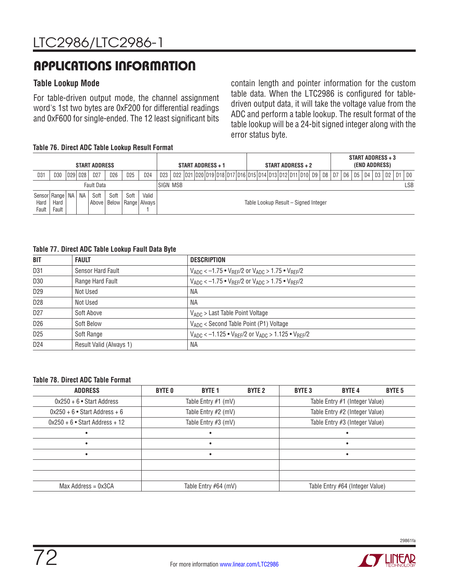### **Table Lookup Mode**

For table-driven output mode, the channel assignment word's 1st two bytes are 0xF200 for differential readings and 0xF600 for single-ended. The 12 least significant bits

contain length and pointer information for the custom table data. When the LTC2986 is configured for tabledriven output data, it will take the voltage value from the ADC and perform a table lookup. The result format of the table lookup will be a 24-bit signed integer along with the error status byte.

#### **Table 76. Direct ADC Table Lookup Result Format**

|                             |       |           | <b>START ADDRESS</b> |      |                 |                                   |                 |                                                                                               | START ADDRESS + 1 |  |  |                                      | START ADDRESS + 2 |  |  |  |  | START ADDRESS + 3<br>(END ADDRESS) |  |      |
|-----------------------------|-------|-----------|----------------------|------|-----------------|-----------------------------------|-----------------|-----------------------------------------------------------------------------------------------|-------------------|--|--|--------------------------------------|-------------------|--|--|--|--|------------------------------------|--|------|
| D <sub>31</sub>             | D30   | D29   D28 | D <sub>27</sub>      | D26  | D <sub>25</sub> | D <sub>24</sub>                   | D <sub>23</sub> | D22  D21  D20  D19  D18  D17  D16  D15  D14  D13  D12  D11  D10   D9   D8   D7   D6   D5   D4 |                   |  |  |                                      |                   |  |  |  |  | D3   D2   D1                       |  | l DO |
|                             |       |           | <b>Fault Data</b>    |      |                 |                                   | ISIGN MSB       |                                                                                               |                   |  |  |                                      |                   |  |  |  |  |                                    |  | LSB  |
| Sensor Range   NA  <br>Hard | Hard  | NA.       | Soft<br>Above I      | Soft | Soft            | Valid<br>  Below   Range   Always |                 |                                                                                               |                   |  |  | Table Lookup Result - Signed Integer |                   |  |  |  |  |                                    |  |      |
| Fault                       | Fault |           |                      |      |                 |                                   |                 |                                                                                               |                   |  |  |                                      |                   |  |  |  |  |                                    |  |      |

#### **Table 77. Direct ADC Table Lookup Fault Data Byte**

| <b>BIT</b>      | <b>FAULT</b>            | <b>DESCRIPTION</b>                                                                                       |
|-----------------|-------------------------|----------------------------------------------------------------------------------------------------------|
| D31             | Sensor Hard Fault       | $V_{ADC}$ < -1.75 $\bullet$ $V_{BFF}/2$ or $V_{ADC}$ > 1.75 $\bullet$ $V_{BFF}/2$                        |
| D30             | Range Hard Fault        | $V_{ADC}$ < -1.75 $\bullet$ V <sub>RFF</sub> /2 or V <sub>ADC</sub> > 1.75 $\bullet$ V <sub>RFF</sub> /2 |
| D <sub>29</sub> | Not Used                | ΝA                                                                                                       |
| D <sub>28</sub> | Not Used                | <b>NA</b>                                                                                                |
| D <sub>27</sub> | Soft Above              | $V_{ADC}$ > Last Table Point Voltage                                                                     |
| D <sub>26</sub> | Soft Below              | VADC < Second Table Point (P1) Voltage                                                                   |
| D <sub>25</sub> | Soft Range              | $V_{ADC} < -1.125$ • $V_{BFF}/2$ or $V_{ADC} > 1.125$ • $V_{BFF}/2$                                      |
| D <sub>24</sub> | Result Valid (Always 1) | ΝA                                                                                                       |

#### **Table 78. Direct ADC Table Format**

| <b>ADDRESS</b>                   | <b>BYTE 0</b>         | <b>BYTE 1</b> | <b>BYTE 2</b> | <b>BYTE 3</b>                   | <b>BYTE 4</b> | <b>BYTE 5</b> |
|----------------------------------|-----------------------|---------------|---------------|---------------------------------|---------------|---------------|
| $0x250 + 6$ • Start Address      | Table Entry $#1$ (mV) |               |               | Table Entry #1 (Integer Value)  |               |               |
| $0x250 + 6$ • Start Address + 6  | Table Entry #2 (mV)   |               |               | Table Entry #2 (Integer Value)  |               |               |
| $0x250 + 6$ • Start Address + 12 | Table Entry #3 (mV)   |               |               | Table Entry #3 (Integer Value)  |               |               |
| ٠                                |                       |               |               |                                 |               |               |
| ٠                                |                       |               |               |                                 |               |               |
| $\bullet$                        |                       |               |               |                                 |               |               |
|                                  |                       |               |               |                                 |               |               |
|                                  |                       |               |               |                                 |               |               |
| $Max$ Address = $0x3CA$          | Table Entry #64 (mV)  |               |               | Table Entry #64 (Integer Value) |               |               |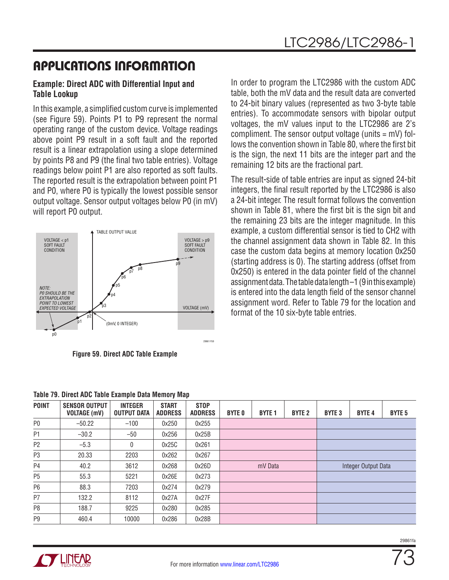# APPLICATIONS INFORMATION

### **Example: Direct ADC with Differential Input and Table Lookup**

In this example, a simplified custom curve is implemented (see Figure 59). Points P1 to P9 represent the normal operating range of the custom device. Voltage readings above point P9 result in a soft fault and the reported result is a linear extrapolation using a slope determined by points P8 and P9 (the final two table entries). Voltage readings below point P1 are also reported as soft faults. The reported result is the extrapolation between point P1 and P0, where P0 is typically the lowest possible sensor output voltage. Sensor output voltages below P0 (in mV) will report P0 output.



**Figure 59. Direct ADC Table Example**

In order to program the LTC2986 with the custom ADC table, both the mV data and the result data are converted to 24-bit binary values (represented as two 3-byte table entries). To accommodate sensors with bipolar output voltages, the mV values input to the LTC2986 are 2's compliment. The sensor output voltage (units  $= mV$ ) follows the convention shown in Table 80, where the first bit is the sign, the next 11 bits are the integer part and the remaining 12 bits are the fractional part.

The result-side of table entries are input as signed 24-bit integers, the final result reported by the LTC2986 is also a 24-bit integer. The result format follows the convention shown in Table 81, where the first bit is the sign bit and the remaining 23 bits are the integer magnitude. In this example, a custom differential sensor is tied to CH2 with the channel assignment data shown in Table 82. In this case the custom data begins at memory location 0x250 (starting address is 0). The starting address (offset from 0x250) is entered in the data pointer field of the channel assignment data. The table data length –1 (9 in this example) is entered into the data length field of the sensor channel assignment word. Refer to Table 79 for the location and format of the 10 six-byte table entries.

| <b>POINT</b>   | <b>SENSOR OUTPUT</b><br><b>VOLTAGE (mV)</b> | <b>INTEGER</b><br>OUTPUT DATA | <b>START</b><br><b>ADDRESS</b> | <b>STOP</b><br><b>ADDRESS</b> | <b>BYTE 0</b> | <b>BYTE 1</b> | <b>BYTE 2</b> | <b>BYTE 3</b> | <b>BYTE 4</b>       | <b>BYTE 5</b> |
|----------------|---------------------------------------------|-------------------------------|--------------------------------|-------------------------------|---------------|---------------|---------------|---------------|---------------------|---------------|
| P <sub>0</sub> | $-50.22$                                    | $-100$                        | 0x250                          | 0x255                         |               |               |               |               |                     |               |
| P <sub>1</sub> | $-30.2$                                     | $-50$                         | 0x256                          | 0x25B                         |               |               |               |               |                     |               |
| P <sub>2</sub> | $-5.3$                                      | 0                             | 0x25C                          | 0x261                         |               |               |               |               |                     |               |
| P3             | 20.33                                       | 2203                          | 0x262                          | 0x267                         |               |               |               |               |                     |               |
| P <sub>4</sub> | 40.2                                        | 3612                          | 0x268                          | 0x26D                         |               | mV Data       |               |               | Integer Output Data |               |
| P <sub>5</sub> | 55.3                                        | 5221                          | 0x26E                          | 0x273                         |               |               |               |               |                     |               |
| P <sub>6</sub> | 88.3                                        | 7203                          | 0x274                          | 0x279                         |               |               |               |               |                     |               |
| P7             | 132.2                                       | 8112                          | 0x27A                          | 0x27F                         |               |               |               |               |                     |               |
| P8             | 188.7                                       | 9225                          | 0x280                          | 0x285                         |               |               |               |               |                     |               |
| P <sub>9</sub> | 460.4                                       | 10000                         | 0x286                          | 0x28B                         |               |               |               |               |                     |               |

**Table 79. Direct ADC Table Example Data Memory Map**



73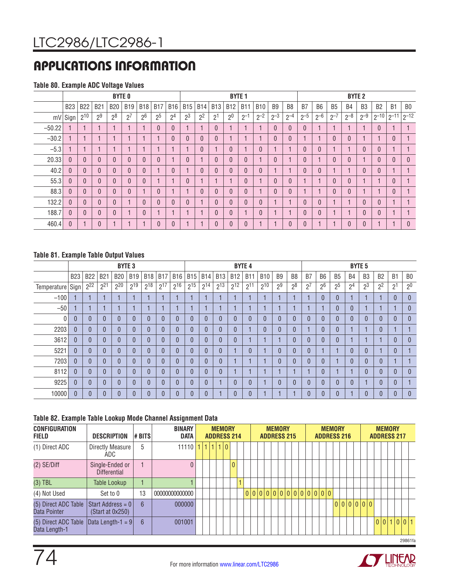# APPLICATIONS INFORMATION

### **Table 80. Example ADC Voltage Values**

|          |            |              |                | <b>BYTE 0</b>  |            |                |                |                |                |                |            |                | <b>BYTE 1</b> |            |                |                |                |                |                | <b>BYTE 2</b> |                |           |                |                |
|----------|------------|--------------|----------------|----------------|------------|----------------|----------------|----------------|----------------|----------------|------------|----------------|---------------|------------|----------------|----------------|----------------|----------------|----------------|---------------|----------------|-----------|----------------|----------------|
|          | <b>B23</b> | <b>B22</b>   | <b>B21</b>     | <b>B20</b>     | <b>B19</b> | <b>B18</b>     | <b>B17</b>     | <b>B16</b>     | <b>B15</b>     | <b>B14</b>     | <b>B13</b> | <b>B12</b>     | <b>B11</b>    | <b>B10</b> | B <sub>9</sub> | B <sub>8</sub> | B7             | B <sub>6</sub> | B <sub>5</sub> | <b>B4</b>     | B <sub>3</sub> | <b>B2</b> | B <sub>1</sub> | B <sub>0</sub> |
|          | $mV$ Sign  | $2^{10}$     | 2 <sup>9</sup> | $2^8$          | $2^7$      | 2 <sup>6</sup> | 2 <sup>5</sup> | 2 <sup>4</sup> | 2 <sup>3</sup> | 2 <sup>2</sup> | ופ         | 2 <sup>0</sup> | $2^{-1}$      | $2^{-2}$   | $2^{-3}$       | $2^{-4}$       | $2^{-5}$       | $2 - 6$        | $2^{-1}$       | $2^{-8}$      | $2^{-9}$       | $2^{-10}$ | $2^{-11}$      | $2^{-12}$      |
| $-50.22$ |            |              |                |                |            |                | $\theta$       | $\mathbf{0}$   |                |                |            |                |               |            | $\mathbf{0}$   | $\mathbf{0}$   | $\theta$       |                |                |               |                | $\theta$  |                |                |
| $-30.2$  |            |              |                |                |            |                |                | 0              | $\theta$       | $\mathbf{0}$   |            |                |               |            |                | $\theta$       |                |                | 0              |               |                |           | $\theta$       |                |
| $-5.3$   |            |              |                |                |            |                |                |                |                | $\theta$       |            | $\theta$       |               | $\theta$   |                | н              | $\Omega$       | 0              |                |               | $\Omega$       | $\theta$  |                |                |
| 20.33    | $\theta$   | $\mathbf{0}$ | 0              | $\overline{0}$ |            | $\theta$       | $\theta$       |                | $\theta$       |                |            | $\theta$       | $\theta$      |            | $\mathbf{0}$   | н              | $\mathbf{0}$   |                | $\Omega$       | $\Omega$      |                | $\theta$  | $\theta$       | $\theta$       |
| 40.2     | $\Omega$   | $\mathbf{0}$ | $\Omega$       | 0              |            | $\Omega$       |                | $\theta$       |                | $\mathbf{0}$   |            | $\theta$       | $\Omega$      | $\theta$   |                | н              | $\mathbf{0}$   | 0              |                |               | $\Omega$       | $\theta$  |                |                |
| 55.3     | $\theta$   | $\mathbf{0}$ | 0              | 0              | 0          | $\theta$       |                |                | $\theta$       |                |            |                | $\theta$      |            | 0              | $\theta$       |                |                | $\overline{0}$ | 0             |                |           | $\theta$       |                |
| 88.3     | $\Omega$   | $\theta$     | 0              | 0              |            |                | $\mathbf{0}$   |                |                | $\mathbf{0}$   |            | $\theta$       | $\theta$      | ٠          | $\overline{0}$ | $\theta$       |                |                | 0              |               |                |           | $\mathbf{0}$   |                |
| 132.2    | $\theta$   | $\theta$     | $\overline{0}$ | 0              |            | $\theta$       | $\mathbf{0}$   | $\mathbf{0}$   | $\theta$       |                |            | $\theta$       | $\Omega$      | $\theta$   |                | н              | $\mathbf{0}$   | 0              |                |               | $\Omega$       | $\theta$  |                |                |
| 188.7    | $\theta$   | $\theta$     | 0              | 0              |            | $\theta$       |                |                |                |                |            | $\theta$       |               | $\theta$   |                | н              | $\overline{0}$ | 0              |                |               |                | $\theta$  |                |                |
| 460.4    | $\theta$   |              | $\overline{0}$ |                |            |                | $\theta$       | $\overline{0}$ |                |                |            | $\theta$       | $\mathbf{0}$  |            |                | $\mathbf{0}$   | $\overline{0}$ |                |                |               |                |           |                | $\theta$       |

### **Table 81. Example Table Output Values**

|                    |                |            |            | <b>BYTE 3</b> |            |              |            |                |            |            |              |            | <b>BYTE 4</b>  |                |                |                |                |                |                |                | <b>BYTE 5</b>  |                |                |                |
|--------------------|----------------|------------|------------|---------------|------------|--------------|------------|----------------|------------|------------|--------------|------------|----------------|----------------|----------------|----------------|----------------|----------------|----------------|----------------|----------------|----------------|----------------|----------------|
|                    | <b>B23</b>     | <b>B22</b> | <b>B21</b> | <b>B20</b>    | <b>B19</b> | <b>B18</b>   | <b>B17</b> | <b>B16</b>     | <b>B15</b> | <b>B14</b> | <b>B13</b>   | <b>B12</b> | <b>B11</b>     | <b>B10</b>     | B <sub>9</sub> | B <sub>8</sub> | B <sub>7</sub> | B <sub>6</sub> | <b>B5</b>      | B <sub>4</sub> | B <sub>3</sub> | B <sub>2</sub> | B <sub>1</sub> | B <sub>0</sub> |
| Temperature   Sign |                | $2^{22}$   | $2^{21}$   | 220           | $2^{19}$   | $2^{18}$     | $2^{17}$   | $2^{16}$       | $2^{15}$   | $2^{14}$   | $2^{13}$     | $2^{12}$   | $2^{11}$       | $2^{10}$       | 2 <sup>9</sup> | 2 <sup>8</sup> | 2 <sup>7</sup> | 2 <sup>6</sup> | 2 <sup>5</sup> | 2 <sup>4</sup> | 2 <sup>3</sup> | 2 <sup>2</sup> | 2 <sup>1</sup> | 2 <sup>0</sup> |
| $-100$             |                |            |            |               |            |              |            |                |            |            |              |            |                |                |                |                |                | $\mathbf{0}$   | $\overline{0}$ |                |                |                | $\theta$       | $\overline{0}$ |
| $-50$              |                |            |            |               |            |              |            |                |            |            |              |            |                |                |                |                |                |                | $\Omega$       | 0              |                |                |                | $\mathbf{0}$   |
| $\overline{0}$     | $\mathbf{0}$   | $\theta$   | 0          |               | $\Omega$   | $\mathbf{0}$ | $\Omega$   | $\overline{0}$ | 0          | $\Omega$   | $\mathbf{0}$ | $\theta$   | $\overline{0}$ | $\overline{0}$ | 0              |                | $\theta$       | 0              | $\overline{0}$ | $\overline{0}$ |                | $\theta$       | $\theta$       | $\overline{0}$ |
| 2203               | $\mathbf{0}$   | $\theta$   | 0          |               | $\Omega$   | $\Omega$     | $\Omega$   | $\overline{0}$ | 0          | $\Omega$   | $\mathbf{0}$ | $\theta$   |                | $\overline{0}$ | $\overline{0}$ |                |                | 0              | $\overline{0}$ |                |                |                |                |                |
| 3612               | $\Omega$       | $\Omega$   | $\Omega$   |               | $\Omega$   | $\Omega$     |            | $\mathbf{0}$   | 0          | $\Omega$   | $\Omega$     | $\Omega$   |                |                |                |                |                | 0              | $\theta$       |                |                |                | $\theta$       | $\mathbf{0}$   |
| 5221               | $\mathbf{0}$   | $\Omega$   | $\Omega$   |               | $\Omega$   | $\Omega$     | $\Omega$   | $\Omega$       | U          | $\theta$   | $\Omega$     |            | $\mathbf{0}$   |                | 0              |                |                |                |                | $\Omega$       |                |                | $\Omega$       |                |
| 7203               | $\overline{0}$ | $\Omega$   | $\Omega$   |               | $\Omega$   | $\Omega$     | $\Omega$   | $\theta$       | 0          | $\theta$   | $\Omega$     |            |                |                | 0              |                | $\Omega$       | $\theta$       |                | $\Omega$       |                | $\theta$       |                |                |
| 8112               | $\Omega$       | $\Omega$   | $\Omega$   | 0             | $\Omega$   | $\Omega$     | $\Omega$   | $\Omega$       | $\Omega$   | $\Omega$   | $\Omega$     |            | в              |                |                |                |                | $\Omega$       |                |                |                |                | $\theta$       | $\mathbf{0}$   |
| 9225               | $\Omega$       | $\Omega$   | $\Omega$   |               | $\Omega$   | $\Omega$     | U          | $\Omega$       | 0          |            |              | $\Omega$   | $\mathbf{0}$   |                | 0              |                | $\Omega$       | $\Omega$       | $\Omega$       | $\Omega$       |                | $\Omega$       | $\theta$       |                |
| 10000              | $\Omega$       | $\Omega$   | 0          |               | $\Omega$   | $\sqrt{ }$   |            |                | U          |            |              | $\Omega$   | $\mathbf{0}$   |                |                |                |                | 0              | $\Omega$       |                |                | $\mathbf{0}$   | $\Omega$       | $\Omega$       |

### **Table 82. Example Table Lookup Mode Channel Assignment Data**

| <b>CONFIGURATION</b><br><b>FIELD</b>  | <b>DESCRIPTION</b>                     | # BITS          | <b>BINARY</b><br><b>DATA</b>    |  |  | <b>MEMORY</b><br><b>ADDRESS 214</b> |              |  |                           | <b>MEMORY</b><br><b>ADDRESS 215</b> |  |  | <b>ADDRESS 216</b> |  | <b>MEMORY</b> |  |         |  | <b>MEMORY</b> | <b>ADDRESS 217</b> |             |  |
|---------------------------------------|----------------------------------------|-----------------|---------------------------------|--|--|-------------------------------------|--------------|--|---------------------------|-------------------------------------|--|--|--------------------|--|---------------|--|---------|--|---------------|--------------------|-------------|--|
| (1) Direct ADC                        | Directly Measure<br>ADC                | 5               | $11110$ $1$ $1$ $1$ $1$ $1$ $0$ |  |  |                                     |              |  |                           |                                     |  |  |                    |  |               |  |         |  |               |                    |             |  |
| $(2)$ SE/Diff                         | Single-Ended or<br><b>Differential</b> |                 | $\Omega$                        |  |  |                                     | $\mathbf{0}$ |  |                           |                                     |  |  |                    |  |               |  |         |  |               |                    |             |  |
| $(3)$ TBL                             | Table Lookup                           |                 |                                 |  |  |                                     |              |  |                           |                                     |  |  |                    |  |               |  |         |  |               |                    |             |  |
| (4) Not Used                          | Set to 0                               | 13              | 0000000000000                   |  |  |                                     |              |  | 0 0 0 0 0 0 0 0 0 0 0 0 0 |                                     |  |  |                    |  |               |  |         |  |               |                    |             |  |
| (5) Direct ADC Table<br>Data Pointer  | Start Address = 0<br>(Start at 0x250)  | $6\overline{6}$ | 000000                          |  |  |                                     |              |  |                           |                                     |  |  |                    |  |               |  | 0000000 |  |               |                    |             |  |
| (5) Direct ADC Table<br>Data Length-1 | $\Delta$ lData Length-1 = 9            | 6               | 001001                          |  |  |                                     |              |  |                           |                                     |  |  |                    |  |               |  |         |  |               |                    | 0 0 1 0 0 1 |  |
|                                       |                                        |                 |                                 |  |  |                                     |              |  |                           |                                     |  |  |                    |  |               |  |         |  |               |                    | 29861fa     |  |

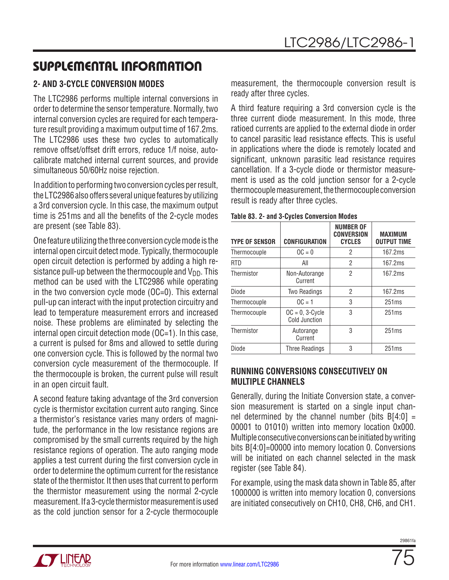# SUPPLEMENTAL INFORMATION

## **2- AND 3-CYCLE CONVERSION MODES**

The LTC2986 performs multiple internal conversions in order to determine the sensor temperature. Normally, two internal conversion cycles are required for each temperature result providing a maximum output time of 167.2ms. The LTC2986 uses these two cycles to automatically remove offset/offset drift errors, reduce 1/f noise, autocalibrate matched internal current sources, and provide simultaneous 50/60Hz noise rejection.

In addition to performing two conversion cycles per result, the LTC2986 also offers several unique features by utilizing a 3rd conversion cycle. In this case, the maximum output time is 251ms and all the benefits of the 2-cycle modes are present (see Table 83).

One feature utilizing the three conversion cycle mode is the internal open circuit detect mode. Typically, thermocouple open circuit detection is performed by adding a high resistance pull-up between the thermocouple and  $V_{DD}$ . This method can be used with the LTC2986 while operating in the two conversion cycle mode (OC=0). This external pull-up can interact with the input protection circuitry and lead to temperature measurement errors and increased noise. These problems are eliminated by selecting the internal open circuit detection mode (OC=1). In this case, a current is pulsed for 8ms and allowed to settle during one conversion cycle. This is followed by the normal two conversion cycle measurement of the thermocouple. If the thermocouple is broken, the current pulse will result in an open circuit fault.

A second feature taking advantage of the 3rd conversion cycle is thermistor excitation current auto ranging. Since a thermistor's resistance varies many orders of magnitude, the performance in the low resistance regions are compromised by the small currents required by the high resistance regions of operation. The auto ranging mode applies a test current during the first conversion cycle in order to determine the optimum current for the resistance state of the thermistor. It then uses that current to perform the thermistor measurement using the normal 2-cycle measurement. If a 3-cycle thermistor measurement is used as the cold junction sensor for a 2-cycle thermocouple measurement, the thermocouple conversion result is ready after three cycles.

A third feature requiring a 3rd conversion cycle is the three current diode measurement. In this mode, three ratioed currents are applied to the external diode in order to cancel parasitic lead resistance effects. This is useful in applications where the diode is remotely located and significant, unknown parasitic lead resistance requires cancellation. If a 3-cycle diode or thermistor measurement is used as the cold junction sensor for a 2-cycle thermocouple measurement, the thermocouple conversion result is ready after three cycles.

| <b>TYPE OF SENSOR</b> | <b>CONFIGURATION</b>                | <b>NUMBER OF</b><br><b>CONVERSION</b><br><b>CYCLES</b> | <b>MAXIMUM</b><br><b>OUTPUT TIME</b> |
|-----------------------|-------------------------------------|--------------------------------------------------------|--------------------------------------|
| Thermocouple          | $OC = 0$                            | 2                                                      | 167.2ms                              |
| <b>RTD</b>            | All                                 | 2                                                      | 167.2ms                              |
| Thermistor            | Non-Autorange<br>Current            | 2                                                      | 167.2ms                              |
| Diode                 | Two Readings                        | 2                                                      | 167.2ms                              |
| Thermocouple          | $OC = 1$                            | 3                                                      | 251ms                                |
| Thermocouple          | $OC = 0$ , 3-Cycle<br>Cold Junction | 3                                                      | 251ms                                |
| Thermistor            | Autorange<br>Current                | 3                                                      | 251ms                                |
| Diode                 | <b>Three Readings</b>               | 3                                                      | 251ms                                |

#### **Table 83. 2- and 3-Cycles Conversion Modes**

### **RUNNING CONVERSIONS CONSECUTIVELY ON MULTIPLE CHANNELS**

Generally, during the Initiate Conversion state, a conversion measurement is started on a single input channel determined by the channel number (bits  $B[4:0] =$ 00001 to 01010) written into memory location 0x000. Multiple consecutive conversions can be initiated by writing bits B[4:0]=00000 into memory location 0. Conversions will be initiated on each channel selected in the mask register (see Table 84).

For example, using the mask data shown in Table 85, after 1000000 is written into memory location 0, conversions are initiated consecutively on CH10, CH8, CH6, and CH1.

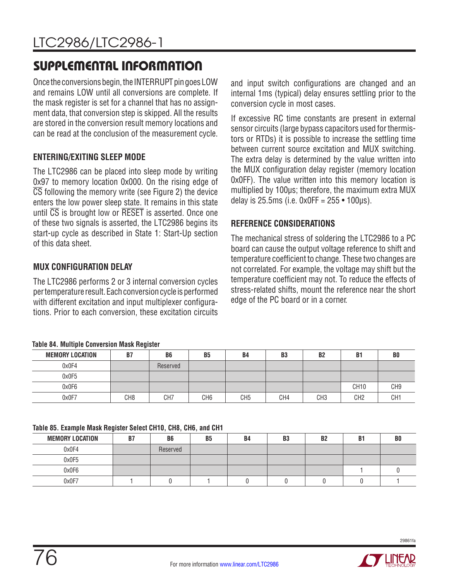# SUPPLEMENTAL INFORMATION

Once the conversions begin, the INTERRUPT pin goes LOW and remains LOW until all conversions are complete. If the mask register is set for a channel that has no assignment data, that conversion step is skipped. All the results are stored in the conversion result memory locations and can be read at the conclusion of the measurement cycle.

### **ENTERING/EXITING SLEEP MODE**

The LTC2986 can be placed into sleep mode by writing 0x97 to memory location 0x000. On the rising edge of  $\overline{\text{CS}}$  following the memory write (see Figure 2) the device enters the low power sleep state. It remains in this state until  $\overline{CS}$  is brought low or  $\overline{\text{RESET}}$  is asserted. Once one of these two signals is asserted, the LTC2986 begins its start-up cycle as described in State 1: Start-Up section of this data sheet.

### **MUX CONFIGURATION DELAY**

The LTC2986 performs 2 or 3 internal conversion cycles per temperature result. Each conversion cycle is performed with different excitation and input multiplexer configurations. Prior to each conversion, these excitation circuits

### **Table 84. Multiple Conversion Mask Register**

|                        | -   |                 |                 |                 |                |                 |                 |                 |
|------------------------|-----|-----------------|-----------------|-----------------|----------------|-----------------|-----------------|-----------------|
| <b>MEMORY LOCATION</b> | B7  | B <sub>6</sub>  | B <sub>5</sub>  | B4              | B <sub>3</sub> | <b>B2</b>       | <b>B1</b>       | B <sub>0</sub>  |
| 0x0F4                  |     | Reserved        |                 |                 |                |                 |                 |                 |
| 0x0F5                  |     |                 |                 |                 |                |                 |                 |                 |
| 0x0F6                  |     |                 |                 |                 |                |                 | <b>CH10</b>     | CH9             |
| 0x0F7                  | CH8 | CH <sub>7</sub> | CH <sub>6</sub> | CH <sub>5</sub> | CH4            | CH <sub>3</sub> | CH <sub>2</sub> | CH <sub>1</sub> |

### **Table 85. Example Mask Register Select CH10, CH8, CH6, and CH1**

| <b>MEMORY LOCATION</b> | B7 | B <sub>6</sub> | <b>B5</b> | <b>B4</b> | B <sub>3</sub> | B <sub>2</sub> | <b>B1</b> | B <sub>0</sub> |
|------------------------|----|----------------|-----------|-----------|----------------|----------------|-----------|----------------|
| 0x0F4                  |    | Reserved       |           |           |                |                |           |                |
| 0x0F5                  |    |                |           |           |                |                |           |                |
| 0x0F6                  |    |                |           |           |                |                |           |                |
| 0x0F7                  |    |                |           |           |                |                |           |                |

and input switch configurations are changed and an internal 1ms (typical) delay ensures settling prior to the conversion cycle in most cases.

If excessive RC time constants are present in external sensor circuits (large bypass capacitors used for thermistors or RTDs) it is possible to increase the settling time between current source excitation and MUX switching. The extra delay is determined by the value written into the MUX configuration delay register (memory location 0x0FF). The value written into this memory location is multiplied by 100µs; therefore, the maximum extra MUX delay is 25.5ms (i.e.  $0x0FF = 255 \cdot 100 \mu s$ ).

### **REFERENCE CONSIDERATIONS**

The mechanical stress of soldering the LTC2986 to a PC board can cause the output voltage reference to shift and temperature coefficient to change. These two changes are not correlated. For example, the voltage may shift but the temperature coefficient may not. To reduce the effects of stress-related shifts, mount the reference near the short edge of the PC board or in a corner.

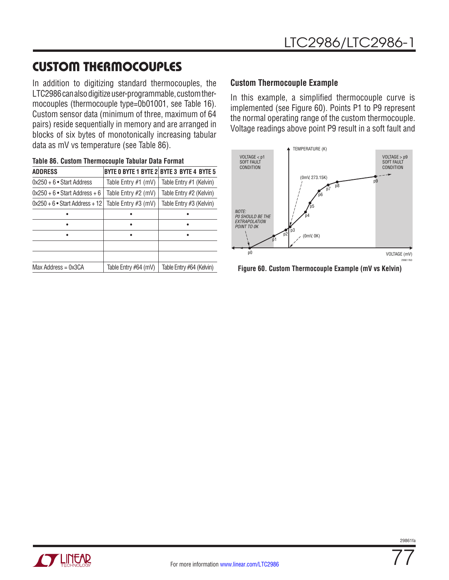# CUSTOM THERMOCOUPLES

In addition to digitizing standard thermocouples, the LTC2986 can also digitize user-programmable, custom thermocouples (thermocouple type=0b01001, see Table 16). Custom sensor data (minimum of three, maximum of 64 pairs) reside sequentially in memory and are arranged in blocks of six bytes of monotonically increasing tabular data as mV vs temperature (see Table 86).

| Table 86. Custom Thermocouple Tabular Data Format |                      |                                           |
|---------------------------------------------------|----------------------|-------------------------------------------|
| <b>ADDRESS</b>                                    |                      | BYTE 0 BYTE 1 BYTE 2 BYTE 3 BYTE 4 BYTE 5 |
| $0x250 + 6$ • Start Address                       | Table Entry #1 (mV)  | Table Entry #1 (Kelvin)                   |
| $0x250 + 6$ • Start Address + 6                   | Table Entry #2 (mV)  | Table Entry #2 (Kelvin)                   |
| $0x250 + 6$ • Start Address + 12                  | Table Entry #3 (mV)  | Table Entry #3 (Kelvin)                   |
|                                                   |                      |                                           |
|                                                   |                      |                                           |
|                                                   |                      |                                           |
|                                                   |                      |                                           |
|                                                   |                      |                                           |
| $Max$ Address = $0x3CA$                           | Table Entry #64 (mV) | Table Entry #64 (Kelvin)                  |

### **Custom Thermocouple Example**

In this example, a simplified thermocouple curve is implemented (see Figure 60). Points P1 to P9 represent the normal operating range of the custom thermocouple. Voltage readings above point P9 result in a soft fault and



**Figure 60. Custom Thermocouple Example (mV vs Kelvin)**

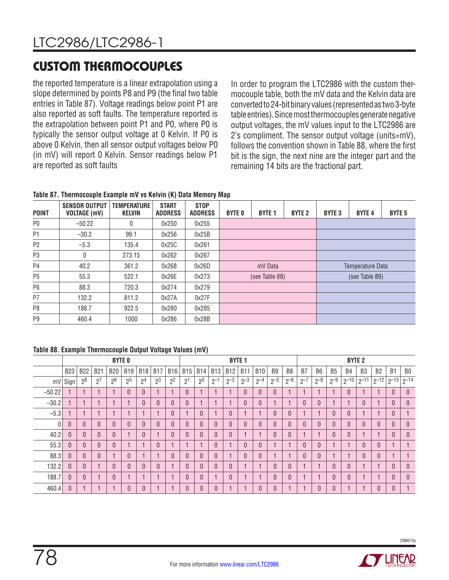# CUSTOM THERMOCOUPLES

the reported temperature is a linear extrapolation using a slope determined by points P8 and P9 (the final two table entries in Table 87). Voltage readings below point P1 are also reported as soft faults. The temperature reported is the extrapolation between point P1 and P0, where P0 is typically the sensor output voltage at 0 Kelvin. If P0 is above 0 Kelvin, then all sensor output voltages below P0 (in mV) will report 0 Kelvin. Sensor readings below P1 are reported as soft faults

In order to program the LTC2986 with the custom thermocouple table, both the mV data and the Kelvin data are converted to 24-bit binary values (represented as two 3-byte table entries). Since most thermocouples generate negative output voltages, the mV values input to the LTC2986 are 2's compliment. The sensor output voltage (units=mV), follows the convention shown in Table 88, where the first bit is the sign, the next nine are the integer part and the remaining 14 bits are the fractional part.

**Table 87. Thermocouple Example mV vs Kelvin (K) Data Memory Map**

| <b>POINT</b>   | <b>SENSOR OUTPUT</b><br><b>VOLTAGE (mV)</b> | <b>TEMPERATURE</b><br><b>KELVIN</b> | <b>START</b><br><b>ADDRESS</b> | <b>STOP</b><br><b>ADDRESS</b> | <b>BYTE 0</b> | <b>BYTE 1</b>  | <b>BYTE 2</b> | <b>BYTE 3</b> | <b>BYTE 4</b>    | <b>BYTE 5</b> |
|----------------|---------------------------------------------|-------------------------------------|--------------------------------|-------------------------------|---------------|----------------|---------------|---------------|------------------|---------------|
| P <sub>0</sub> | $-50.22$                                    | 0                                   | 0x250                          | 0x255                         |               |                |               |               |                  |               |
| P <sub>1</sub> | $-30.2$                                     | 99.1                                | 0x256                          | 0x25B                         |               |                |               |               |                  |               |
| P <sub>2</sub> | $-5.3$                                      | 135.4                               | 0x25C                          | 0x261                         |               |                |               |               |                  |               |
| P <sub>3</sub> | 0                                           | 273.15                              | 0x262                          | 0x267                         |               |                |               |               |                  |               |
| P4             | 40.2                                        | 361.2                               | 0x268                          | 0x26D                         |               | mV Data        |               |               | Temperature Data |               |
| P <sub>5</sub> | 55.3                                        | 522.1                               | 0x26E                          | 0x273                         |               | (see Table 88) |               |               | (see Table 89)   |               |
| P <sub>6</sub> | 88.3                                        | 720.3                               | 0x274                          | 0x279                         |               |                |               |               |                  |               |
| P7             | 132.2                                       | 811.2                               | 0x27A                          | 0x27F                         |               |                |               |               |                  |               |
| P <sub>8</sub> | 188.7                                       | 922.5                               | 0x280                          | 0x285                         |               |                |               |               |                  |               |
| P <sub>9</sub> | 460.4                                       | 1000                                | 0x286                          | 0x28B                         |               |                |               |               |                  |               |

**Table 88. Example Thermocouple Output Voltage Values (mV)**

|          |            |                |                  |                | <b>BYTE 0</b>  |                |                |                |                |                |            |            | <b>BYTE 1</b> |            |                |                |         |                |                | <b>BYTE 2</b> |                |                |                |                |
|----------|------------|----------------|------------------|----------------|----------------|----------------|----------------|----------------|----------------|----------------|------------|------------|---------------|------------|----------------|----------------|---------|----------------|----------------|---------------|----------------|----------------|----------------|----------------|
|          | <b>B23</b> | <b>B22</b>     | <b>B21</b>       | <b>B20</b>     | <b>B19</b>     | <b>B18</b>     | <b>B17</b>     | <b>B16</b>     | <b>B15</b>     | <b>B14</b>     | <b>B13</b> | <b>B12</b> | <b>B11</b>    | <b>B10</b> | B <sub>9</sub> | B <sub>8</sub> | B7      | B <sub>6</sub> | B <sub>5</sub> | <b>B4</b>     | B <sub>3</sub> | B <sub>2</sub> | B <sub>1</sub> | B <sub>0</sub> |
| mV       | Sign       | $2^8$          | $\overline{2}^7$ | 2 <sup>6</sup> | 2 <sup>5</sup> | 2 <sup>4</sup> | 2 <sup>3</sup> | 2 <sup>2</sup> | $2^{1}$        | 2 <sup>0</sup> | $2^{-1}$   | $2^{-2}$   | $2^{-3}$      | $2^{-4}$   | $2^{-5}$       | $2^{-6}$       | $n - 7$ | $2^{-8}$       | $2^{-9}$       | $2 - 10$      | $2 - 11$       | $2^{-12}$      | $2^{-13}$      | $2^{-14}$      |
| $-50.22$ |            |                |                  |                | $\theta$       | $\theta$       |                |                | $\theta$       |                |            |            | $\theta$      | $\theta$   | $\mathbf{0}$   |                |         |                |                | $\theta$      |                |                | $\theta$       | $\theta$       |
| $-30.2$  |            |                |                  |                |                | $\theta$       | $\theta$       | $\mathbf{0}$   | $\theta$       |                |            |            | $\theta$      | $\theta$   |                |                | 0       | 0              |                |               | $\mathbf{0}$   |                | $\theta$       | $\mathbf{0}$   |
| $-5.3$   |            |                |                  |                |                |                |                | $\Omega$       |                | 0              |            | $\Omega$   |               | н          | $\theta$       | $\overline{0}$ |         |                | $\Omega$       | $\Omega$      |                |                | $\theta$       |                |
|          | $\theta$   | 0              | 0                |                |                | $\Omega$       | $\theta$       | $\theta$       | $\theta$       |                | $\theta$   | $\Omega$   | $\theta$      | $\theta$   | $\theta$       | $\theta$       |         |                |                | $\mathbf{0}$  | $\Omega$       | $\Omega$       | $\mathbf{0}$   | $\mathbf{0}$   |
| 40.2     | $\theta$   | $\overline{0}$ | 0                |                |                |                |                | $\mathbf{0}$   | $\theta$       | 0              | $\theta$   | $\Omega$   |               |            | $\mathbf{0}$   | $\overline{0}$ |         |                |                | $\mathbf{0}$  |                |                | $\mathbf{0}$   | $\mathbf{0}$   |
| 55.3     | $\theta$   | 0              | 0                |                |                |                | $\theta$       |                |                |                |            |            | $\theta$      | $\theta$   |                |                | N       |                |                |               | $\Omega$       | $\theta$       |                |                |
| 88.3     | $\theta$   | 0              | ი                |                |                |                |                | $\sqrt{ }$     | $\overline{0}$ |                | $\Omega$   |            | $\mathbf{0}$  | $\theta$   |                |                | 0       |                |                |               | $\Omega$       | $\Omega$       |                |                |
| 132.2    | $\theta$   | 0              |                  |                |                | $\Omega$       | $\theta$       |                | $\mathbf{0}$   | 0              | $\theta$   | $\Omega$   |               |            | $\theta$       | $\overline{0}$ |         |                |                | $\Omega$      |                |                | $\theta$       | $\mathbf{0}$   |
| 188.7    | $\theta$   | $\overline{0}$ |                  | $\Omega$       |                |                |                |                | $\theta$       | 0              |            | $\Omega$   |               | н          | $\Omega$       | $\overline{0}$ |         |                |                | $\Omega$      |                |                | $\theta$       | $\mathbf{0}$   |
| 460.4    | $\theta$   | $\overline{1}$ |                  |                | $\Omega$       | $\theta$       |                |                | $\mathbf{0}$   | n              | $\theta$   |            |               | $\theta$   | $\Omega$       |                |         | 0              |                |               |                | $\Omega$       | $\theta$       |                |

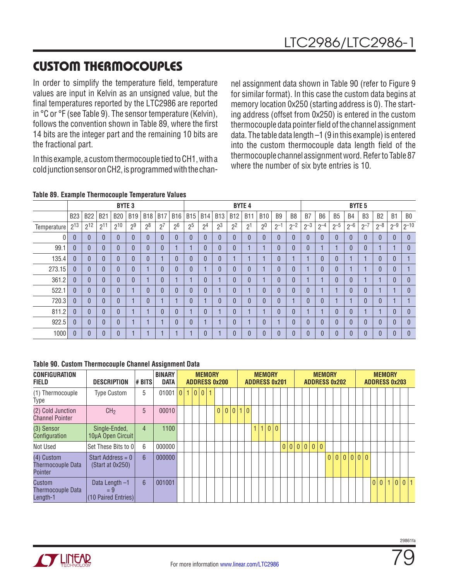# CUSTOM THERMOCOUPLES

In order to simplify the temperature field, temperature values are input in Kelvin as an unsigned value, but the final temperatures reported by the LTC2986 are reported in °C or °F (see Table 9). The sensor temperature (Kelvin), follows the convention shown in Table 89, where the first 14 bits are the integer part and the remaining 10 bits are the fractional part.

In this example, a custom thermocouple tied to CH1, with a cold junction sensor on CH2, is programmed with the channel assignment data shown in Table 90 (refer to Figure 9 for similar format). In this case the custom data begins at memory location 0x250 (starting address is 0). The starting address (offset from 0x250) is entered in the custom thermocouple data pointer field of the channel assignment data. The table data length –1 (9 in this example) is entered into the custom thermocouple data length field of the thermocouple channel assignment word. Refer to Table 87 where the number of six byte entries is 10.

### **Table 89. Example Thermocouple Temperature Values**

|             |              |                |            | <b>BYTE 3</b> |                |                |                |                |                |                |                |                | <b>BYTE 4</b>  |                |                |                |              |                |           |           | <b>BYTE 5</b>  |           |                |                |
|-------------|--------------|----------------|------------|---------------|----------------|----------------|----------------|----------------|----------------|----------------|----------------|----------------|----------------|----------------|----------------|----------------|--------------|----------------|-----------|-----------|----------------|-----------|----------------|----------------|
|             | <b>B23</b>   | <b>B22</b>     | <b>B21</b> | <b>B20</b>    | <b>B19</b>     | <b>B18</b>     | <b>B17</b>     | <b>B16</b>     | <b>B15</b>     | <b>B14</b>     | <b>B13</b>     | <b>B12</b>     | <b>B11</b>     | <b>B10</b>     | B <sub>9</sub> | B <sub>8</sub> | B7           | B <sub>6</sub> | <b>B5</b> | <b>B4</b> | B <sub>3</sub> | <b>B2</b> | B <sub>1</sub> | B <sub>0</sub> |
| Temperature | $2^{13}$     | $2^{12}$       | $2^{11}$   | $2^{10}$      | 2 <sup>9</sup> | 2 <sup>8</sup> | 2 <sup>7</sup> | 2 <sup>6</sup> | 2 <sup>5</sup> | 2 <sup>4</sup> | 2 <sup>3</sup> | 2 <sup>2</sup> | 2 <sup>1</sup> | 2 <sup>0</sup> | $2^{-1}$       | $2^{-2}$       | $2^{-3}$     | $0 - 4$        | $2^{-5}$  | $2 - 6$   | $2^{-7}$       | $2^{-8}$  | $2^{-9}$       | $ 2^{-10}$     |
| 0           | $\theta$     | $\theta$       |            | $\theta$      | $\Omega$       | $\mathbf{0}$   | $\theta$       | $\mathbf{0}$   |                | $\mathbf{0}$   | $\overline{0}$ | $\mathbf{0}$   | $\overline{0}$ | $\theta$       |                | $\theta$       | 0            | $\mathbf{0}$   |           |           | $\theta$       | $\Omega$  | $\mathbf{0}$   | $\mathbf{0}$   |
| 99.1        | $\theta$     | $\mathbf{0}$   |            | $\theta$      | $\Omega$       | $\mathbf{0}$   | $\theta$       |                |                | 0              | $\theta$       | $\mathbf{0}$   |                |                |                | $\mathbf{0}$   | $\mathbf{0}$ |                |           |           |                |           |                | $\mathbf{0}$   |
| 135.4       | $\theta$     | $\overline{0}$ |            | $\theta$      | $\Omega$       | 0              |                | 0              |                | $\overline{0}$ | $\overline{0}$ |                |                |                |                |                |              | $\overline{0}$ |           |           |                | $\Omega$  | $\mathbf{0}$   |                |
| 273.15      | $\mathbf{0}$ | $\theta$       |            | $\theta$      | $\Omega$       |                | $\mathbf{0}$   | $\overline{0}$ |                |                | $\overline{0}$ | $\mathbf{0}$   | $\overline{0}$ |                |                | $\mathbf{0}$   |              | $\overline{0}$ | $\Omega$  |           |                | $\Omega$  | $\mathbf{0}$   | и              |
| 361.2       | $\theta$     | $\Omega$       |            | $\Omega$      | $\Omega$       |                | $\theta$       |                |                | $\Omega$       |                | $\overline{0}$ | $\overline{0}$ |                |                | $\overline{0}$ |              |                | $\Omega$  |           |                |           | $\mathbf{0}$   | $\Omega$       |
| 522.1       | $\mathbf{0}$ | $\Omega$       |            | $\Omega$      |                | $\mathbf{0}$   | $\Omega$       | $\Omega$       |                | $\Omega$       |                | $\mathbf{0}$   |                | $\theta$       |                | $\mathbf{0}$   | 0            |                |           |           | $\Omega$       |           |                | $\theta$       |
| 720.3       | $\mathbf{0}$ | $\overline{0}$ |            | $\Omega$      |                | 0              |                |                |                |                | $\overline{0}$ | $\overline{0}$ | $\overline{0}$ | 0              |                |                | $\Omega$     | $\overline{0}$ |           |           | $\Omega$       | $\Omega$  |                |                |
| 811.2       | $\mathbf{0}$ | $\mathbf{0}$   |            | $\Omega$      |                |                | $\mathbf{0}$   | 0              |                | $\Omega$       |                | $\mathbf{0}$   | $\overline{4}$ |                |                | $\theta$       |              |                | 0         |           |                |           | $\mathbf{0}$   | $\mathbf{0}$   |
| 922.5       | $\mathbf{0}$ | $\mathbf{0}$   |            | $\mathbf{0}$  |                |                |                | 0              |                |                |                | $\mathbf{0}$   |                | 0              |                | $\Omega$       |              |                | $\Omega$  |           | $\Omega$       | 0         | $\Omega$       | $\Omega$       |
| 1000        | $\mathbf{0}$ | $\mathbf{0}$   |            | $\mathbf{0}$  |                |                |                |                |                | O              |                | $\overline{0}$ | $\overline{0}$ | 0              |                | $\theta$       |              |                |           |           | $\overline{0}$ |           | $\Omega$       | $\theta$       |

#### **Table 90. Custom Thermocouple Channel Assignment Data**

| <b>CONFIGURATION</b><br><b>FIELD</b>              | <b>DESCRIPTION</b>                            | # BITS | <b>BINARY</b><br><b>DATA</b> |   |  | <b>MEMORY</b> |                | <b>ADDRESS 0x200</b> |  |  |   | <b>MEMORY</b><br><b>ADDRESS 0x201</b> |  |  |           |          | <b>MEMORY</b> | <b>ADDRESS 0x202</b> |         | <b>ADDRESS 0x203</b> |                | <b>MEMORY</b> |     |  |
|---------------------------------------------------|-----------------------------------------------|--------|------------------------------|---|--|---------------|----------------|----------------------|--|--|---|---------------------------------------|--|--|-----------|----------|---------------|----------------------|---------|----------------------|----------------|---------------|-----|--|
| (1) Thermocouple<br>Type                          | <b>Type Custom</b>                            | 5      | 01001                        | 0 |  | $10011$       |                |                      |  |  |   |                                       |  |  |           |          |               |                      |         |                      |                |               |     |  |
| (2) Cold Junction<br><b>Channel Pointer</b>       | CH <sub>2</sub>                               | 5      | 00010                        |   |  |               | $\overline{0}$ |                      |  |  |   |                                       |  |  |           |          |               |                      |         |                      |                |               |     |  |
| (3) Sensor<br>Configuration                       | Single-Ended,<br>10µA Open Circuit            | 4      | 1100                         |   |  |               |                |                      |  |  | 1 | 0 0                                   |  |  |           |          |               |                      |         |                      |                |               |     |  |
| Not Used                                          | Set These Bits to O                           | 6      | 000000                       |   |  |               |                |                      |  |  |   |                                       |  |  | 0 0 0 0 0 | $\theta$ |               |                      |         |                      |                |               |     |  |
| (4) Custom<br><b>Thermocouple Data</b><br>Pointer | Start Address = $0$<br>(Start at 0x250)       | 6      | 000000                       |   |  |               |                |                      |  |  |   |                                       |  |  |           |          |               | 0 0                  | 0 0 0 0 |                      |                |               |     |  |
| Custom<br>Thermocouple Data<br>Length-1           | Data Length -1<br>$=9$<br>(10 Paired Entries) | 6      | 001001                       |   |  |               |                |                      |  |  |   |                                       |  |  |           |          |               |                      |         |                      | $\overline{0}$ | 0 1 0         | 0 1 |  |

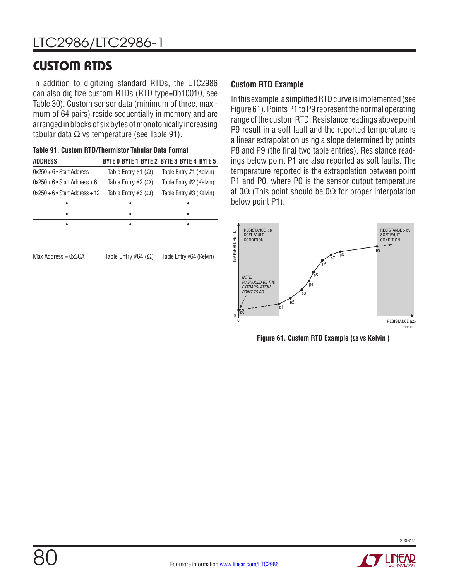## CUSTOM RTDS

In addition to digitizing standard RTDs, the LTC2986 can also digitize custom RTDs (RTD type=0b10010, see Table 30). Custom sensor data (minimum of three, maximum of 64 pairs) reside sequentially in memory and are arranged in blocks of six bytes of monotonically increasing tabular data  $\Omega$  vs temperature (see Table 91).

|                              | BYTE 0 BYTE 1 BYTE 2 BYTE 3 BYTE 4 BYTE 5 |
|------------------------------|-------------------------------------------|
| Table Entry #1 $(\Omega)$    | Table Entry #1 (Kelvin)                   |
| Table Entry #2 $(\Omega)$    | Table Entry #2 (Kelvin)                   |
| Table Entry #3 $(\Omega)$    | Table Entry #3 (Kelvin)                   |
|                              |                                           |
|                              |                                           |
|                              |                                           |
|                              |                                           |
|                              |                                           |
| Table Entry #64 ( $\Omega$ ) | Table Entry #64 (Kelvin)                  |
|                              |                                           |

| Table 91. Custom RTD/Thermistor Tabular Data Format |  |
|-----------------------------------------------------|--|
|-----------------------------------------------------|--|

### **Custom RTD Example**

In this example, a simplified RTD curve is implemented (see Figure 61). Points P1 to P9 represent the normal operating range of the custom RTD. Resistance readings above point P9 result in a soft fault and the reported temperature is a linear extrapolation using a slope determined by points P8 and P9 (the final two table entries). Resistance readings below point P1 are also reported as soft faults. The temperature reported is the extrapolation between point P1 and P0, where P0 is the sensor output temperature at 0 $\Omega$  (This point should be 0 $\Omega$  for proper interpolation below point P1).



**Figure 61. Custom RTD Example (Ω vs Kelvin )**



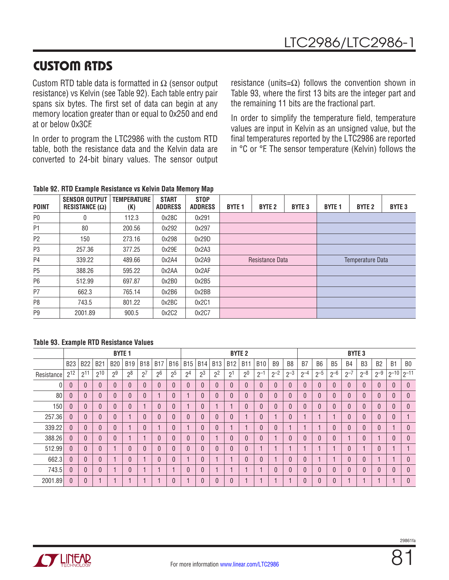## CUSTOM RTDS

Custom RTD table data is formatted in  $\Omega$  (sensor output resistance) vs Kelvin (see Table 92). Each table entry pair spans six bytes. The first set of data can begin at any memory location greater than or equal to 0x250 and end at or below 0x3CF.

In order to program the LTC2986 with the custom RTD table, both the resistance data and the Kelvin data are converted to 24-bit binary values. The sensor output resistance (units= $\Omega$ ) follows the convention shown in Table 93, where the first 13 bits are the integer part and the remaining 11 bits are the fractional part.

In order to simplify the temperature field, temperature values are input in Kelvin as an unsigned value, but the final temperatures reported by the LTC2986 are reported in °C or °F. The sensor temperature (Kelvin) follows the

|  | Table 92. RTD Example Resistance vs Kelvin Data Memory Map |  |  |
|--|------------------------------------------------------------|--|--|
|  |                                                            |  |  |

| <b>POINT</b>   | <b>SENSOR OUTPUT</b><br>RESISTANCE $(\Omega)$ | <b>TEMPERATURE</b><br>(K) | <b>START</b><br><b>ADDRESS</b> | <b>STOP</b><br><b>ADDRESS</b> | <b>BYTE 1</b> | <b>BYTE 2</b>   | <b>BYTE 3</b> | <b>BYTE 1</b> | <b>BYTE 2</b>    | <b>BYTE 3</b> |
|----------------|-----------------------------------------------|---------------------------|--------------------------------|-------------------------------|---------------|-----------------|---------------|---------------|------------------|---------------|
| P <sub>0</sub> | 0                                             | 112.3                     | 0x28C                          | 0x291                         |               |                 |               |               |                  |               |
| P1             | 80                                            | 200.56                    | 0x292                          | 0x297                         |               |                 |               |               |                  |               |
| P <sub>2</sub> | 150                                           | 273.16                    | 0x298                          | 0x29D                         |               |                 |               |               |                  |               |
| P <sub>3</sub> | 257.36                                        | 377.25                    | 0x29E                          | 0x2A3                         |               |                 |               |               |                  |               |
| P <sub>4</sub> | 339.22                                        | 489.66                    | 0x2A4                          | 0x2A9                         |               | Resistance Data |               |               | Temperature Data |               |
| P <sub>5</sub> | 388.26                                        | 595.22                    | 0x2AA                          | 0x2AF                         |               |                 |               |               |                  |               |
| P <sub>6</sub> | 512.99                                        | 697.87                    | 0x2B0                          | 0x2B5                         |               |                 |               |               |                  |               |
| P <sub>7</sub> | 662.3                                         | 765.14                    | 0x2B6                          | 0x2BB                         |               |                 |               |               |                  |               |
| P <sub>8</sub> | 743.5                                         | 801.22                    | 0x2BC                          | 0x2C1                         |               |                 |               |               |                  |               |
| P <sub>9</sub> | 2001.89                                       | 900.5                     | 0x2C2                          | 0x2C7                         |               |                 |               |               |                  |               |

#### **Table 93. Example RTD Resistance Values**

|            |            |              |            | <b>BYTE 1</b>  |                |            |                |                |                |                |                |                | <b>BYTE 2</b>  |            |                |                |                |                |           | <b>BYTE 3</b> |                |                |                     |                |
|------------|------------|--------------|------------|----------------|----------------|------------|----------------|----------------|----------------|----------------|----------------|----------------|----------------|------------|----------------|----------------|----------------|----------------|-----------|---------------|----------------|----------------|---------------------|----------------|
|            | <b>B23</b> | <b>B22</b>   | <b>B21</b> | <b>B20</b>     | <b>B19</b>     | <b>B18</b> | <b>B17</b>     | <b>B16</b>     | <b>B15</b>     | <b>B14</b>     | <b>B13</b>     | <b>B12</b>     | <b>B11</b>     | <b>B10</b> | B <sub>9</sub> | B <sub>8</sub> | B <sub>7</sub> | B <sub>6</sub> | <b>B5</b> | <b>B4</b>     | B <sub>3</sub> | B <sub>2</sub> | B <sub>1</sub>      | B <sub>0</sub> |
| Resistance | $2^{12}$   | $2^{11}$     | $2^{10}$   | 2 <sup>9</sup> | 2 <sup>8</sup> | $2^7$      | 2 <sup>6</sup> | 2 <sup>5</sup> | 2 <sup>4</sup> | 2 <sup>3</sup> | 2 <sup>2</sup> | 2 <sup>1</sup> | 2 <sup>0</sup> | $2^{-1}$   | $2^{-2}$       | $2^{-3}$       | $2^{-4}$       | $2^{-5}$       | $2^{-6}$  | $2^{-7}$      | $2^{-8}$       | $2^{-9}$       | $2^{-10}$ $2^{-11}$ |                |
|            | $\theta$   | $\theta$     | 0          | $\mathbf{0}$   |                | $\Omega$   | $\Omega$       | $\Omega$       | $\theta$       | $\overline{0}$ | $\Omega$       | $\theta$       | $\Omega$       | $\theta$   | $\theta$       | $\mathbf{0}$   | $\mathbf{0}$   | $\mathbf{0}$   | $\Omega$  | $\Omega$      | $\Omega$       | $\Omega$       | $\theta$            | $\theta$       |
| 80         | $\Omega$   | $\mathbf{0}$ | 0          | 0              |                |            |                | $\Omega$       |                | $\overline{0}$ |                | $\Omega$       | $\Omega$       | $\theta$   | $\Omega$       | $\mathbf{0}$   | $\Omega$       |                |           | $\Omega$      | $\Omega$       | $\Omega$       | $\mathbf{0}$        | $\theta$       |
| 150        | $\theta$   | $\mathbf{0}$ | 0          | 0              |                |            | $\mathbf{0}$   | $\mathbf{0}$   |                | $\overline{0}$ |                |                | $\Omega$       | $\theta$   | $\mathbf{0}$   | $\mathbf{0}$   | $\mathbf{0}$   |                |           | $\theta$      | $\Omega$       | $\theta$       | $\theta$            | $\theta$       |
| 257.36     | $\theta$   | $\theta$     | 0          | 0              |                |            | $\Omega$       | $\mathbf{0}$   | $\theta$       | $\mathbf{0}$   |                | $\Omega$       |                | $\theta$   |                | $\theta$       |                |                |           | $\Omega$      | $\Omega$       | $\mathbf{0}$   | $\theta$            |                |
| 339.22     | $\theta$   | $\theta$     | 0          | 0              |                |            |                | $\mathbf{0}$   |                | $\overline{0}$ |                |                |                | $\theta$   | $\Omega$       |                |                |                |           | $\theta$      | $\Omega$       | $\Omega$       |                     | $\mathbf{0}$   |
| 388.26     | $\theta$   | $\mathbf{0}$ |            | 0              |                |            | $\Omega$       | 0              | $\mathbf{0}$   | $\Omega$       |                | $\Omega$       | $\Omega$       | $\theta$   |                | $\mathbf{0}$   | $\Omega$       |                |           |               | $\Omega$       |                | $\theta$            | $\mathbf{0}$   |
| 512.99     | $\Omega$   | $\mathbf{0}$ | $\Omega$   |                | $\Omega$       |            | $\Omega$       | $\Omega$       | $\theta$       | $\Omega$       |                | $\Omega$       | $\Omega$       |            |                |                |                |                |           | $\Omega$      |                | $\Omega$       |                     |                |
| 662.3      | $\Omega$   | $\theta$     | 0          |                | $\Omega$       |            | $\Omega$       | 0              |                | $\Omega$       |                |                | $\Omega$       | $\Omega$   |                | $\mathbf{0}$   | $\Omega$       |                |           | $\Omega$      | $\Omega$       |                |                     | $\theta$       |
| 743.5      | $\theta$   | $\theta$     | 0          |                | $\Omega$       |            |                |                | $\theta$       | $\overline{0}$ |                |                |                |            | $\Omega$       | $\mathbf{0}$   | $\mathbf{0}$   | 0              |           | $\Omega$      | $\Omega$       | $\Omega$       | $\theta$            | $\mathbf{0}$   |
| 2001.89    | 0          | $\theta$     |            |                |                |            |                | 0              |                | $\Omega$       |                |                |                |            |                |                | $\Omega$       |                |           |               |                |                |                     | $\Omega$       |

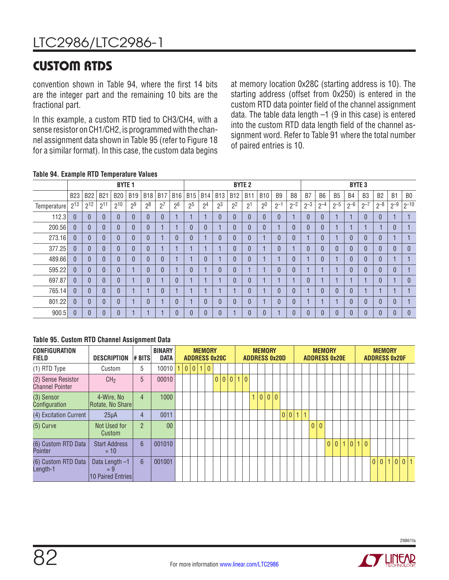# CUSTOM RTDS

convention shown in Table 94, where the first 14 bits are the integer part and the remaining 10 bits are the fractional part.

In this example, a custom RTD tied to CH3/CH4, with a sense resistor on CH1/CH2, is programmed with the channel assignment data shown in Table 95 (refer to Figure 18 for a similar format). In this case, the custom data begins

at memory location 0x28C (starting address is 10). The starting address (offset from 0x250) is entered in the custom RTD data pointer field of the channel assignment data. The table data length  $-1$  (9 in this case) is entered into the custom RTD data length field of the channel assignment word. Refer to Table 91 where the total number of paired entries is 10.

### **Table 94. Example RTD Temperature Values**

|             |              |                |            | <b>BYTE 1</b> |                |                |            |                |                |                |                |                | <b>BYTE 2</b>  |                |                |          |                |                |                | <b>BYTE 3</b> |                |                |                |                |
|-------------|--------------|----------------|------------|---------------|----------------|----------------|------------|----------------|----------------|----------------|----------------|----------------|----------------|----------------|----------------|----------|----------------|----------------|----------------|---------------|----------------|----------------|----------------|----------------|
|             | <b>B23</b>   | <b>B22</b>     | <b>B21</b> | <b>B20</b>    | <b>B19</b>     | <b>B18</b>     | <b>B17</b> | <b>B16</b>     | <b>B15</b>     | <b>B14</b>     | <b>B13</b>     | <b>B12</b>     | <b>B11</b>     | <b>B10</b>     | B <sub>9</sub> | B8       | B <sub>7</sub> | B <sub>6</sub> | B <sub>5</sub> | <b>B4</b>     | B <sub>3</sub> | B <sub>2</sub> | B <sub>1</sub> | B <sub>0</sub> |
| Temperature | $2^{13}$     | $2^{12}$       | $2^{11}$   | $2^{10}$      | 2 <sup>9</sup> | 2 <sup>8</sup> | $2^7$      | 2 <sup>6</sup> | 2 <sup>5</sup> | 2 <sup>4</sup> | 2 <sup>3</sup> | 2 <sup>2</sup> | 2 <sup>1</sup> | 2 <sup>0</sup> | $2^{-}$        | $2^{-2}$ | $2^{-3}$       | $2^{-4}$       | $2^{-5}$       | $2^{-6}$      | $2 - 7$        | $2 - 8$        | $2^{-9}$       | $ 2^{-10} $    |
| 112.3       | $\theta$     | $\overline{0}$ |            | $\mathbf{0}$  | $\Omega$       | $\overline{0}$ | $\theta$   |                |                |                | $\overline{0}$ | $\theta$       | $\overline{0}$ | $\overline{0}$ | $\overline{0}$ |          | $\sqrt{ }$     | $\mathbf{0}$   |                |               | $\mathbf{0}$   | $\overline{0}$ |                |                |
| 200.56      | $\mathbf{0}$ | $\overline{0}$ |            | $\Omega$      | $\Omega$       | $\overline{0}$ |            |                | $\Omega$       | C              |                | $\theta$       | $\theta$       | 0              |                |          | $\sqrt{ }$     | $\overline{0}$ |                |               |                |                | $\theta$       |                |
| 273.16      | $\mathbf{0}$ | 0              |            | $\mathbf{0}$  | $\overline{0}$ | $\theta$       |            | 0              |                |                | 0              | $\theta$       | $\theta$       |                | $\overline{0}$ |          |                | $\mathbf{0}$   |                | 0             | $\Omega$       | $\sqrt{ }$     | н              |                |
| 377.25      | $\mathbf{0}$ | $\overline{0}$ |            | $\Omega$      | $\sqrt{ }$     | $\overline{0}$ |            |                |                |                |                | 0              | $\mathbf{0}$   |                | 0              |          | $\sqrt{ }$     | $\mathbf{0}$   | $\Omega$       | 0             | $\Omega$       | ſ              | $\theta$       | $\overline{0}$ |
| 489.66      | $\mathbf{0}$ | $\overline{0}$ |            | $\theta$      | $\Omega$       | $\Omega$       | $\theta$   |                |                | $\Omega$       |                | $\Omega$       | $\theta$       |                |                |          |                | $\overline{0}$ |                | $\mathbf{0}$  | $\theta$       | $\Omega$       | н              |                |
| 595.22      | $\mathbf{0}$ | 0              |            | $\Omega$      |                | $\theta$       | $\theta$   |                |                |                | $\mathbf{0}$   | $\theta$       |                |                | 0              |          |                | н              |                | 0             | $\theta$       | $\Omega$       | $\theta$       |                |
| 697.87      | $\Omega$     | $\mathbf{0}$   |            | $\Omega$      |                | $\overline{0}$ |            | $\Omega$       |                |                |                |                | $\mathbf{0}$   |                |                |          | $\sqrt{ }$     | в              |                |               |                | $\Omega$       | н              | $\mathbf{0}$   |
| 765.14      | $\mathbf{0}$ | 0              |            | $\theta$      |                |                | $\theta$   |                |                |                |                |                | $\theta$       |                | 0              |          |                | $\mathbf{0}$   | 0              | 0             |                |                |                |                |
| 801.22      | $\mathbf{0}$ | $\mathbf{0}$   |            |               |                | $\theta$       |            | 0              |                |                | $\mathbf{0}$   |                | $\mathbf{0}$   |                | 0              |          |                | в              |                | 0             |                | ſ              | $\mathbf{0}$   |                |
| 900.5       | $\mathbf{0}$ | $\Omega$       |            |               |                |                |            | 0              |                |                | 0              |                | $\mathbf{0}$   | 0              |                |          | C              | $\theta$       |                | 0             |                |                | 0              | 0              |

### **Table 95. Custom RTD Channel Assignment Data**

| <b>CONFIGURATION</b><br><b>FIELD</b>         | <b>DESCRIPTION</b>                           | # BITS           | <b>BINARY</b><br><b>DATA</b> |  | <b>ADDRESS 0x20C</b> | <b>MEMORY</b> |       |  |     | <b>ADDRESS 0x20D</b> |    | <b>MEMORY</b> |  |     |              |              |          | <b>MEMORY</b><br><b>ADDRESS 0x20E</b> |   |         |  |  | <b>MEMORY</b> |  | <b>ADDRESS 0x20F</b> |  |
|----------------------------------------------|----------------------------------------------|------------------|------------------------------|--|----------------------|---------------|-------|--|-----|----------------------|----|---------------|--|-----|--------------|--------------|----------|---------------------------------------|---|---------|--|--|---------------|--|----------------------|--|
| (1) RTD Type                                 | Custom                                       | 5                | 10010                        |  | 0 0 1 0              |               |       |  |     |                      |    |               |  |     |              |              |          |                                       |   |         |  |  |               |  |                      |  |
| (2) Sense Resistor<br><b>Channel Pointer</b> | CH <sub>2</sub>                              | 5                | 00010                        |  |                      |               | 0 0 0 |  | 1 0 |                      |    |               |  |     |              |              |          |                                       |   |         |  |  |               |  |                      |  |
| (3) Sensor<br>Configuration                  | 4-Wire, No<br>Rotate, No Share               | 4                | 1000                         |  |                      |               |       |  |     |                      | 1. | 0 0 0         |  |     |              |              |          |                                       |   |         |  |  |               |  |                      |  |
| (4) Excitation Current                       | $25\mu A$                                    | 4                | 0011                         |  |                      |               |       |  |     |                      |    |               |  | 0 0 | $\mathbf{1}$ |              |          |                                       |   |         |  |  |               |  |                      |  |
| $(5)$ Curve                                  | Not Used for<br>Custom                       | $\mathfrak{p}$   | 0 <sub>0</sub>               |  |                      |               |       |  |     |                      |    |               |  |     |              | $\mathbf{0}$ | $\Omega$ |                                       |   |         |  |  |               |  |                      |  |
| (6) Custom RTD Data<br>Pointer               | <b>Start Address</b><br>$= 10$               | $6\overline{6}$  | 001010                       |  |                      |               |       |  |     |                      |    |               |  |     |              |              |          | $\overline{0}$                        | 0 | 1 0 1 0 |  |  |               |  |                      |  |
| (6) Custom RTD Data<br>Length-1              | Data Length -1<br>$= 9$<br>10 Paired Entries | $6 \overline{6}$ | 001001                       |  |                      |               |       |  |     |                      |    |               |  |     |              |              |          |                                       |   |         |  |  | 0 0 1         |  |                      |  |

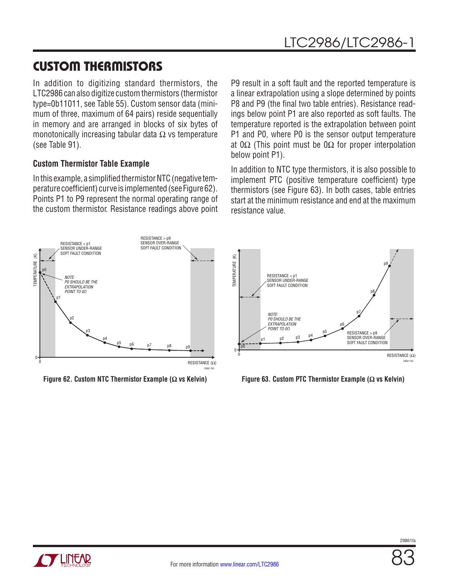In addition to digitizing standard thermistors, the LTC2986 can also digitize custom thermistors (thermistor type=0b11011, see Table 55). Custom sensor data (minimum of three, maximum of 64 pairs) reside sequentially in memory and are arranged in blocks of six bytes of monotonically increasing tabular data  $\Omega$  vs temperature (see Table 91).

### **Custom Thermistor Table Example**

In this example, a simplified thermistor NTC (negative temperature coefficient) curve is implemented (see Figure 62). Points P1 to P9 represent the normal operating range of the custom thermistor. Resistance readings above point P9 result in a soft fault and the reported temperature is a linear extrapolation using a slope determined by points P8 and P9 (the final two table entries). Resistance readings below point P1 are also reported as soft faults. The temperature reported is the extrapolation between point P1 and P0, where P0 is the sensor output temperature at 0Ω (This point must be 0Ω for proper interpolation below point P1).

In addition to NTC type thermistors, it is also possible to implement PTC (positive temperature coefficient) type thermistors (see Figure 63). In both cases, table entries start at the minimum resistance and end at the maximum resistance value.





**Figure 62. Custom NTC Thermistor Example (Ω vs Kelvin) Figure 63. Custom PTC Thermistor Example (Ω vs Kelvin)**

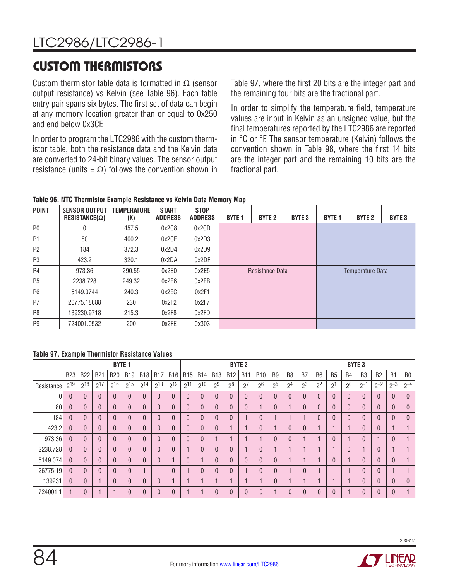Custom thermistor table data is formatted in  $\Omega$  (sensor output resistance) vs Kelvin (see Table 96). Each table entry pair spans six bytes. The first set of data can begin at any memory location greater than or equal to 0x250 and end below 0x3CF.

In order to program the LTC2986 with the custom thermistor table, both the resistance data and the Kelvin data are converted to 24-bit binary values. The sensor output resistance (units =  $\Omega$ ) follows the convention shown in Table 97, where the first 20 bits are the integer part and the remaining four bits are the fractional part.

In order to simplify the temperature field, temperature values are input in Kelvin as an unsigned value, but the final temperatures reported by the LTC2986 are reported in °C or °F. The sensor temperature (Kelvin) follows the convention shown in Table 98, where the first 14 bits are the integer part and the remaining 10 bits are the fractional part.

**Table 96. NTC Thermistor Example Resistance vs Kelvin Data Memory Map**

| <b>POINT</b>   | <b>SENSOR OUTPUT</b><br>$RESISTANCE(\Omega)$ | <b>TEMPERATURE</b><br>(K) | <b>START</b><br><b>ADDRESS</b> | <b>STOP</b><br><b>ADDRESS</b> | <b>BYTE 1</b> | <b>BYTE 2</b>   | <b>BYTE 3</b> | <b>BYTE 1</b> | <b>BYTE 2</b>           | <b>BYTE 3</b> |
|----------------|----------------------------------------------|---------------------------|--------------------------------|-------------------------------|---------------|-----------------|---------------|---------------|-------------------------|---------------|
| P <sub>0</sub> | 0                                            | 457.5                     | 0x2C8                          | 0x2CD                         |               |                 |               |               |                         |               |
| P1             | 80                                           | 400.2                     | 0x2CE                          | 0x2D3                         |               |                 |               |               |                         |               |
| P <sub>2</sub> | 184                                          | 372.3                     | 0x2D4                          | 0x2D9                         |               |                 |               |               |                         |               |
| P <sub>3</sub> | 423.2                                        | 320.1                     | 0x2DA                          | 0x2DF                         |               |                 |               |               |                         |               |
| P4             | 973.36                                       | 290.55                    | 0x2E0                          | 0x2E5                         |               | Resistance Data |               |               | <b>Temperature Data</b> |               |
| P <sub>5</sub> | 2238.728                                     | 249.32                    | 0x2E6                          | 0x2EB                         |               |                 |               |               |                         |               |
| P <sub>6</sub> | 5149.0744                                    | 240.3                     | 0x2EC                          | 0x2F1                         |               |                 |               |               |                         |               |
| P7             | 26775.18688                                  | 230                       | 0x2F2                          | 0x2F7                         |               |                 |               |               |                         |               |
| P8             | 139230.9718                                  | 215.3                     | 0x2F8                          | 0x2FD                         |               |                 |               |               |                         |               |
| P <sub>9</sub> | 724001.0532                                  | 200                       | 0x2FE                          | 0x303                         |               |                 |               |               |                         |               |

### **Table 97. Example Thermistor Resistance Values**

|            |              |              |                | <b>BYTE 1</b>  |            |            |              |            |              |              |                |                | <b>BYTE 2</b>  |                |                |                |                |                |                | <b>BYTE 3</b>  |                |                |                |                |
|------------|--------------|--------------|----------------|----------------|------------|------------|--------------|------------|--------------|--------------|----------------|----------------|----------------|----------------|----------------|----------------|----------------|----------------|----------------|----------------|----------------|----------------|----------------|----------------|
|            | <b>B23</b>   | <b>B22</b>   | <b>B21</b>     | <b>B20</b>     | <b>B19</b> | <b>B18</b> | <b>B17</b>   | <b>B16</b> | <b>B15</b>   | <b>B14</b>   | <b>B13</b>     | <b>B12</b>     | <b>B11</b>     | <b>B10</b>     | B <sub>9</sub> | B <sub>8</sub> | B <sub>7</sub> | B <sub>6</sub> | B <sub>5</sub> | <b>B4</b>      | B <sub>3</sub> | B <sub>2</sub> | B <sub>1</sub> | B <sub>0</sub> |
| Resistance | $2^{19}$     | $2^{18}$     | $2^{17}$       | $2^{16}$       | $2^{15}$   | $2^{14}$   | $2^{13}$     | $2^{12}$   | $2^{11}$     | $2^{10}$     | 2 <sup>9</sup> | 2 <sup>8</sup> | 2 <sup>7</sup> | 2 <sup>6</sup> | 2 <sup>5</sup> | 2 <sup>4</sup> | 2 <sup>3</sup> | 2 <sup>2</sup> | 2 <sup>1</sup> | 2 <sup>0</sup> | $2^{-1}$       | $2^{-2}$       | $2^{-3}$       | $2^{-4}$       |
| Λ          | $\theta$     | $\Omega$     | $\theta$       | $\mathbf{0}$   | 0          |            | $\theta$     | $\theta$   | $\mathbf{0}$ | $\theta$     |                | $\Omega$       | $\theta$       | $\theta$       | $\theta$       | $\theta$       | 0              |                |                | $\theta$       | $\Omega$       | $\Omega$       | $\theta$       | $\mathbf{0}$   |
| 80         | $\Omega$     | $\theta$     | $\overline{0}$ | $\overline{0}$ |            |            | $\mathbf{0}$ | $\theta$   | $\mathbf{0}$ | $\Omega$     |                |                | $\theta$       |                | $\theta$       |                | 0              |                |                | $\Omega$       | $\Omega$       | $\Omega$       | $\overline{0}$ | $\mathbf{0}$   |
| 184        | $\mathbf{0}$ | $\theta$     | $\overline{0}$ | $\overline{0}$ | 0          |            | $\Omega$     | $\theta$   | $\mathbf{0}$ | $\Omega$     |                |                |                | $\theta$       |                |                |                |                |                | $\Omega$       | $\Omega$       | $\theta$       | $\theta$       | $\mathbf{0}$   |
| 423.2      | $\mathbf{0}$ | $\mathbf{0}$ | $\mathbf{0}$   | 0              | 0          |            | $\Omega$     | $\theta$   | $\mathbf{0}$ | $\mathbf{0}$ | 0              |                |                | $\theta$       |                | $\overline{0}$ | 0              |                |                |                | $\Omega$       | $\mathbf{0}$   |                |                |
| 973.36     | $\mathbf{0}$ | $\theta$     | $\Omega$       | 0              | 0          |            | $\Omega$     | $\theta$   | $\mathbf{0}$ | $\Omega$     |                |                |                |                | $\theta$       | $\theta$       |                |                |                |                | $\Omega$       |                | $\mathbf{0}$   |                |
| 2238.728   | $\Omega$     | $\mathbf{0}$ | $\Omega$       | $\Omega$       | 0          |            | $\Omega$     | $\Omega$   | и            | $\Omega$     | 0              |                |                | $\Omega$       |                |                |                |                |                | $\Omega$       |                | $\Omega$       |                |                |
| 5149.074   | $\Omega$     | $\Omega$     | $\Omega$       | $\theta$       | 0          |            | $\Omega$     |            | $\theta$     |              | $\Omega$       |                | $\Omega$       | $\Omega$       | $\Omega$       |                |                |                |                |                | $\Omega$       | $\Omega$       | $\Omega$       |                |
| 26775.19   | $\Omega$     | $\Omega$     | $\theta$       | $\overline{0}$ | 0          |            |              | $\Omega$   | и            |              | 0              |                |                | $\Omega$       | $\theta$       |                | $\overline{0}$ |                |                |                | $\Omega$       | $\Omega$       |                |                |
| 139231     | $\theta$     | $\theta$     |                | $\Omega$       | 0          |            | $\Omega$     |            |              |              |                |                |                |                | $\theta$       |                |                |                |                |                | $\Omega$       | $\Omega$       | $\theta$       | $\mathbf{0}$   |
| 724001.1   |              | $\mathbf{0}$ |                |                | n          |            |              | $\theta$   |              |              | 0              |                | $\theta$       | $\sqrt{ }$     |                | $\mathbf{0}$   |                | 0              |                |                | $\Omega$       | $\mathbf{0}$   | 0              |                |

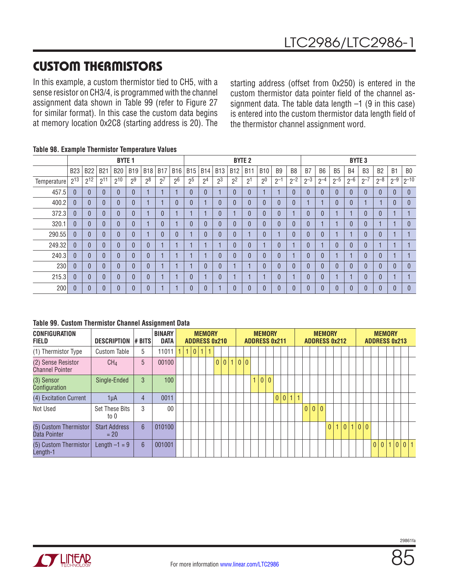In this example, a custom thermistor tied to CH5, with a sense resistor on CH3/4, is programmed with the channel assignment data shown in Table 99 (refer to Figure 27 for similar format). In this case the custom data begins at memory location 0x2C8 (starting address is 20). The

starting address (offset from 0x250) is entered in the custom thermistor data pointer field of the channel assignment data. The table data length  $-1$  (9 in this case) is entered into the custom thermistor data length field of the thermistor channel assignment word.

|             |              |              |            | <b>BYTE 1</b> |                |                |                |                |                |                |                |                | <b>BYTE 2</b>  |                |                |                |              |                |                |                | <b>BYTE 3</b>  |                |                |                |
|-------------|--------------|--------------|------------|---------------|----------------|----------------|----------------|----------------|----------------|----------------|----------------|----------------|----------------|----------------|----------------|----------------|--------------|----------------|----------------|----------------|----------------|----------------|----------------|----------------|
|             | <b>B23</b>   | <b>B22</b>   | <b>B21</b> | <b>B20</b>    | <b>B19</b>     | <b>B18</b>     | <b>B17</b>     | <b>B16</b>     | <b>B15</b>     | <b>B14</b>     | <b>B13</b>     | <b>B12</b>     | <b>B11</b>     | <b>B10</b>     | B <sub>9</sub> | B <sub>8</sub> | B7           | B <sub>6</sub> | B <sub>5</sub> | B4             | B <sub>3</sub> | B <sub>2</sub> | B <sub>1</sub> | B <sub>0</sub> |
| Temperature | $2^{13}$     | $2^{12}$     | $2^{11}$   | $2^{10}$      | 2 <sup>9</sup> | 2 <sup>8</sup> | 2 <sup>7</sup> | 2 <sup>6</sup> | 2 <sup>5</sup> | 2 <sup>4</sup> | 2 <sup>3</sup> | 2 <sup>2</sup> | 2 <sup>1</sup> | 2 <sup>0</sup> | $2^{-1}$       | $2^{-2}$       | $2^{-3}$     | $2^{-4}$       | $2^{-5}$       | $2 - 6$        | $2^{-7}$       | $2^{-8}$       | $2^{-9}$       | $2^{-10}$      |
| 457.5       | $\mathbf{0}$ |              | $\theta$   | $\theta$      | $\theta$       | и              |                |                |                | $\mathbf{0}$   |                | $\theta$       | $\overline{0}$ |                |                |                | $\theta$     | $\theta$       | $\theta$       | $\mathbf{0}$   | $\Omega$       | $\Omega$       | $\theta$       | $\theta$       |
| 400.2       | $\mathbf{0}$ |              | $\theta$   | $\theta$      | $\theta$       |                |                | 0              |                |                | $\mathbf{0}$   | $\theta$       | $\overline{0}$ | 0              | 0              |                |              |                | $\theta$       | $\mathbf{0}$   |                |                | $\overline{0}$ | $\theta$       |
| 372.3       | $\mathbf{0}$ |              |            | $\mathbf{0}$  | $\mathbf{0}$   | и              | $\mathbf{0}$   |                |                |                | $\overline{0}$ |                | $\overline{0}$ | 0              | 0              |                |              | $\theta$       |                | и              | 0              |                |                |                |
| 320.1       | $\mathbf{0}$ |              | $\Omega$   | $\mathbf{0}$  | 0              |                | $\mathbf{0}$   |                |                | ſ              | $\theta$       | $\Omega$       | $\overline{0}$ |                | 0              |                | $\theta$     |                |                | 0              | 0              |                |                | $\mathbf{0}$   |
| 290.55      | $\mathbf{0}$ |              | $\Omega$   | $\mathbf{0}$  | 0              | н              | $\mathbf{0}$   | $\overline{0}$ |                | ſ              | $\theta$       | $\Omega$       |                | $\overline{0}$ |                |                | $\theta$     | $\theta$       |                |                | 0              |                | н              |                |
| 249.32      | $\mathbf{0}$ | $\mathbf{0}$ | $\Omega$   | $\Omega$      | $\Omega$       | $\overline{0}$ | н              |                |                |                |                | $\Omega$       | $\overline{0}$ |                | $\overline{0}$ |                | $\theta$     |                | $\Omega$       | $\overline{0}$ | $\overline{0}$ |                |                |                |
| 240.3       | 0            |              | $\Omega$   | $\theta$      | $\Omega$       | $\theta$       |                |                |                |                | $\theta$       | $\Omega$       | $\theta$       | $\Omega$       | 0              |                | $\theta$     | $\theta$       |                |                | 0              |                |                |                |
| 230         | $\theta$     |              | $\Omega$   | $\mathbf{0}$  | $\Omega$       | $\theta$       |                |                |                | $\Omega$       | $\theta$       |                |                | $\Omega$       | 0              |                | $\Omega$     | $\theta$       | $\Omega$       | $\mathbf{0}$   | 0              |                | $\Omega$       | $\mathbf{0}$   |
| 215.3       | 0            |              | $\theta$   | $\theta$      | $\theta$       | $\overline{0}$ |                |                |                |                | $\theta$       |                |                |                | 0              |                | $\theta$     | $\theta$       |                |                | 0              |                |                |                |
| 200         | $\mathbf{0}$ |              |            | $\mathbf{0}$  | $\Omega$       | $\mathbf{0}$   |                |                |                | C              |                | $\Omega$       | $\overline{0}$ |                | 0              |                | $\mathbf{0}$ | $\mathbf{0}$   |                | $\Omega$       | 0              |                | $\Omega$       | $\mathbf{0}$   |

### **Table 98. Example Thermistor Temperature Values**

#### **Table 99. Custom Thermistor Channel Assignment Data**

| <b>CONFIGURATION</b><br><b>FIELD</b>         | <b>DESCRIPTION # BITS</b>      |               | <b>BINARY</b><br><b>DATA</b> | <b>ADDRESS 0x210</b> | <b>MEMORY</b>        |                |  |           |   | <b>MEMORY</b>   |                | <b>ADDRESS 0x211</b> |  |   |     | <b>MEMORY</b><br><b>ADDRESS 0x212</b> |              |                |       |              | <b>MEMORY</b><br><b>ADDRESS 0x213</b> |  |       |  |
|----------------------------------------------|--------------------------------|---------------|------------------------------|----------------------|----------------------|----------------|--|-----------|---|-----------------|----------------|----------------------|--|---|-----|---------------------------------------|--------------|----------------|-------|--------------|---------------------------------------|--|-------|--|
| (1) Thermistor Type                          | <b>Custom Table</b>            | 5             | 11011                        | 1                    | 0 <br>$\overline{1}$ | $\overline{1}$ |  |           |   |                 |                |                      |  |   |     |                                       |              |                |       |              |                                       |  |       |  |
| (2) Sense Resistor<br><b>Channel Pointer</b> | CH <sub>4</sub>                | 5             | 00100                        |                      |                      |                |  | 0 0 1 0 0 |   |                 |                |                      |  |   |     |                                       |              |                |       |              |                                       |  |       |  |
| (3) Sensor<br>Configuration                  | Single-Ended                   | $\mathcal{S}$ | 100                          |                      |                      |                |  |           | 1 | 10 <sup>1</sup> | $\overline{0}$ |                      |  |   |     |                                       |              |                |       |              |                                       |  |       |  |
| (4) Excitation Current                       | 1µA                            | 4             | 0011                         |                      |                      |                |  |           |   |                 |                | 0 0 1 1              |  |   |     |                                       |              |                |       |              |                                       |  |       |  |
| Not Used                                     | <b>Set These Bits</b><br>to 0  | 3             | 0 <sub>0</sub>               |                      |                      |                |  |           |   |                 |                |                      |  | 0 | 0 0 |                                       |              |                |       |              |                                       |  |       |  |
| (5) Custom Thermistor<br>Data Pointer        | <b>Start Address</b><br>$= 20$ | 6             | 010100                       |                      |                      |                |  |           |   |                 |                |                      |  |   |     | $\overline{0}$                        | $\mathbf{1}$ | $\overline{0}$ | 1 0 0 |              |                                       |  |       |  |
| (5) Custom Thermistor<br>Length-1            | Length $-1 = 9$                | 6             | 001001                       |                      |                      |                |  |           |   |                 |                |                      |  |   |     |                                       |              |                |       | $\mathbf{0}$ | 0 <sup>1</sup>                        |  | 0 0 1 |  |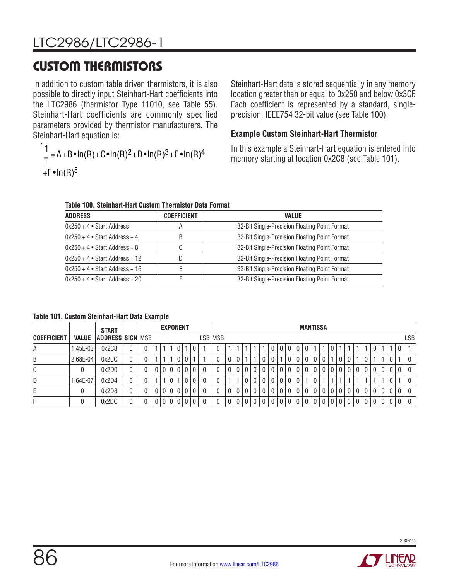In addition to custom table driven thermistors, it is also possible to directly input Steinhart-Hart coefficients into the LTC2986 (thermistor Type 11010, see Table 55). Steinhart-Hart coefficients are commonly specified parameters provided by thermistor manufacturers. The Steinhart-Hart equation is:

$$
\frac{1}{T} = A + B \cdot \ln(R) + C \cdot \ln(R)^2 + D \cdot \ln(R)^3 + E \cdot \ln(R)^4
$$
  
+F \cdot \ln(R)^5

Steinhart-Hart data is stored sequentially in any memory location greater than or equal to 0x250 and below 0x3CF. Each coefficient is represented by a standard, singleprecision, IEEE754 32-bit value (see Table 100).

### **Example Custom Steinhart-Hart Thermistor**

In this example a Steinhart-Hart equation is entered into memory starting at location 0x2C8 (see Table 101).

**Table 100. Steinhart-Hart Custom Thermistor Data Format**

| <b>ADDRESS</b>                   | <b>COEFFICIENT</b> | <b>VALUE</b>                                  |
|----------------------------------|--------------------|-----------------------------------------------|
| $0x250 + 4$ • Start Address      |                    | 32-Bit Single-Precision Floating Point Format |
| $0x250 + 4$ • Start Address + 4  |                    | 32-Bit Single-Precision Floating Point Format |
| $0x250 + 4$ • Start Address + 8  |                    | 32-Bit Single-Precision Floating Point Format |
| $0x250 + 4$ • Start Address + 12 |                    | 32-Bit Single-Precision Floating Point Format |
| $0x250 + 4$ • Start Address + 16 |                    | 32-Bit Single-Precision Floating Point Format |
| $0x250 + 4$ • Start Address + 20 |                    | 32-Bit Single-Precision Floating Point Format |

**Table 101. Custom Steinhart-Hart Data Example**

|                    |            | <b>EXPONENT</b><br><b>START</b> |  |  |  |     |   | <b>MANTISSA</b> |                                                      |              |         |  |                |     |  |             |   |   |             |             |  |                |             |              |                |             |                |                |              |                |     |
|--------------------|------------|---------------------------------|--|--|--|-----|---|-----------------|------------------------------------------------------|--------------|---------|--|----------------|-----|--|-------------|---|---|-------------|-------------|--|----------------|-------------|--------------|----------------|-------------|----------------|----------------|--------------|----------------|-----|
| <b>COEFFICIENT</b> | VALUE      | <b>ADDRESS SIGN MSB</b>         |  |  |  |     |   |                 |                                                      |              | LSB MSB |  |                |     |  |             |   |   |             |             |  |                |             |              |                |             |                |                |              |                | LSB |
| А                  | $1.45E-03$ | 0x2C8                           |  |  |  |     |   | 0               |                                                      | 0            |         |  |                |     |  |             |   | 0 | 0           | $\mathbf 0$ |  |                |             |              |                |             |                |                |              | $\overline{0}$ |     |
| Β                  | 2.68E-04   | 0x2CC                           |  |  |  |     |   | 0               | 0                                                    |              |         |  |                |     |  | 0           |   |   | 0           | $\mathbf 0$ |  | 0              |             |              | $\overline{0}$ |             | 0              |                |              |                |     |
| C                  |            | 0x2D0                           |  |  |  |     |   |                 | 000                                                  | 0            |         |  |                |     |  |             |   |   | 0           | 0           |  |                |             |              | $\overline{0}$ | 0           | 0              | $\mathbf 0$    |              | 0              |     |
| D                  | 1.64E-07   | 0x2D4                           |  |  |  |     |   |                 |                                                      | 0            |         |  |                |     |  |             |   | 0 | 0           | 0           |  |                |             |              |                |             |                |                |              |                |     |
| Ε                  |            | 0x2D8                           |  |  |  | 0 0 |   |                 | $\begin{array}{c c} 0 & 0 & 0 \\ \hline \end{array}$ | $\mathbf{0}$ |         |  | 0 <sup>1</sup> | 0 I |  | $\mathbf 0$ | 0 | 0 | $\mathbf 0$ | $\mathbf 0$ |  | 0 <sup>1</sup> | $\mathbf 0$ | $\mathbf{0}$ | 0 <sup>1</sup> | $\mathbf 0$ | $\overline{0}$ | 0 <sup>1</sup> | $\mathbf{0}$ | l 0            | - 0 |
|                    |            | 0x2DC                           |  |  |  |     | 0 | $\mathbf 0$     | l 0                                                  | 0            |         |  | $\overline{0}$ |     |  |             |   |   |             | 0           |  |                |             |              |                | 0           | 0              |                |              | i 0            |     |

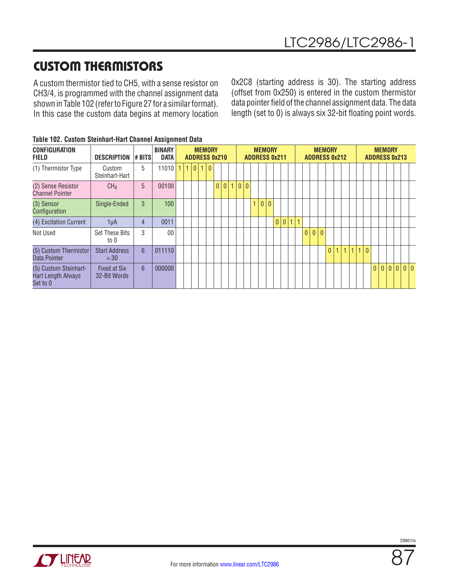A custom thermistor tied to CH5, with a sense resistor on CH3/4, is programmed with the channel assignment data shown in Table 102 (refer to Figure 27 for a similar format). In this case the custom data begins at memory location 0x2C8 (starting address is 30). The starting address (offset from 0x250) is entered in the custom thermistor data pointer field of the channel assignment data. The data length (set to 0) is always six 32-bit floating point words.

| <b>CONFIGURATION</b><br><b>FIELD</b>                           | <b>DESCRIPTION</b>             | <b>#BITS</b>   | <b>BINARY</b><br><b>DATA</b> |    |     |              | <b>MEMORY</b> | <b>ADDRESS 0x210</b> |  |    |   |   | <b>MEMORY</b><br><b>ADDRESS 0x211</b> |       |                 |              |     | <b>MEMORY</b><br><b>ADDRESS 0x212</b> |  |                |                |     | <b>MEMORY</b><br><b>ADDRESS 0x213</b> |  |  |  |
|----------------------------------------------------------------|--------------------------------|----------------|------------------------------|----|-----|--------------|---------------|----------------------|--|----|---|---|---------------------------------------|-------|-----------------|--------------|-----|---------------------------------------|--|----------------|----------------|-----|---------------------------------------|--|--|--|
| (1) Thermistor Type                                            | Custom<br>Steinhart-Hart       | 5              | 11010                        | 1. | 1 0 | $\mathbf{1}$ | $\mathbf{0}$  |                      |  |    |   |   |                                       |       |                 |              |     |                                       |  |                |                |     |                                       |  |  |  |
| (2) Sense Resistor<br><b>Channel Pointer</b>                   | CH <sub>4</sub>                | 5              | 00100                        |    |     |              |               | 0 0 1 0              |  | 10 |   |   |                                       |       |                 |              |     |                                       |  |                |                |     |                                       |  |  |  |
| (3) Sensor<br>Configuration                                    | Single-Ended                   | 3              | 100                          |    |     |              |               |                      |  |    | 1 | 0 | $\overline{0}$                        |       |                 |              |     |                                       |  |                |                |     |                                       |  |  |  |
| (4) Excitation Current                                         | 1uA                            | $\overline{4}$ | 0011                         |    |     |              |               |                      |  |    |   |   |                                       | 0 0 1 | $\overline{11}$ |              |     |                                       |  |                |                |     |                                       |  |  |  |
| Not Used                                                       | <b>Set These Bits</b><br>to 0  | 3              | 00                           |    |     |              |               |                      |  |    |   |   |                                       |       |                 | $\mathbf{0}$ | 0 0 |                                       |  |                |                |     |                                       |  |  |  |
| (5) Custom Thermistor<br>Data Pointer                          | <b>Start Address</b><br>$= 30$ | $6\phantom{1}$ | 011110                       |    |     |              |               |                      |  |    |   |   |                                       |       |                 |              |     | $\overline{0}$                        |  | 1 <sup>1</sup> | $\overline{1}$ | 110 |                                       |  |  |  |
| (5) Custom Steinhart-<br><b>Hart Length Always</b><br>Set to 0 | Fixed at Six<br>32-Bit Words   | 6              | 000000                       |    |     |              |               |                      |  |    |   |   |                                       |       |                 |              |     |                                       |  |                |                |     | 0 0 0 0 0 0                           |  |  |  |

| Table 102. Custom Steinhart-Hart Channel Assignment Data |  |  |  |  |  |  |  |
|----------------------------------------------------------|--|--|--|--|--|--|--|
|----------------------------------------------------------|--|--|--|--|--|--|--|

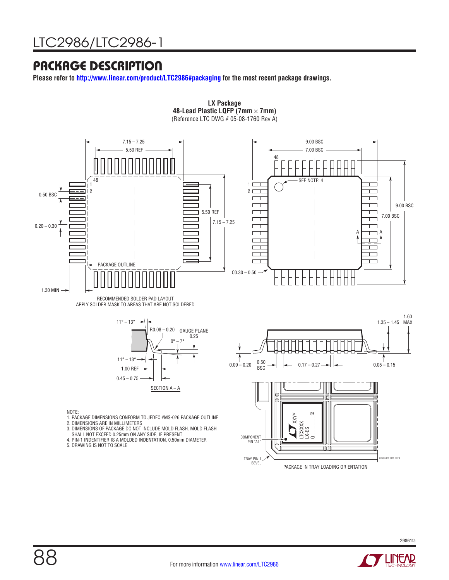## PACKAGE DESCRIPTION

**Please refer to<http://www.linear.com/product/LTC2986#packaging> for the most recent package drawings.**



**LX Package**





- 1. PACKAGE DIMENSIONS CONFORM TO JEDEC #MS-026 PACKAGE OUTLINE 2. DIMENSIONS ARE IN MILLIMETERS
- 
- 3. DIMENSIONS OF PACKAGE DO NOT INCLUDE MOLD FLASH. MOLD FLASH<br> SHALL NOT EXCEED 0.25mm ON ANY SIDE, IF PRESENT<br>4. PIN-1 INDENTIFIER IS A MOLDED INDENTATION, 0.50mm DIAMETER
- 
- 5. DRAWING IS NOT TO SCALE



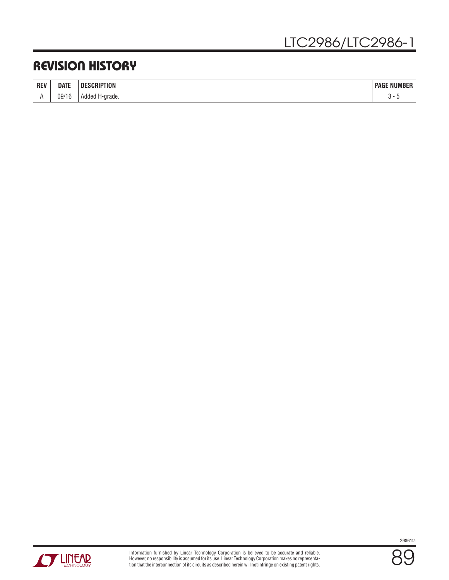## REVISION HISTORY

| <b>REV</b> | <b>DATE</b>                 | <b>ABIBEIAI'</b><br>ΠF<br>אטוי | <b>: NIIMRFR</b><br><b>PAGE</b><br>/IBEF |
|------------|-----------------------------|--------------------------------|------------------------------------------|
|            | 09/1<br>$\mathsf{r}$<br>1 U | Added<br>H-grade.<br>$-1$      | ີ                                        |